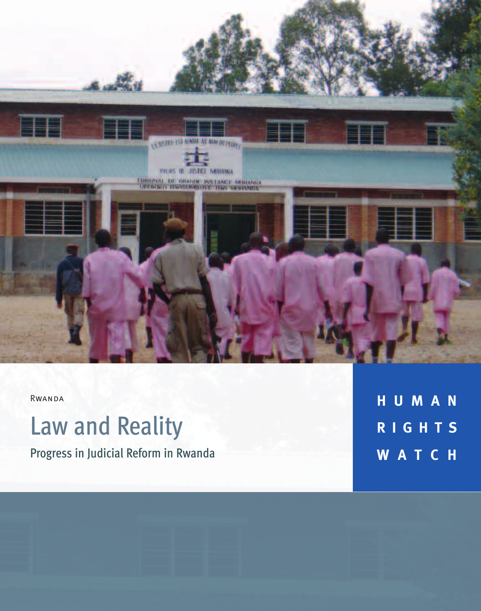

Rwanda

# Law and Reality

Progress in Judicial Reform in Rwanda

**H U M A N R I G H T S W A T C H**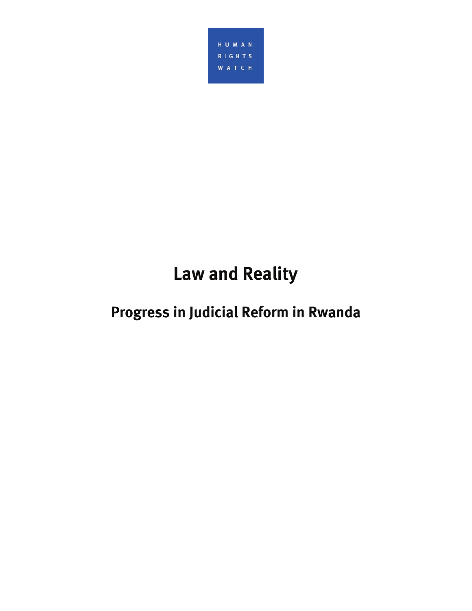

## **Law and Reality**

### **Progress in Judicial Reform in Rwanda**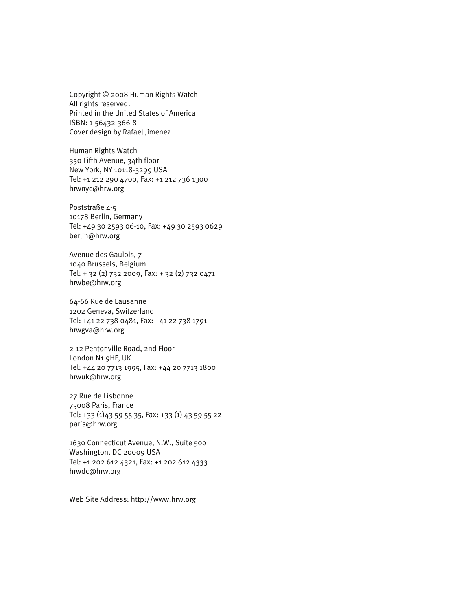Copyright © 2008 Human Rights Watch All rights reserved. Printed in the United States of America ISBN: 1-56432-366-8 Cover design by Rafael Jimenez

Human Rights Watch 350 Fifth Avenue, 34th floor New York, NY 10118-3299 USA Tel: +1 212 290 4700, Fax: +1 212 736 1300 hrwnyc@hrw.org

Poststraße 4-5 10178 Berlin, Germany Tel: +49 30 2593 06-10, Fax: +49 30 2593 0629 berlin@hrw.org

Avenue des Gaulois, 7 1040 Brussels, Belgium Tel: + 32 (2) 732 2009, Fax: + 32 (2) 732 0471 hrwbe@hrw.org

64-66 Rue de Lausanne 1202 Geneva, Switzerland Tel: +41 22 738 0481, Fax: +41 22 738 1791 hrwgva@hrw.org

2-12 Pentonville Road, 2nd Floor London N1 9HF, UK Tel: +44 20 7713 1995, Fax: +44 20 7713 1800 hrwuk@hrw.org

27 Rue de Lisbonne 75008 Paris, France Tel: +33 (1)43 59 55 35, Fax: +33 (1) 43 59 55 22 paris@hrw.org

1630 Connecticut Avenue, N.W., Suite 500 Washington, DC 20009 USA Tel: +1 202 612 4321, Fax: +1 202 612 4333 hrwdc@hrw.org

Web Site Address: http://www.hrw.org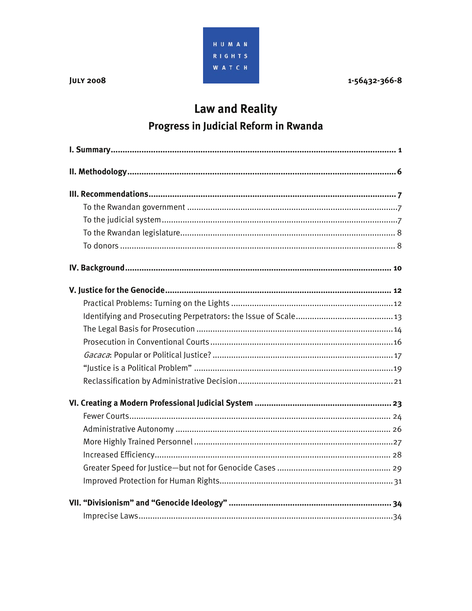

1-56432-366-8

### **Law and Reality** Progress in Judicial Reform in Rwanda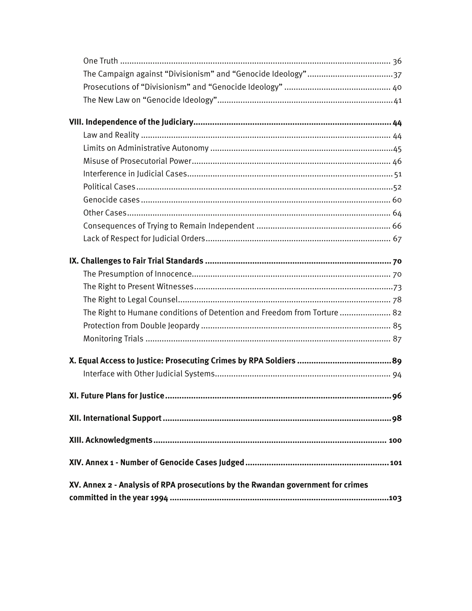| The Right to Humane conditions of Detention and Freedom from Torture  82        |
|---------------------------------------------------------------------------------|
|                                                                                 |
|                                                                                 |
|                                                                                 |
|                                                                                 |
|                                                                                 |
|                                                                                 |
|                                                                                 |
|                                                                                 |
|                                                                                 |
|                                                                                 |
|                                                                                 |
|                                                                                 |
| XV. Annex 2 - Analysis of RPA prosecutions by the Rwandan government for crimes |
|                                                                                 |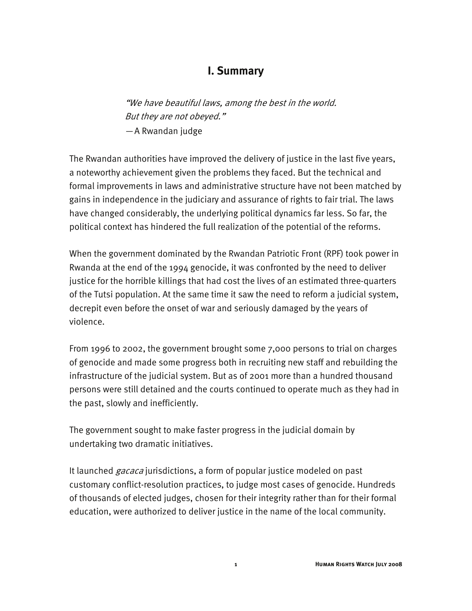#### **I. Summary**

"We have beautiful laws, among the best in the world. But they are not obeyed." — A Rwandan judge

The Rwandan authorities have improved the delivery of justice in the last five years, a noteworthy achievement given the problems they faced. But the technical and formal improvements in laws and administrative structure have not been matched by gains in independence in the judiciary and assurance of rights to fair trial. The laws have changed considerably, the underlying political dynamics far less. So far, the political context has hindered the full realization of the potential of the reforms.

When the government dominated by the Rwandan Patriotic Front (RPF) took power in Rwanda at the end of the 1994 genocide, it was confronted by the need to deliver justice for the horrible killings that had cost the lives of an estimated three-quarters of the Tutsi population. At the same time it saw the need to reform a judicial system, decrepit even before the onset of war and seriously damaged by the years of violence.

From 1996 to 2002, the government brought some 7,000 persons to trial on charges of genocide and made some progress both in recruiting new staff and rebuilding the infrastructure of the judicial system. But as of 2001 more than a hundred thousand persons were still detained and the courts continued to operate much as they had in the past, slowly and inefficiently.

The government sought to make faster progress in the judicial domain by undertaking two dramatic initiatives.

It launched *gacaca* jurisdictions, a form of popular justice modeled on past customary conflict-resolution practices, to judge most cases of genocide. Hundreds of thousands of elected judges, chosen for their integrity rather than for their formal education, were authorized to deliver justice in the name of the local community.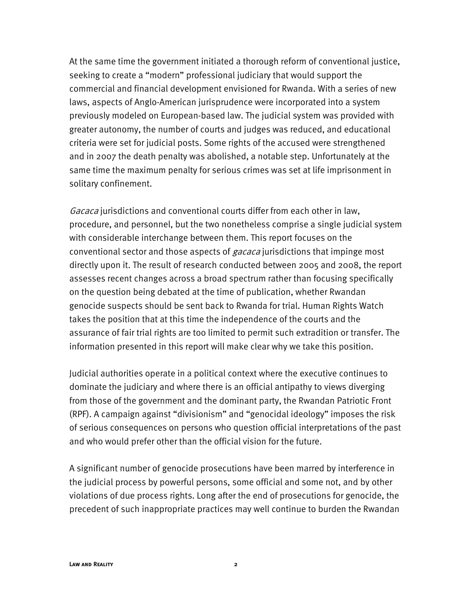At the same time the government initiated a thorough reform of conventional justice, seeking to create a "modern" professional judiciary that would support the commercial and financial development envisioned for Rwanda. With a series of new laws, aspects of Anglo-American jurisprudence were incorporated into a system previously modeled on European-based law. The judicial system was provided with greater autonomy, the number of courts and judges was reduced, and educational criteria were set for judicial posts. Some rights of the accused were strengthened and in 2007 the death penalty was abolished, a notable step. Unfortunately at the same time the maximum penalty for serious crimes was set at life imprisonment in solitary confinement.

Gacaca jurisdictions and conventional courts differ from each other in law, procedure, and personnel, but the two nonetheless comprise a single judicial system with considerable interchange between them. This report focuses on the conventional sector and those aspects of *gacaca* jurisdictions that impinge most directly upon it. The result of research conducted between 2005 and 2008, the report assesses recent changes across a broad spectrum rather than focusing specifically on the question being debated at the time of publication, whether Rwandan genocide suspects should be sent back to Rwanda for trial. Human Rights Watch takes the position that at this time the independence of the courts and the assurance of fair trial rights are too limited to permit such extradition or transfer. The information presented in this report will make clear why we take this position.

Judicial authorities operate in a political context where the executive continues to dominate the judiciary and where there is an official antipathy to views diverging from those of the government and the dominant party, the Rwandan Patriotic Front (RPF). A campaign against "divisionism" and "genocidal ideology" imposes the risk of serious consequences on persons who question official interpretations of the past and who would prefer other than the official vision for the future.

A significant number of genocide prosecutions have been marred by interference in the judicial process by powerful persons, some official and some not, and by other violations of due process rights. Long after the end of prosecutions for genocide, the precedent of such inappropriate practices may well continue to burden the Rwandan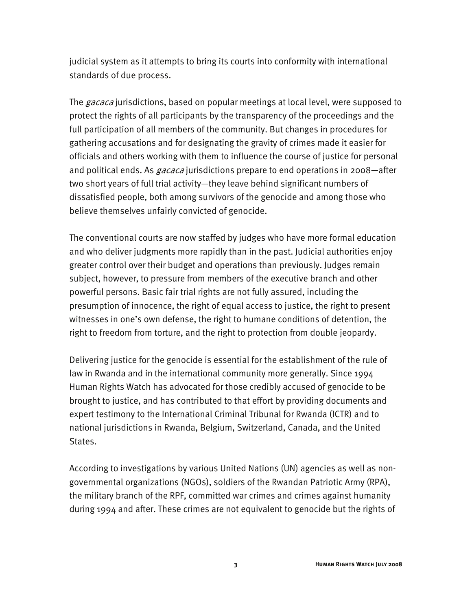judicial system as it attempts to bring its courts into conformity with international standards of due process.

The *gacaca* jurisdictions, based on popular meetings at local level, were supposed to protect the rights of all participants by the transparency of the proceedings and the full participation of all members of the community. But changes in procedures for gathering accusations and for designating the gravity of crimes made it easier for officials and others working with them to influence the course of justice for personal and political ends. As *gacaca* jurisdictions prepare to end operations in 2008—after two short years of full trial activity—they leave behind significant numbers of dissatisfied people, both among survivors of the genocide and among those who believe themselves unfairly convicted of genocide.

The conventional courts are now staffed by judges who have more formal education and who deliver judgments more rapidly than in the past. Judicial authorities enjoy greater control over their budget and operations than previously. Judges remain subject, however, to pressure from members of the executive branch and other powerful persons. Basic fair trial rights are not fully assured, including the presumption of innocence, the right of equal access to justice, the right to present witnesses in one's own defense, the right to humane conditions of detention, the right to freedom from torture, and the right to protection from double jeopardy.

Delivering justice for the genocide is essential for the establishment of the rule of law in Rwanda and in the international community more generally. Since 1994 Human Rights Watch has advocated for those credibly accused of genocide to be brought to justice, and has contributed to that effort by providing documents and expert testimony to the International Criminal Tribunal for Rwanda (ICTR) and to national jurisdictions in Rwanda, Belgium, Switzerland, Canada, and the United States.

According to investigations by various United Nations (UN) agencies as well as nongovernmental organizations (NGOs), soldiers of the Rwandan Patriotic Army (RPA), the military branch of the RPF, committed war crimes and crimes against humanity during 1994 and after. These crimes are not equivalent to genocide but the rights of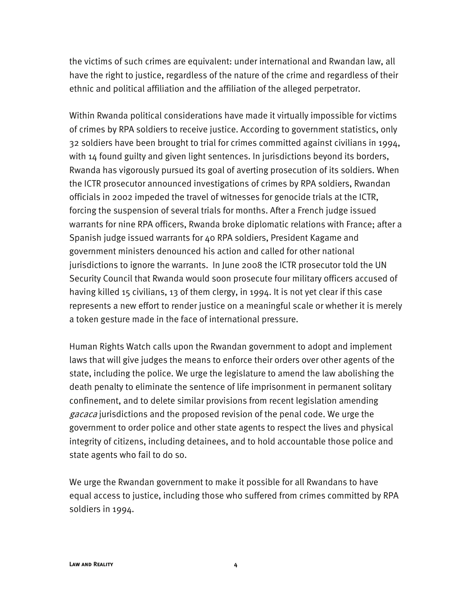the victims of such crimes are equivalent: under international and Rwandan law, all have the right to justice, regardless of the nature of the crime and regardless of their ethnic and political affiliation and the affiliation of the alleged perpetrator.

Within Rwanda political considerations have made it virtually impossible for victims of crimes by RPA soldiers to receive justice. According to government statistics, only 32 soldiers have been brought to trial for crimes committed against civilians in 1994, with 14 found guilty and given light sentences. In jurisdictions beyond its borders, Rwanda has vigorously pursued its goal of averting prosecution of its soldiers. When the ICTR prosecutor announced investigations of crimes by RPA soldiers, Rwandan officials in 2002 impeded the travel of witnesses for genocide trials at the ICTR, forcing the suspension of several trials for months. After a French judge issued warrants for nine RPA officers, Rwanda broke diplomatic relations with France; after a Spanish judge issued warrants for 40 RPA soldiers, President Kagame and government ministers denounced his action and called for other national jurisdictions to ignore the warrants. In June 2008 the ICTR prosecutor told the UN Security Council that Rwanda would soon prosecute four military officers accused of having killed 15 civilians, 13 of them clergy, in 1994. It is not yet clear if this case represents a new effort to render justice on a meaningful scale or whether it is merely a token gesture made in the face of international pressure.

Human Rights Watch calls upon the Rwandan government to adopt and implement laws that will give judges the means to enforce their orders over other agents of the state, including the police. We urge the legislature to amend the law abolishing the death penalty to eliminate the sentence of life imprisonment in permanent solitary confinement, and to delete similar provisions from recent legislation amending gacaca jurisdictions and the proposed revision of the penal code. We urge the government to order police and other state agents to respect the lives and physical integrity of citizens, including detainees, and to hold accountable those police and state agents who fail to do so.

We urge the Rwandan government to make it possible for all Rwandans to have equal access to justice, including those who suffered from crimes committed by RPA soldiers in 1994.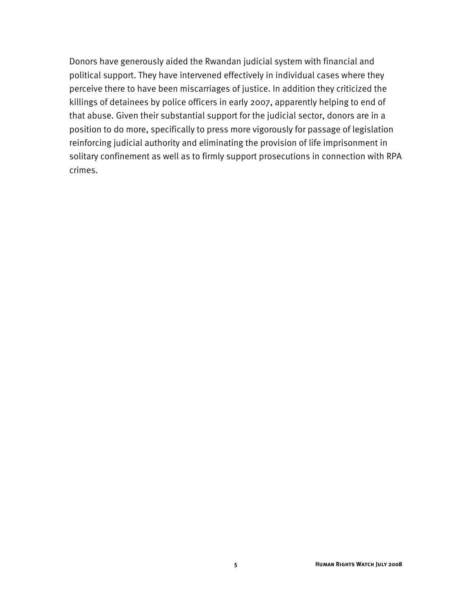Donors have generously aided the Rwandan judicial system with financial and political support. They have intervened effectively in individual cases where they perceive there to have been miscarriages of justice. In addition they criticized the killings of detainees by police officers in early 2007, apparently helping to end of that abuse. Given their substantial support for the judicial sector, donors are in a position to do more, specifically to press more vigorously for passage of legislation reinforcing judicial authority and eliminating the provision of life imprisonment in solitary confinement as well as to firmly support prosecutions in connection with RPA crimes.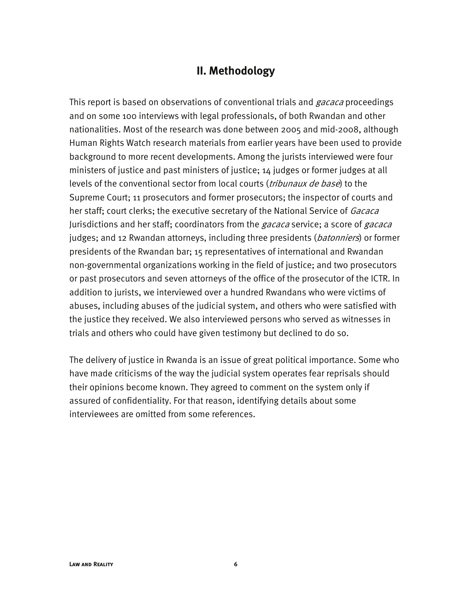#### **II. Methodology**

This report is based on observations of conventional trials and *gacaca* proceedings and on some 100 interviews with legal professionals, of both Rwandan and other nationalities. Most of the research was done between 2005 and mid-2008, although Human Rights Watch research materials from earlier years have been used to provide background to more recent developments. Among the jurists interviewed were four ministers of justice and past ministers of justice; 14 judges or former judges at all levels of the conventional sector from local courts (*tribunaux de base*) to the Supreme Court; 11 prosecutors and former prosecutors; the inspector of courts and her staff; court clerks; the executive secretary of the National Service of *Gacaca* Jurisdictions and her staff; coordinators from the *gacaca* service; a score of *gacaca* judges; and 12 Rwandan attorneys, including three presidents (*batonniers*) or former presidents of the Rwandan bar; 15 representatives of international and Rwandan non-governmental organizations working in the field of justice; and two prosecutors or past prosecutors and seven attorneys of the office of the prosecutor of the ICTR. In addition to jurists, we interviewed over a hundred Rwandans who were victims of abuses, including abuses of the judicial system, and others who were satisfied with the justice they received. We also interviewed persons who served as witnesses in trials and others who could have given testimony but declined to do so.

The delivery of justice in Rwanda is an issue of great political importance. Some who have made criticisms of the way the judicial system operates fear reprisals should their opinions become known. They agreed to comment on the system only if assured of confidentiality. For that reason, identifying details about some interviewees are omitted from some references.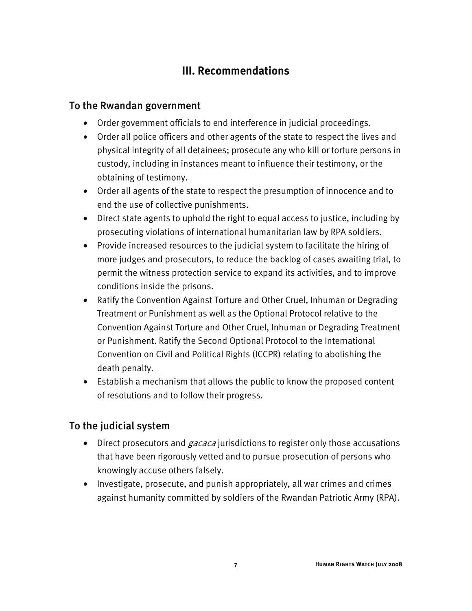#### **III. Recommendations**

#### To the Rwandan government

- Order government officials to end interference in judicial proceedings.
- Order all police officers and other agents of the state to respect the lives and physical integrity of all detainees; prosecute any who kill or torture persons in custody, including in instances meant to influence their testimony, or the obtaining of testimony.
- Order all agents of the state to respect the presumption of innocence and to end the use of collective punishments.
- Direct state agents to uphold the right to equal access to justice, including by prosecuting violations of international humanitarian law by RPA soldiers.
- Provide increased resources to the judicial system to facilitate the hiring of more judges and prosecutors, to reduce the backlog of cases awaiting trial, to permit the witness protection service to expand its activities, and to improve conditions inside the prisons.
- Ratify the Convention Against Torture and Other Cruel, Inhuman or Degrading Treatment or Punishment as well as the Optional Protocol relative to the Convention Against Torture and Other Cruel, Inhuman or Degrading Treatment or Punishment. Ratify the Second Optional Protocol to the International Convention on Civil and Political Rights (ICCPR) relating to abolishing the death penalty.
- Establish a mechanism that allows the public to know the proposed content of resolutions and to follow their progress.

#### To the judicial system

- Direct prosecutors and *gacaca* jurisdictions to register only those accusations that have been rigorously vetted and to pursue prosecution of persons who knowingly accuse others falsely.
- Investigate, prosecute, and punish appropriately, all war crimes and crimes against humanity committed by soldiers of the Rwandan Patriotic Army (RPA).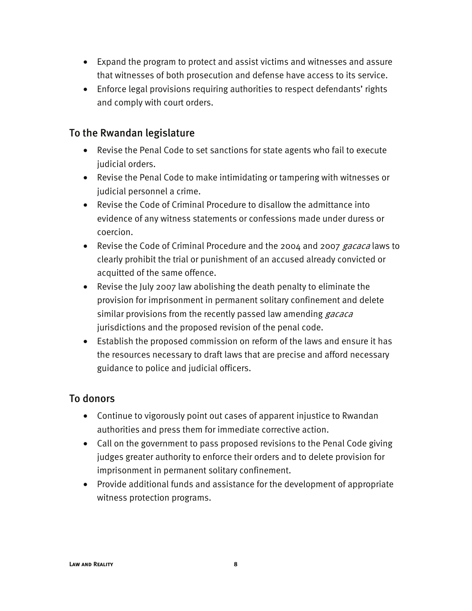- Expand the program to protect and assist victims and witnesses and assure that witnesses of both prosecution and defense have access to its service.
- Enforce legal provisions requiring authorities to respect defendants' rights and comply with court orders.

#### To the Rwandan legislature

- Revise the Penal Code to set sanctions for state agents who fail to execute judicial orders.
- Revise the Penal Code to make intimidating or tampering with witnesses or judicial personnel a crime.
- Revise the Code of Criminal Procedure to disallow the admittance into evidence of any witness statements or confessions made under duress or coercion.
- Revise the Code of Criminal Procedure and the 2004 and 2007 gacaca laws to clearly prohibit the trial or punishment of an accused already convicted or acquitted of the same offence.
- Revise the July 2007 law abolishing the death penalty to eliminate the provision for imprisonment in permanent solitary confinement and delete similar provisions from the recently passed law amending *gacaca* jurisdictions and the proposed revision of the penal code.
- Establish the proposed commission on reform of the laws and ensure it has the resources necessary to draft laws that are precise and afford necessary guidance to police and judicial officers.

#### To donors

- Continue to vigorously point out cases of apparent injustice to Rwandan authorities and press them for immediate corrective action.
- Call on the government to pass proposed revisions to the Penal Code giving judges greater authority to enforce their orders and to delete provision for imprisonment in permanent solitary confinement.
- Provide additional funds and assistance for the development of appropriate witness protection programs.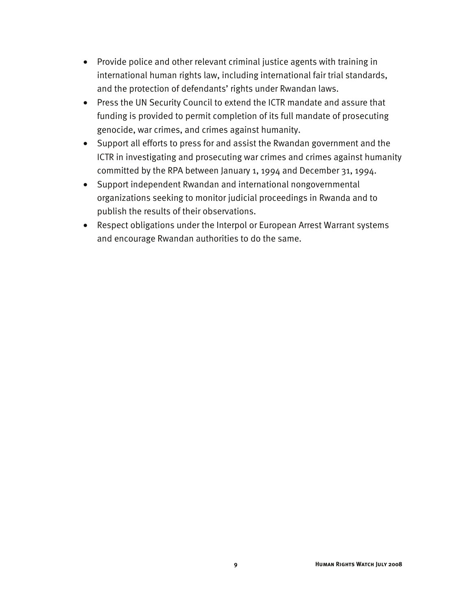- Provide police and other relevant criminal justice agents with training in international human rights law, including international fair trial standards, and the protection of defendants' rights under Rwandan laws.
- Press the UN Security Council to extend the ICTR mandate and assure that funding is provided to permit completion of its full mandate of prosecuting genocide, war crimes, and crimes against humanity.
- Support all efforts to press for and assist the Rwandan government and the ICTR in investigating and prosecuting war crimes and crimes against humanity committed by the RPA between January 1, 1994 and December 31, 1994.
- Support independent Rwandan and international nongovernmental organizations seeking to monitor judicial proceedings in Rwanda and to publish the results of their observations.
- Respect obligations under the Interpol or European Arrest Warrant systems and encourage Rwandan authorities to do the same.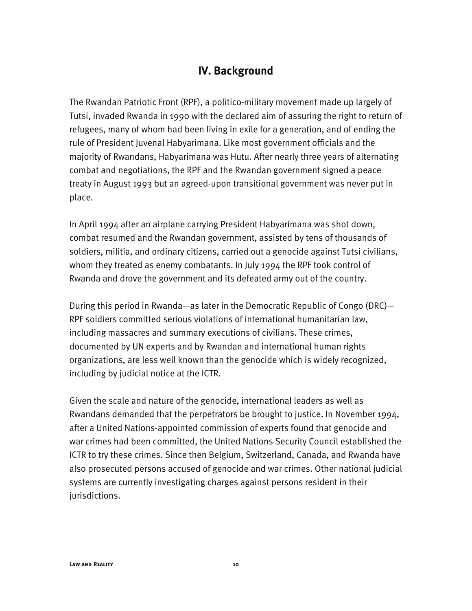#### **IV. Background**

The Rwandan Patriotic Front (RPF), a politico-military movement made up largely of Tutsi, invaded Rwanda in 1990 with the declared aim of assuring the right to return of refugees, many of whom had been living in exile for a generation, and of ending the rule of President Juvenal Habyarimana. Like most government officials and the majority of Rwandans, Habyarimana was Hutu. After nearly three years of alternating combat and negotiations, the RPF and the Rwandan government signed a peace treaty in August 1993 but an agreed-upon transitional government was never put in place.

In April 1994 after an airplane carrying President Habyarimana was shot down, combat resumed and the Rwandan government, assisted by tens of thousands of soldiers, militia, and ordinary citizens, carried out a genocide against Tutsi civilians, whom they treated as enemy combatants. In July 1994 the RPF took control of Rwanda and drove the government and its defeated army out of the country.

During this period in Rwanda—as later in the Democratic Republic of Congo (DRC)— RPF soldiers committed serious violations of international humanitarian law, including massacres and summary executions of civilians. These crimes, documented by UN experts and by Rwandan and international human rights organizations, are less well known than the genocide which is widely recognized, including by judicial notice at the ICTR.

Given the scale and nature of the genocide, international leaders as well as Rwandans demanded that the perpetrators be brought to justice. In November 1994, after a United Nations-appointed commission of experts found that genocide and war crimes had been committed, the United Nations Security Council established the ICTR to try these crimes. Since then Belgium, Switzerland, Canada, and Rwanda have also prosecuted persons accused of genocide and war crimes. Other national judicial systems are currently investigating charges against persons resident in their jurisdictions.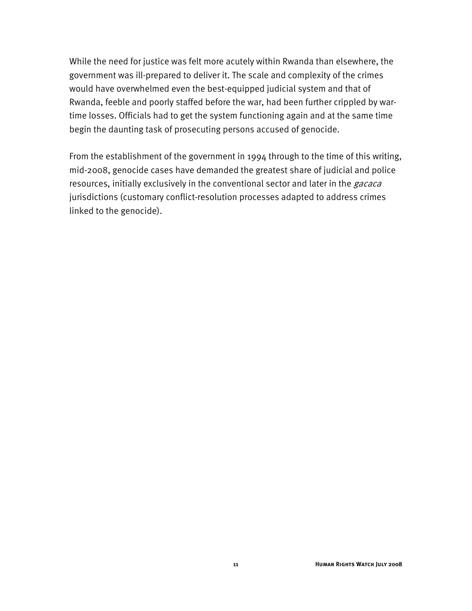While the need for justice was felt more acutely within Rwanda than elsewhere, the government was ill-prepared to deliver it. The scale and complexity of the crimes would have overwhelmed even the best-equipped judicial system and that of Rwanda, feeble and poorly staffed before the war, had been further crippled by wartime losses. Officials had to get the system functioning again and at the same time begin the daunting task of prosecuting persons accused of genocide.

From the establishment of the government in 1994 through to the time of this writing, mid-2008, genocide cases have demanded the greatest share of judicial and police resources, initially exclusively in the conventional sector and later in the *gacaca* jurisdictions (customary conflict-resolution processes adapted to address crimes linked to the genocide).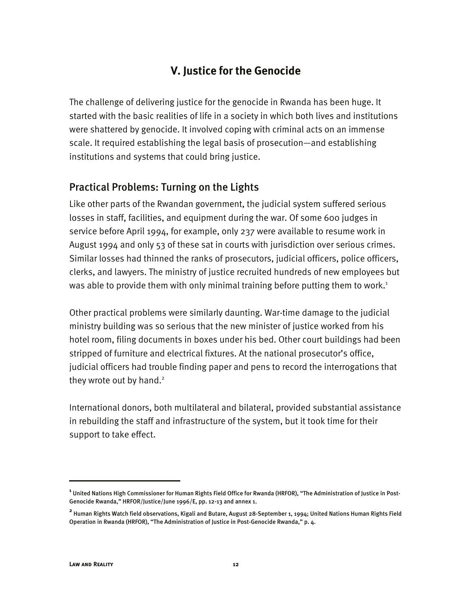#### **V. Justice for the Genocide**

The challenge of delivering justice for the genocide in Rwanda has been huge. It started with the basic realities of life in a society in which both lives and institutions were shattered by genocide. It involved coping with criminal acts on an immense scale. It required establishing the legal basis of prosecution—and establishing institutions and systems that could bring justice.

#### Practical Problems: Turning on the Lights

Like other parts of the Rwandan government, the judicial system suffered serious losses in staff, facilities, and equipment during the war. Of some 600 judges in service before April 1994, for example, only 237 were available to resume work in August 1994 and only 53 of these sat in courts with jurisdiction over serious crimes. Similar losses had thinned the ranks of prosecutors, judicial officers, police officers, clerks, and lawyers. The ministry of justice recruited hundreds of new employees but was able to provide them with only minimal training before putting them to work.<sup>1</sup>

Other practical problems were similarly daunting. War-time damage to the judicial ministry building was so serious that the new minister of justice worked from his hotel room, filing documents in boxes under his bed. Other court buildings had been stripped of furniture and electrical fixtures. At the national prosecutor's office, judicial officers had trouble finding paper and pens to record the interrogations that they wrote out by hand. $2$ 

International donors, both multilateral and bilateral, provided substantial assistance in rebuilding the staff and infrastructure of the system, but it took time for their support to take effect.

**<sup>1</sup>** United Nations High Commissioner for Human Rights Field Office for Rwanda (HRFOR), "The Administration of Justice in Post-Genocide Rwanda," HRFOR/Justice/June 1996/E, pp. 12-13 and annex 1.

**<sup>2</sup>** Human Rights Watch field observations, Kigali and Butare, August 28-September 1, 1994; United Nations Human Rights Field Operation in Rwanda (HRFOR), "The Administration of Justice in Post-Genocide Rwanda," p. 4.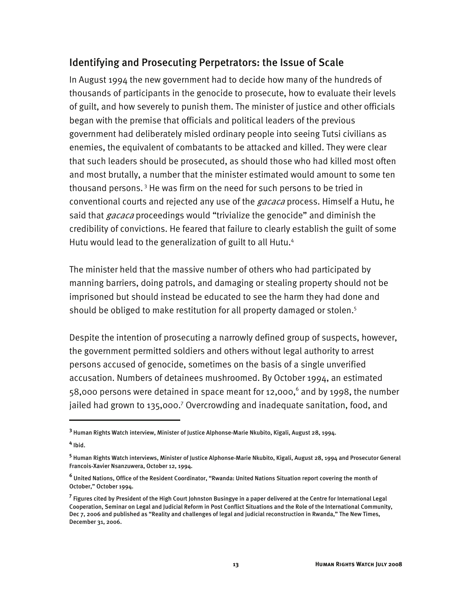#### Identifying and Prosecuting Perpetrators: the Issue of Scale

In August 1994 the new government had to decide how many of the hundreds of thousands of participants in the genocide to prosecute, how to evaluate their levels of guilt, and how severely to punish them. The minister of justice and other officials began with the premise that officials and political leaders of the previous government had deliberately misled ordinary people into seeing Tutsi civilians as enemies, the equivalent of combatants to be attacked and killed. They were clear that such leaders should be prosecuted, as should those who had killed most often and most brutally, a number that the minister estimated would amount to some ten thousand persons. 3 He was firm on the need for such persons to be tried in conventional courts and rejected any use of the *gacaca* process. Himself a Hutu, he said that *gacaca* proceedings would "trivialize the genocide" and diminish the credibility of convictions. He feared that failure to clearly establish the guilt of some Hutu would lead to the generalization of guilt to all Hutu.<sup>4</sup>

The minister held that the massive number of others who had participated by manning barriers, doing patrols, and damaging or stealing property should not be imprisoned but should instead be educated to see the harm they had done and should be obliged to make restitution for all property damaged or stolen.<sup>5</sup>

Despite the intention of prosecuting a narrowly defined group of suspects, however, the government permitted soldiers and others without legal authority to arrest persons accused of genocide, sometimes on the basis of a single unverified accusation. Numbers of detainees mushroomed. By October 1994, an estimated 58,000 persons were detained in space meant for 12,000, $^{\circ}$  and by 1998, the number jailed had grown to 135,000.<sup>7</sup> Overcrowding and inadequate sanitation, food, and

**4** Ibid.

**<sup>3</sup>** Human Rights Watch interview, Minister of Justice Alphonse-Marie Nkubito, Kigali, August 28, 1994.

**<sup>5</sup>** Human Rights Watch interviews, Minister of Justice Alphonse-Marie Nkubito, Kigali, August 28, 1994 and Prosecutor General Francois-Xavier Nsanzuwera, October 12, 1994.

**<sup>6</sup>** United Nations, Office of the Resident Coordinator, "Rwanda: United Nations Situation report covering the month of October," October 1994.

**<sup>7</sup>** Figures cited by President of the High Court Johnston Busingye in a paper delivered at the Centre for International Legal Cooperation, Seminar on Legal and Judicial Reform in Post Conflict Situations and the Role of the International Community, Dec 7, 2006 and published as "Reality and challenges of legal and judicial reconstruction in Rwanda," The New Times, December 31, 2006.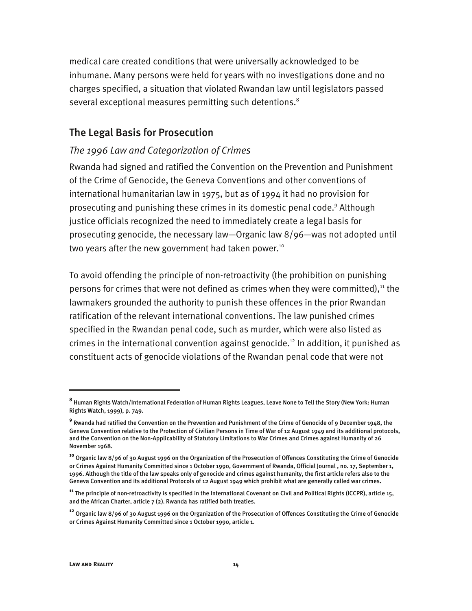medical care created conditions that were universally acknowledged to be inhumane. Many persons were held for years with no investigations done and no charges specified, a situation that violated Rwandan law until legislators passed several exceptional measures permitting such detentions.<sup>8</sup>

#### The Legal Basis for Prosecution

#### *The 1996 Law and Categorization of Crimes*

Rwanda had signed and ratified the Convention on the Prevention and Punishment of the Crime of Genocide, the Geneva Conventions and other conventions of international humanitarian law in 1975, but as of 1994 it had no provision for prosecuting and punishing these crimes in its domestic penal code.<sup>9</sup> Although justice officials recognized the need to immediately create a legal basis for prosecuting genocide, the necessary law—Organic law 8/96—was not adopted until two years after the new government had taken power.<sup>10</sup>

To avoid offending the principle of non-retroactivity (the prohibition on punishing persons for crimes that were not defined as crimes when they were committed), $11$  the lawmakers grounded the authority to punish these offences in the prior Rwandan ratification of the relevant international conventions. The law punished crimes specified in the Rwandan penal code, such as murder, which were also listed as crimes in the international convention against genocide.<sup>12</sup> In addition, it punished as constituent acts of genocide violations of the Rwandan penal code that were not

**<sup>8</sup>** Human Rights Watch/International Federation of Human Rights Leagues, Leave None to Tell the Story (New York: Human Rights Watch, 1999), p. 749.

**<sup>9</sup>** Rwanda had ratified the Convention on the Prevention and Punishment of the Crime of Genocide of 9 December 1948, the Geneva Convention relative to the Protection of Civilian Persons in Time of War of 12 August 1949 and its additional protocols, and the Convention on the Non-Applicability of Statutory Limitations to War Crimes and Crimes against Humanity of 26 November 1968.

**<sup>10</sup>** Organic law 8/96 of 30 August 1996 on the Organization of the Prosecution of Offences Constituting the Crime of Genocide or Crimes Against Humanity Committed since 1 October 1990, Government of Rwanda, Official Journal , no. 17, September 1, 1996. Although the title of the law speaks only of genocide and crimes against humanity, the first article refers also to the Geneva Convention and its additional Protocols of 12 August 1949 which prohibit what are generally called war crimes.

**<sup>11</sup>** The principle of non-retroactivity is specified in the International Covenant on Civil and Political Rights (ICCPR), article 15, and the African Charter, article  $7$  (2). Rwanda has ratified both treaties.

**<sup>12</sup>** Organic law 8/96 of 30 August 1996 on the Organization of the Prosecution of Offences Constituting the Crime of Genocide or Crimes Against Humanity Committed since 1 October 1990, article 1.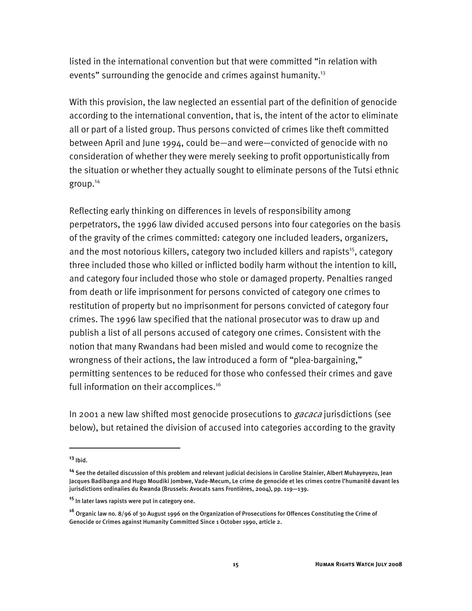listed in the international convention but that were committed "in relation with events" surrounding the genocide and crimes against humanity.<sup>13</sup>

With this provision, the law neglected an essential part of the definition of genocide according to the international convention, that is, the intent of the actor to eliminate all or part of a listed group. Thus persons convicted of crimes like theft committed between April and June 1994, could be—and were—convicted of genocide with no consideration of whether they were merely seeking to profit opportunistically from the situation or whether they actually sought to eliminate persons of the Tutsi ethnic group.14

Reflecting early thinking on differences in levels of responsibility among perpetrators, the 1996 law divided accused persons into four categories on the basis of the gravity of the crimes committed: category one included leaders, organizers, and the most notorious killers, category two included killers and rapists<sup>15</sup>, category three included those who killed or inflicted bodily harm without the intention to kill, and category four included those who stole or damaged property. Penalties ranged from death or life imprisonment for persons convicted of category one crimes to restitution of property but no imprisonment for persons convicted of category four crimes. The 1996 law specified that the national prosecutor was to draw up and publish a list of all persons accused of category one crimes. Consistent with the notion that many Rwandans had been misled and would come to recognize the wrongness of their actions, the law introduced a form of "plea-bargaining," permitting sentences to be reduced for those who confessed their crimes and gave full information on their accomplices.<sup>16</sup>

In 2001 a new law shifted most genocide prosecutions to *gacaca* jurisdictions (see below), but retained the division of accused into categories according to the gravity

**<sup>13</sup>** Ibid.

**<sup>14</sup>** See the detailed discussion of this problem and relevant judicial decisions in Caroline Stainier, Albert Muhayeyezu, Jean Jacques Badibanga and Hugo Moudiki Jombwe, Vade-Mecum, Le crime de genocide et les crimes contre l'humanité davant les jurisdictions ordinaiies du Rwanda (Brussels: Avocats sans Frontières, 2004), pp. 119—139.

**<sup>15</sup>** In later laws rapists were put in category one.

**<sup>16</sup>** Organic law no. 8/96 of 30 August 1996 on the Organization of Prosecutions for Offences Constituting the Crime of Genocide or Crimes against Humanity Committed Since 1 October 1990, article 2.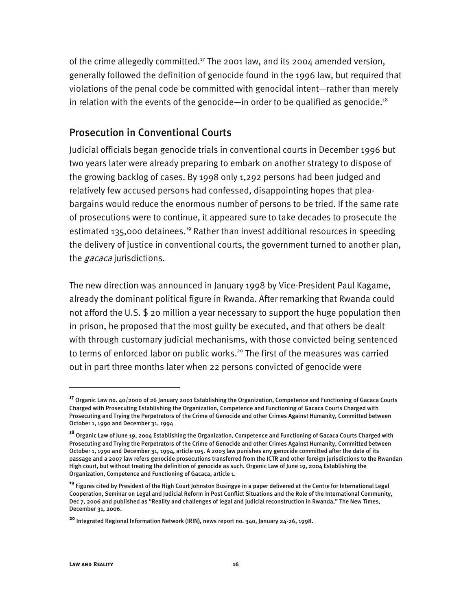of the crime allegedly committed.<sup>17</sup> The 2001 law, and its 2004 amended version, generally followed the definition of genocide found in the 1996 law, but required that violations of the penal code be committed with genocidal intent—rather than merely in relation with the events of the genocide—in order to be qualified as genocide.<sup>18</sup>

#### Prosecution in Conventional Courts

Judicial officials began genocide trials in conventional courts in December 1996 but two years later were already preparing to embark on another strategy to dispose of the growing backlog of cases. By 1998 only 1,292 persons had been judged and relatively few accused persons had confessed, disappointing hopes that pleabargains would reduce the enormous number of persons to be tried. If the same rate of prosecutions were to continue, it appeared sure to take decades to prosecute the estimated 135,000 detainees.<sup>19</sup> Rather than invest additional resources in speeding the delivery of justice in conventional courts, the government turned to another plan, the *gacaca* jurisdictions.

The new direction was announced in January 1998 by Vice-President Paul Kagame, already the dominant political figure in Rwanda. After remarking that Rwanda could not afford the U.S. \$ 20 million a year necessary to support the huge population then in prison, he proposed that the most guilty be executed, and that others be dealt with through customary judicial mechanisms, with those convicted being sentenced to terms of enforced labor on public works.<sup>20</sup> The first of the measures was carried out in part three months later when 22 persons convicted of genocide were

-

**<sup>17</sup>** Organic Law no. 40/2000 of 26 January 2001 Establishing the Organization, Competence and Functioning of Gacaca Courts Charged with Prosecuting Establishing the Organization, Competence and Functioning of Gacaca Courts Charged with Prosecuting and Trying the Perpetrators of the Crime of Genocide and other Crimes Against Humanity, Committed between October 1, 1990 and December 31, 1994

**<sup>18</sup>** Organic Law of June 19, 2004 Establishing the Organization, Competence and Functioning of Gacaca Courts Charged with Prosecuting and Trying the Perpetrators of the Crime of Genocide and other Crimes Against Humanity, Committed between October 1, 1990 and December 31, 1994, article 105. A 2003 law punishes any genocide committed after the date of its passage and a 2007 law refers genocide prosecutions transferred from the ICTR and other foreign jurisdictions to the Rwandan High court, but without treating the definition of genocide as such. Organic Law of June 19, 2004 Establishing the Organization, Competence and Functioning of Gacaca, article 1.

**<sup>19</sup>** Figures cited by President of the High Court Johnston Busingye in a paper delivered at the Centre for International Legal Cooperation, Seminar on Legal and Judicial Reform in Post Conflict Situations and the Role of the International Community, Dec 7, 2006 and published as "Reality and challenges of legal and judicial reconstruction in Rwanda," The New Times, December 31, 2006.

**<sup>20</sup>** Integrated Regional Information Network (IRIN), news report no. 340, January 24-26, 1998.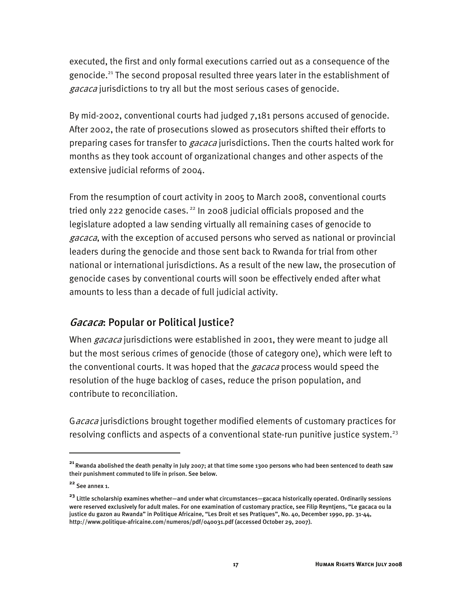executed, the first and only formal executions carried out as a consequence of the genocide.<sup>21</sup> The second proposal resulted three years later in the establishment of gacaca jurisdictions to try all but the most serious cases of genocide.

By mid-2002, conventional courts had judged 7,181 persons accused of genocide. After 2002, the rate of prosecutions slowed as prosecutors shifted their efforts to preparing cases for transfer to *gacaca* jurisdictions. Then the courts halted work for months as they took account of organizational changes and other aspects of the extensive judicial reforms of 2004.

From the resumption of court activity in 2005 to March 2008, conventional courts tried only 222 genocide cases.<sup>22</sup> In 2008 judicial officials proposed and the legislature adopted a law sending virtually all remaining cases of genocide to gacaca, with the exception of accused persons who served as national or provincial leaders during the genocide and those sent back to Rwanda for trial from other national or international jurisdictions. As a result of the new law, the prosecution of genocide cases by conventional courts will soon be effectively ended after what amounts to less than a decade of full judicial activity.

#### Gacaca: Popular or Political Justice?

When *gacaca* jurisdictions were established in 2001, they were meant to judge all but the most serious crimes of genocide (those of category one), which were left to the conventional courts. It was hoped that the *gacaca* process would speed the resolution of the huge backlog of cases, reduce the prison population, and contribute to reconciliation.

Gacaca jurisdictions brought together modified elements of customary practices for resolving conflicts and aspects of a conventional state-run punitive justice system.<sup>23</sup>

-

**<sup>21</sup>**Rwanda abolished the death penalty in July 2007; at that time some 1300 persons who had been sentenced to death saw their punishment commuted to life in prison. See below.

**<sup>22</sup>** See annex 1.

**<sup>23</sup>** Little scholarship examines whether—and under what circumstances—gacaca historically operated. Ordinarily sessions were reserved exclusively for adult males. For one examination of customary practice, see Filip Reyntjens, "Le gacaca ou la justice du gazon au Rwanda" in Politique Africaine, "Les Droit et ses Pratiques", No. 40, December 1990, pp. 31-44, http://www.politique-africaine.com/numeros/pdf/040031.pdf (accessed October 29, 2007).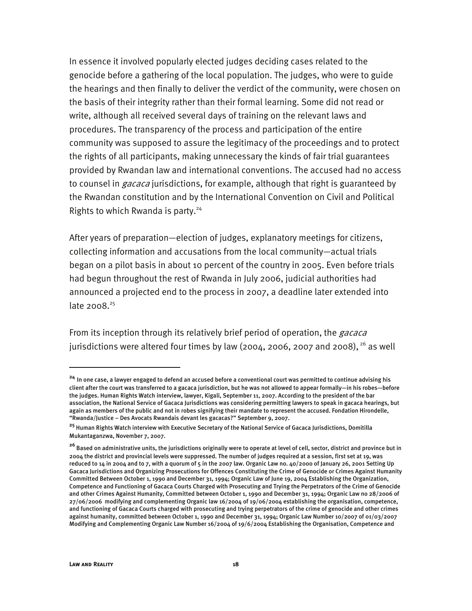In essence it involved popularly elected judges deciding cases related to the genocide before a gathering of the local population. The judges, who were to guide the hearings and then finally to deliver the verdict of the community, were chosen on the basis of their integrity rather than their formal learning. Some did not read or write, although all received several days of training on the relevant laws and procedures. The transparency of the process and participation of the entire community was supposed to assure the legitimacy of the proceedings and to protect the rights of all participants, making unnecessary the kinds of fair trial guarantees provided by Rwandan law and international conventions. The accused had no access to counsel in *gacaca* jurisdictions, for example, although that right is guaranteed by the Rwandan constitution and by the International Convention on Civil and Political Rights to which Rwanda is party.<sup>24</sup>

After years of preparation—election of judges, explanatory meetings for citizens, collecting information and accusations from the local community—actual trials began on a pilot basis in about 10 percent of the country in 2005. Even before trials had begun throughout the rest of Rwanda in July 2006, judicial authorities had announced a projected end to the process in 2007, a deadline later extended into late  $2008.<sup>25</sup>$ 

From its inception through its relatively brief period of operation, the *gacaca* jurisdictions were altered four times by law (2004, 2006, 2007 and 2008),  $26$  as well

j

**<sup>24</sup>** In one case, a lawyer engaged to defend an accused before a conventional court was permitted to continue advising his client after the court was transferred to a gacaca jurisdiction, but he was not allowed to appear formally—in his robes—before the judges. Human Rights Watch interview, lawyer, Kigali, September 11, 2007. According to the president of the bar association, the National Service of Gacaca Jurisdictions was considering permitting lawyers to speak in gacaca hearings, but again as members of the public and not in robes signifying their mandate to represent the accused. Fondation Hirondelle, "Rwanda/Justice – Des Avocats Rwandais devant les gacacas?" September 9, 2007.

**<sup>25</sup>** Human Rights Watch interview with Executive Secretary of the National Service of Gacaca Jurisdictions, Domitilla Mukantaganzwa, November 7, 2007.

**<sup>26</sup>** Based on administrative units, the jurisdictions originally were to operate at level of cell, sector, district and province but in 2004 the district and provincial levels were suppressed. The number of judges required at a session, first set at 19, was reduced to 14 in 2004 and to 7, with a quorum of 5 in the 2007 law. Organic Law no. 40/2000 of January 26, 2001 Setting Up Gacaca Jurisdictions and Organizing Prosecutions for Offences Constituting the Crime of Genocide or Crimes Against Humanity Committed Between October 1, 1990 and December 31, 1994; Organic Law of June 19, 2004 Establishing the Organization, Competence and Functioning of Gacaca Courts Charged with Prosecuting and Trying the Perpetrators of the Crime of Genocide and other Crimes Against Humanity, Committed between October 1, 1990 and December 31, 1994; Organic Law no 28/2006 of 27/06/2006 modifying and complementing Organic law 16/2004 of 19/06/2004 establishing the organisation, competence, and functioning of Gacaca Courts charged with prosecuting and trying perpetrators of the crime of genocide and other crimes against humanity, committed between October 1, 1990 and December 31, 1994; Organic Law Number 10/2007 of 01/03/2007 Modifying and Complementing Organic Law Number 16/2004 of 19/6/2004 Establishing the Organisation, Competence and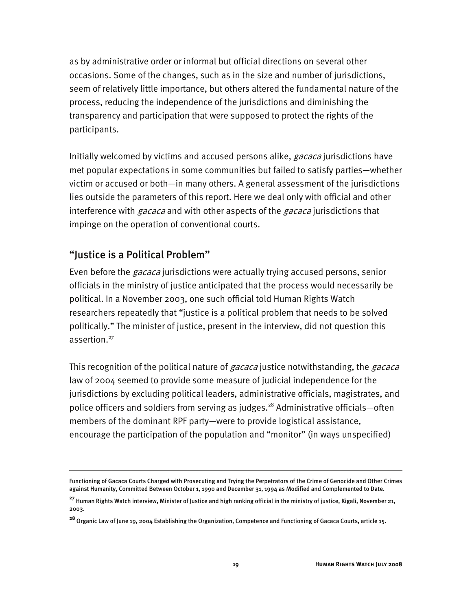as by administrative order or informal but official directions on several other occasions. Some of the changes, such as in the size and number of jurisdictions, seem of relatively little importance, but others altered the fundamental nature of the process, reducing the independence of the jurisdictions and diminishing the transparency and participation that were supposed to protect the rights of the participants.

Initially welcomed by victims and accused persons alike, *gacaca* jurisdictions have met popular expectations in some communities but failed to satisfy parties—whether victim or accused or both—in many others. A general assessment of the jurisdictions lies outside the parameters of this report. Here we deal only with official and other interference with *gacaca* and with other aspects of the *gacaca* jurisdictions that impinge on the operation of conventional courts.

#### "Justice is a Political Problem"

I

Even before the *gacaca* jurisdictions were actually trying accused persons, senior officials in the ministry of justice anticipated that the process would necessarily be political. In a November 2003, one such official told Human Rights Watch researchers repeatedly that "justice is a political problem that needs to be solved politically." The minister of justice, present in the interview, did not question this assertion.<sup>27</sup>

This recognition of the political nature of *gacaca* justice notwithstanding, the *gacaca* law of 2004 seemed to provide some measure of judicial independence for the jurisdictions by excluding political leaders, administrative officials, magistrates, and police officers and soldiers from serving as judges.<sup>28</sup> Administrative officials—often members of the dominant RPF party—were to provide logistical assistance, encourage the participation of the population and "monitor" (in ways unspecified)

Functioning of Gacaca Courts Charged with Prosecuting and Trying the Perpetrators of the Crime of Genocide and Other Crimes against Humanity, Committed Between October 1, 1990 and December 31, 1994 as Modified and Complemented to Date.

**<sup>27</sup>** Human Rights Watch interview, Minister of Justice and high ranking official in the ministry of justice, Kigali, November 21, 2003.

**<sup>28</sup>** Organic Law of June 19, 2004 Establishing the Organization, Competence and Functioning of Gacaca Courts, article 15.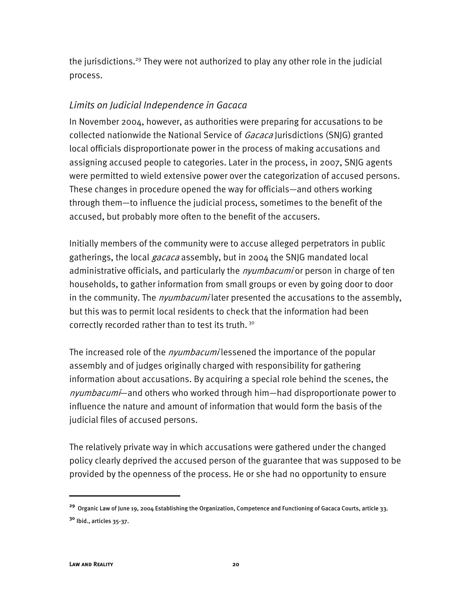the jurisdictions.<sup>29</sup> They were not authorized to play any other role in the judicial process.

#### *Limits on Judicial Independence in Gacaca*

In November 2004, however, as authorities were preparing for accusations to be collected nationwide the National Service of Gacaca Jurisdictions (SNJG) granted local officials disproportionate power in the process of making accusations and assigning accused people to categories. Later in the process, in 2007, SNJG agents were permitted to wield extensive power over the categorization of accused persons. These changes in procedure opened the way for officials—and others working through them—to influence the judicial process, sometimes to the benefit of the accused, but probably more often to the benefit of the accusers.

Initially members of the community were to accuse alleged perpetrators in public gatherings, the local *gacaca* assembly, but in 2004 the SNJG mandated local administrative officials, and particularly the *nyumbacumi* or person in charge of ten households, to gather information from small groups or even by going door to door in the community. The *nyumbacumi* later presented the accusations to the assembly, but this was to permit local residents to check that the information had been correctly recorded rather than to test its truth.<sup>30</sup>

The increased role of the *nyumbacumi* lessened the importance of the popular assembly and of judges originally charged with responsibility for gathering information about accusations. By acquiring a special role behind the scenes, the nyumbacumi—and others who worked through him—had disproportionate power to influence the nature and amount of information that would form the basis of the judicial files of accused persons.

The relatively private way in which accusations were gathered under the changed policy clearly deprived the accused person of the guarantee that was supposed to be provided by the openness of the process. He or she had no opportunity to ensure

**<sup>29</sup>** Organic Law of June 19, 2004 Establishing the Organization, Competence and Functioning of Gacaca Courts, article 33. **<sup>30</sup>** Ibid., articles 35-37.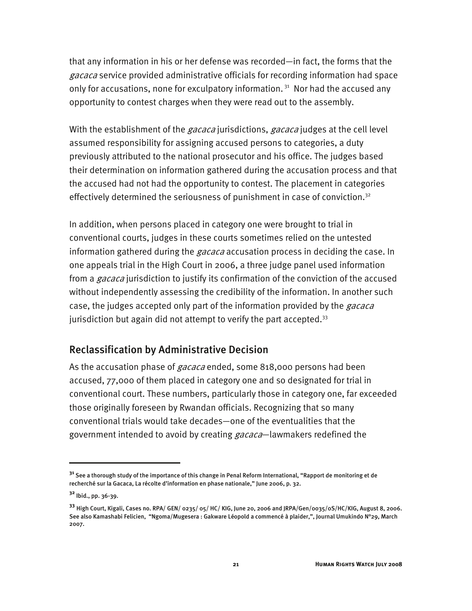that any information in his or her defense was recorded—in fact, the forms that the gacaca service provided administrative officials for recording information had space only for accusations, none for exculpatory information.<sup>31</sup> Nor had the accused any opportunity to contest charges when they were read out to the assembly.

With the establishment of the *gacaca* jurisdictions, *gacaca* judges at the cell level assumed responsibility for assigning accused persons to categories, a duty previously attributed to the national prosecutor and his office. The judges based their determination on information gathered during the accusation process and that the accused had not had the opportunity to contest. The placement in categories effectively determined the seriousness of punishment in case of conviction.<sup>32</sup>

In addition, when persons placed in category one were brought to trial in conventional courts, judges in these courts sometimes relied on the untested information gathered during the *gacaca* accusation process in deciding the case. In one appeals trial in the High Court in 2006, a three judge panel used information from a *gacaca* jurisdiction to justify its confirmation of the conviction of the accused without independently assessing the credibility of the information. In another such case, the judges accepted only part of the information provided by the *gacaca* jurisdiction but again did not attempt to verify the part accepted.<sup>33</sup>

#### Reclassification by Administrative Decision

As the accusation phase of *gacaca* ended, some 818,000 persons had been accused, 77,000 of them placed in category one and so designated for trial in conventional court. These numbers, particularly those in category one, far exceeded those originally foreseen by Rwandan officials. Recognizing that so many conventional trials would take decades—one of the eventualities that the government intended to avoid by creating *gacaca*—lawmakers redefined the

**<sup>31</sup>** See a thorough study of the importance of this change in Penal Reform International, "Rapport de monitoring et de recherché sur la Gacaca, La récolte d'information en phase nationale," June 2006, p. 32.

**<sup>32</sup>** Ibid., pp. 36-39.

**<sup>33</sup>** High Court, Kigali, Cases no. RPA/ GEN/ 0235/ 05/ HC/ KIG, June 20, 2006 and JRPA/Gen/0035/0S/HC/KIG, August 8, 2006. See also Kamashabi Felicien, "Ngoma/Mugesera : Gakware Léopold a commencé à plaider,", Journal Umukindo N°29, March 2007.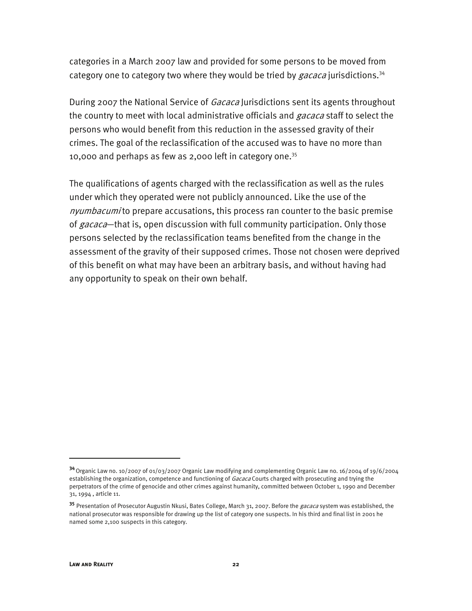categories in a March 2007 law and provided for some persons to be moved from category one to category two where they would be tried by  $gacaca$  jurisdictions.<sup>34</sup>

During 2007 the National Service of *Gacaca* Jurisdictions sent its agents throughout the country to meet with local administrative officials and *gacaca* staff to select the persons who would benefit from this reduction in the assessed gravity of their crimes. The goal of the reclassification of the accused was to have no more than 10,000 and perhaps as few as 2,000 left in category one.<sup>35</sup>

The qualifications of agents charged with the reclassification as well as the rules under which they operated were not publicly announced. Like the use of the nyumbacumi to prepare accusations, this process ran counter to the basic premise of *gacaca*—that is, open discussion with full community participation. Only those persons selected by the reclassification teams benefited from the change in the assessment of the gravity of their supposed crimes. Those not chosen were deprived of this benefit on what may have been an arbitrary basis, and without having had any opportunity to speak on their own behalf.

-

**<sup>34</sup>** Organic Law no. 10/2007 of 01/03/2007 Organic Law modifying and complementing Organic Law no. 16/2004 of 19/6/2004 establishing the organization, competence and functioning of Gacaca Courts charged with prosecuting and trying the perpetrators of the crime of genocide and other crimes against humanity, committed between October 1, 1990 and December 31, 1994 , article 11.

<sup>35</sup> Presentation of Prosecutor Augustin Nkusi, Bates College, March 31, 2007. Before the *gacaca* system was established, the national prosecutor was responsible for drawing up the list of category one suspects. In his third and final list in 2001 he named some 2,100 suspects in this category.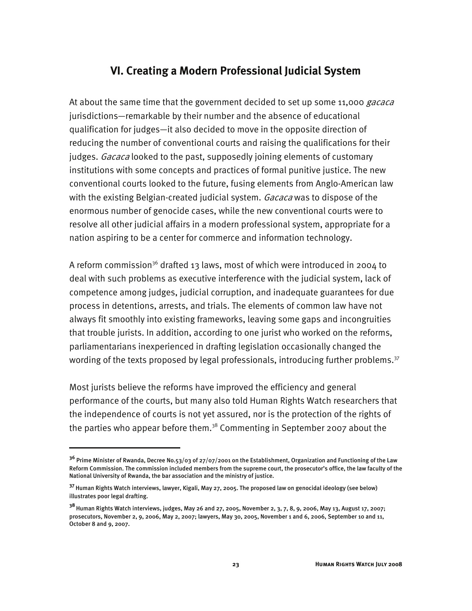#### **VI. Creating a Modern Professional Judicial System**

At about the same time that the government decided to set up some 11,000 gacaca jurisdictions—remarkable by their number and the absence of educational qualification for judges—it also decided to move in the opposite direction of reducing the number of conventional courts and raising the qualifications for their judges. Gacaca looked to the past, supposedly joining elements of customary institutions with some concepts and practices of formal punitive justice. The new conventional courts looked to the future, fusing elements from Anglo-American law with the existing Belgian-created judicial system. Gacaca was to dispose of the enormous number of genocide cases, while the new conventional courts were to resolve all other judicial affairs in a modern professional system, appropriate for a nation aspiring to be a center for commerce and information technology.

A reform commission<sup>36</sup> drafted 13 laws, most of which were introduced in 2004 to deal with such problems as executive interference with the judicial system, lack of competence among judges, judicial corruption, and inadequate guarantees for due process in detentions, arrests, and trials. The elements of common law have not always fit smoothly into existing frameworks, leaving some gaps and incongruities that trouble jurists. In addition, according to one jurist who worked on the reforms, parliamentarians inexperienced in drafting legislation occasionally changed the wording of the texts proposed by legal professionals, introducing further problems. $37$ 

Most jurists believe the reforms have improved the efficiency and general performance of the courts, but many also told Human Rights Watch researchers that the independence of courts is not yet assured, nor is the protection of the rights of the parties who appear before them. $38$  Commenting in September 2007 about the

**<sup>36</sup>** Prime Minister of Rwanda, Decree No.53/03 of 27/07/2001 on the Establishment, Organization and Functioning of the Law Reform Commission. The commission included members from the supreme court, the prosecutor's office, the law faculty of the National University of Rwanda, the bar association and the ministry of justice.

**<sup>37</sup>**Human Rights Watch interviews, lawyer, Kigali, May 27, 2005. The proposed law on genocidal ideology (see below) illustrates poor legal drafting.

**<sup>38</sup>**Human Rights Watch interviews, judges, May 26 and 27, 2005, November 2, 3, 7, 8, 9, 2006, May 13, August 17, 2007; prosecutors, November 2, 9, 2006, May 2, 2007; lawyers, May 30, 2005, November 1 and 6, 2006, September 10 and 11, October 8 and 9, 2007.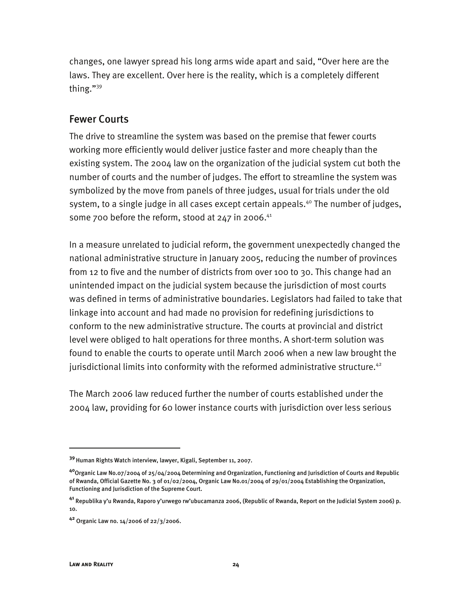changes, one lawyer spread his long arms wide apart and said, "Over here are the laws. They are excellent. Over here is the reality, which is a completely different thing."39

#### Fewer Courts

The drive to streamline the system was based on the premise that fewer courts working more efficiently would deliver justice faster and more cheaply than the existing system. The 2004 law on the organization of the judicial system cut both the number of courts and the number of judges. The effort to streamline the system was symbolized by the move from panels of three judges, usual for trials under the old system, to a single judge in all cases except certain appeals.<sup>40</sup> The number of judges, some 700 before the reform, stood at  $247$  in 2006.<sup>41</sup>

In a measure unrelated to judicial reform, the government unexpectedly changed the national administrative structure in January 2005, reducing the number of provinces from 12 to five and the number of districts from over 100 to 30. This change had an unintended impact on the judicial system because the jurisdiction of most courts was defined in terms of administrative boundaries. Legislators had failed to take that linkage into account and had made no provision for redefining jurisdictions to conform to the new administrative structure. The courts at provincial and district level were obliged to halt operations for three months. A short-term solution was found to enable the courts to operate until March 2006 when a new law brought the jurisdictional limits into conformity with the reformed administrative structure. $42$ 

The March 2006 law reduced further the number of courts established under the 2004 law, providing for 60 lower instance courts with jurisdiction over less serious

-

**<sup>39</sup>**Human Rights Watch interview, lawyer, Kigali, September 11, 2007.

**<sup>40</sup>**Organic Law No.07/2004 of 25/04/2004 Determining and Organization, Functioning and Jurisdiction of Courts and Republic of Rwanda, Official Gazette No. 3 of 01/02/2004, Organic Law No.01/2004 of 29/01/2004 Establishing the Organization, Functioning and Jurisdiction of the Supreme Court.

**<sup>41</sup>** Republika y'u Rwanda, Raporo y'urwego rw'ubucamanza 2006, (Republic of Rwanda, Report on the Judicial System 2006) p. 10.

**<sup>42</sup>** Organic Law no. 14/2006 of 22/3/2006.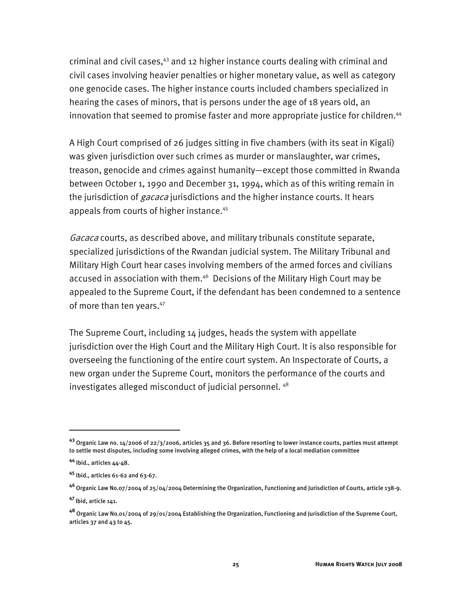criminal and civil cases,<sup>43</sup> and 12 higher instance courts dealing with criminal and civil cases involving heavier penalties or higher monetary value, as well as category one genocide cases. The higher instance courts included chambers specialized in hearing the cases of minors, that is persons under the age of 18 years old, an innovation that seemed to promise faster and more appropriate justice for children.<sup>44</sup>

A High Court comprised of 26 judges sitting in five chambers (with its seat in Kigali) was given jurisdiction over such crimes as murder or manslaughter, war crimes, treason, genocide and crimes against humanity—except those committed in Rwanda between October 1, 1990 and December 31, 1994, which as of this writing remain in the jurisdiction of *gacaca* jurisdictions and the higher instance courts. It hears appeals from courts of higher instance.<sup>45</sup>

Gacaca courts, as described above, and military tribunals constitute separate, specialized jurisdictions of the Rwandan judicial system. The Military Tribunal and Military High Court hear cases involving members of the armed forces and civilians accused in association with them.<sup>46</sup> Decisions of the Military High Court may be appealed to the Supreme Court, if the defendant has been condemned to a sentence of more than ten years.<sup>47</sup>

The Supreme Court, including 14 judges, heads the system with appellate jurisdiction over the High Court and the Military High Court. It is also responsible for overseeing the functioning of the entire court system. An Inspectorate of Courts, a new organ under the Supreme Court, monitors the performance of the courts and investigates alleged misconduct of judicial personnel. 48

j

**<sup>43</sup>** Organic Law no. 14/2006 of 22/3/2006, articles 35 and 36. Before resorting to lower instance courts, parties must attempt to settle most disputes, including some involving alleged crimes, with the help of a local mediation committee

**<sup>44</sup>** Ibid., articles 44-48.

**<sup>45</sup>** Ibid., articles 61-62 and 63-67.

**<sup>46</sup>**Organic Law No.07/2004 of 25/04/2004 Determining the Organization, Functioning and Jurisdiction of Courts, article 138-9.

**<sup>47</sup>**Ibid, article 141.

**<sup>48</sup>** Organic Law No.01/2004 of 29/01/2004 Establishing the Organization, Functioning and Jurisdiction of the Supreme Court, articles 37 and 43 to 45.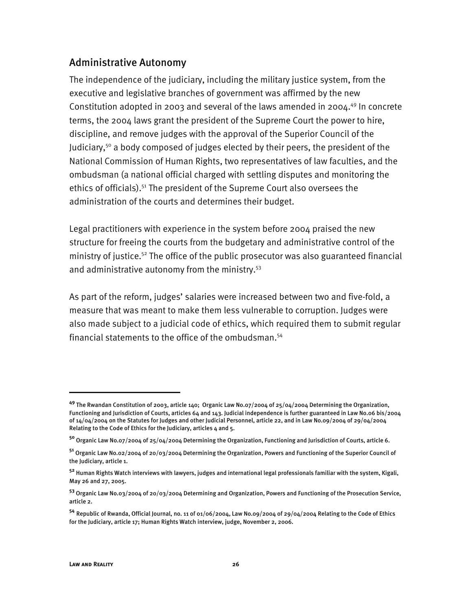#### Administrative Autonomy

The independence of the judiciary, including the military justice system, from the executive and legislative branches of government was affirmed by the new Constitution adopted in 2003 and several of the laws amended in 2004.<sup>49</sup> In concrete terms, the 2004 laws grant the president of the Supreme Court the power to hire, discipline, and remove judges with the approval of the Superior Council of the Judiciary,<sup>50</sup> a body composed of judges elected by their peers, the president of the National Commission of Human Rights, two representatives of law faculties, and the ombudsman (a national official charged with settling disputes and monitoring the ethics of officials).<sup>51</sup> The president of the Supreme Court also oversees the administration of the courts and determines their budget.

Legal practitioners with experience in the system before 2004 praised the new structure for freeing the courts from the budgetary and administrative control of the ministry of justice.<sup>52</sup> The office of the public prosecutor was also guaranteed financial and administrative autonomy from the ministry.<sup>53</sup>

As part of the reform, judges' salaries were increased between two and five-fold, a measure that was meant to make them less vulnerable to corruption. Judges were also made subject to a judicial code of ethics, which required them to submit regular financial statements to the office of the ombudsman.54

**<sup>49</sup>** The Rwandan Constitution of 2003, article 140; Organic Law No.07/2004 of 25/04/2004 Determining the Organization, Functioning and Jurisdiction of Courts, articles 64 and 143. Judicial independence is further guaranteed in Law No.06 bis/2004 of 14/04/2004 on the Statutes for Judges and other Judicial Personnel, article 22, and in Law No.09/2004 of 29/04/2004 Relating to the Code of Ethics for the Judiciary, articles  $4$  and 5.

**<sup>50</sup>** Organic Law No.07/2004 of 25/04/2004 Determining the Organization, Functioning and Jurisdiction of Courts, article 6.

**<sup>51</sup>** Organic Law No.02/2004 of 20/03/2004 Determining the Organization, Powers and Functioning of the Superior Council of the Judiciary, article 1.

**<sup>52</sup>** Human Rights Watch interviews with lawyers, judges and international legal professionals familiar with the system, Kigali, May 26 and 27, 2005.

**<sup>53</sup>** Organic Law No.03/2004 of 20/03/2004 Determining and Organization, Powers and Functioning of the Prosecution Service, article 2.

**<sup>54</sup>** Republic of Rwanda, Official Journal, no. 11 of 01/06/2004, Law No.09/2004 of 29/04/2004 Relating to the Code of Ethics for the Judiciary, article 17; Human Rights Watch interview, judge, November 2, 2006.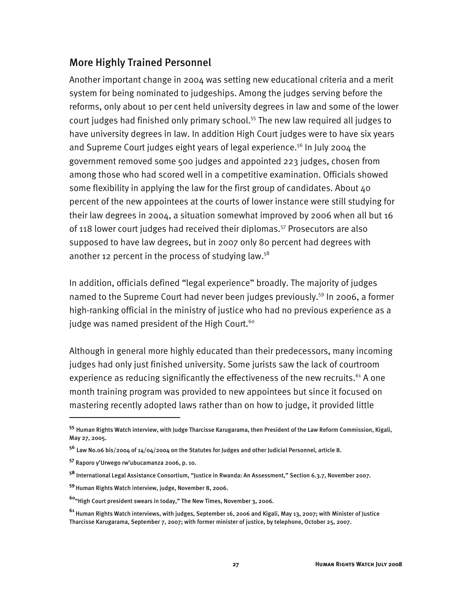#### More Highly Trained Personnel

Another important change in 2004 was setting new educational criteria and a merit system for being nominated to judgeships. Among the judges serving before the reforms, only about 10 per cent held university degrees in law and some of the lower court judges had finished only primary school.<sup>55</sup> The new law required all judges to have university degrees in law. In addition High Court judges were to have six years and Supreme Court judges eight years of legal experience.<sup>56</sup> In July 2004 the government removed some 500 judges and appointed 223 judges, chosen from among those who had scored well in a competitive examination. Officials showed some flexibility in applying the law for the first group of candidates. About 40 percent of the new appointees at the courts of lower instance were still studying for their law degrees in 2004, a situation somewhat improved by 2006 when all but 16 of 118 lower court judges had received their diplomas.<sup>57</sup> Prosecutors are also supposed to have law degrees, but in 2007 only 80 percent had degrees with another 12 percent in the process of studying law. $58$ 

In addition, officials defined "legal experience" broadly. The majority of judges named to the Supreme Court had never been judges previously.<sup>59</sup> In 2006, a former high-ranking official in the ministry of justice who had no previous experience as a judge was named president of the High Court. $60$ 

Although in general more highly educated than their predecessors, many incoming judges had only just finished university. Some jurists saw the lack of courtroom experience as reducing significantly the effectiveness of the new recruits. $61$  A one month training program was provided to new appointees but since it focused on mastering recently adopted laws rather than on how to judge, it provided little

-

**<sup>55</sup>** Human Rights Watch interview, with Judge Tharcisse Karugarama, then President of the Law Reform Commission, Kigali, May 27, 2005.

**<sup>56</sup>** Law No.06 bis/2004 of 14/04/2004 on the Statutes for Judges and other Judicial Personnel, article 8.

**<sup>57</sup>** Raporo y'Urwego rw'ubucamanza 2006, p. 10.

**<sup>58</sup>** International Legal Assistance Consortium, "Justice in Rwanda: An Assessment," Section 6.3.7, November 2007.

**<sup>59</sup>**Human Rights Watch interview, judge, November 8, 2006.

**<sup>60</sup>**"High Court president swears in today," The New Times, November 3, 2006.

**<sup>61</sup>** Human Rights Watch interviews, with judges, September 16, 2006 and Kigali, May 13, 2007; with Minister of Justice Tharcisse Karugarama, September 7, 2007; with former minister of justice, by telephone, October 25, 2007.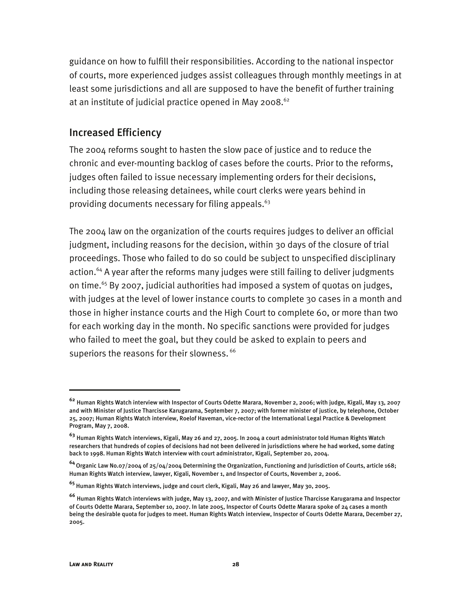guidance on how to fulfill their responsibilities. According to the national inspector of courts, more experienced judges assist colleagues through monthly meetings in at least some jurisdictions and all are supposed to have the benefit of further training at an institute of judicial practice opened in May 2008. $62$ 

#### Increased Efficiency

The 2004 reforms sought to hasten the slow pace of justice and to reduce the chronic and ever-mounting backlog of cases before the courts. Prior to the reforms, judges often failed to issue necessary implementing orders for their decisions, including those releasing detainees, while court clerks were years behind in providing documents necessary for filing appeals.<sup>63</sup>

The 2004 law on the organization of the courts requires judges to deliver an official judgment, including reasons for the decision, within 30 days of the closure of trial proceedings. Those who failed to do so could be subject to unspecified disciplinary action.<sup>64</sup> A year after the reforms many judges were still failing to deliver judgments on time.<sup>65</sup> By 2007, judicial authorities had imposed a system of quotas on judges, with judges at the level of lower instance courts to complete 30 cases in a month and those in higher instance courts and the High Court to complete 60, or more than two for each working day in the month. No specific sanctions were provided for judges who failed to meet the goal, but they could be asked to explain to peers and superiors the reasons for their slowness. <sup>66</sup>

**<sup>62</sup>** Human Rights Watch interview with Inspector of Courts Odette Marara, November 2, 2006; with judge, Kigali, May 13, 2007 and with Minister of Justice Tharcisse Karugarama, September 7, 2007; with former minister of justice, by telephone, October 25, 2007; Human Rights Watch interview, Roelof Haveman, vice-rector of the International Legal Practice & Development Program, May 7, 2008.

**<sup>63</sup>** Human Rights Watch interviews, Kigali, May 26 and 27, 2005. In 2004 a court administrator told Human Rights Watch researchers that hundreds of copies of decisions had not been delivered in jurisdictions where he had worked, some dating back to 1998. Human Rights Watch interview with court administrator, Kigali, September 20, 2004.

**<sup>64</sup>**Organic Law No.07/2004 of 25/04/2004 Determining the Organization, Functioning and Jurisdiction of Courts, article 168; Human Rights Watch interview, lawyer, Kigali, November 1, and Inspector of Courts, November 2, 2006.

**<sup>65</sup>** Human Rights Watch interviews, judge and court clerk, Kigali, May 26 and lawyer, May 30, 2005.

**<sup>66</sup>** Human Rights Watch interviews with judge, May 13, 2007, and with Minister of Justice Tharcisse Karugarama and Inspector of Courts Odette Marara, September 10, 2007. In late 2005, Inspector of Courts Odette Marara spoke of 24 cases a month being the desirable quota for judges to meet. Human Rights Watch interview, Inspector of Courts Odette Marara, December 27, 2005.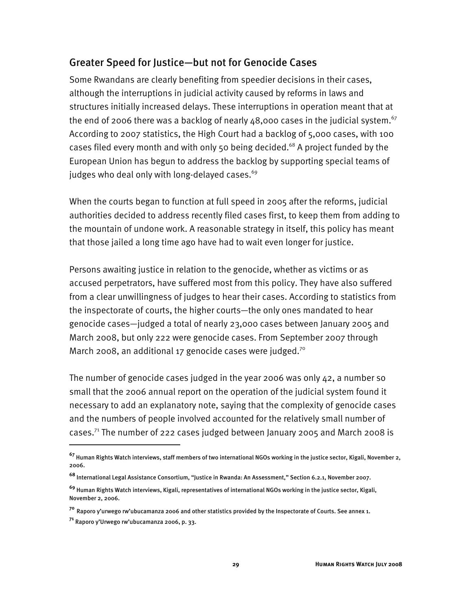#### Greater Speed for Justice—but not for Genocide Cases

Some Rwandans are clearly benefiting from speedier decisions in their cases, although the interruptions in judicial activity caused by reforms in laws and structures initially increased delays. These interruptions in operation meant that at the end of 2006 there was a backlog of nearly  $48,000$  cases in the judicial system.<sup>67</sup> According to 2007 statistics, the High Court had a backlog of 5,000 cases, with 100 cases filed every month and with only 50 being decided.<sup>68</sup> A project funded by the European Union has begun to address the backlog by supporting special teams of judges who deal only with long-delayed cases.<sup>69</sup>

When the courts began to function at full speed in 2005 after the reforms, judicial authorities decided to address recently filed cases first, to keep them from adding to the mountain of undone work. A reasonable strategy in itself, this policy has meant that those jailed a long time ago have had to wait even longer for justice.

Persons awaiting justice in relation to the genocide, whether as victims or as accused perpetrators, have suffered most from this policy. They have also suffered from a clear unwillingness of judges to hear their cases. According to statistics from the inspectorate of courts, the higher courts—the only ones mandated to hear genocide cases—judged a total of nearly 23,000 cases between January 2005 and March 2008, but only 222 were genocide cases. From September 2007 through March 2008, an additional 17 genocide cases were judged.<sup>70</sup>

The number of genocide cases judged in the year 2006 was only 42, a number so small that the 2006 annual report on the operation of the judicial system found it necessary to add an explanatory note, saying that the complexity of genocide cases and the numbers of people involved accounted for the relatively small number of cases.71 The number of 222 cases judged between January 2005 and March 2008 is

-

**<sup>67</sup>** Human Rights Watch interviews, staff members of two international NGOs working in the justice sector, Kigali, November 2, 2006.

**<sup>68</sup>** International Legal Assistance Consortium, "Justice in Rwanda: An Assessment," Section 6.2.1, November 2007.

**<sup>69</sup>** Human Rights Watch interviews, Kigali, representatives of international NGOs working in the justice sector, Kigali, November 2, 2006.

**<sup>70</sup>** Raporo y'urwego rw'ubucamanza 2006 and other statistics provided by the Inspectorate of Courts. See annex 1.

**<sup>71</sup>** Raporo y'Urwego rw'ubucamanza 2006, p. 33.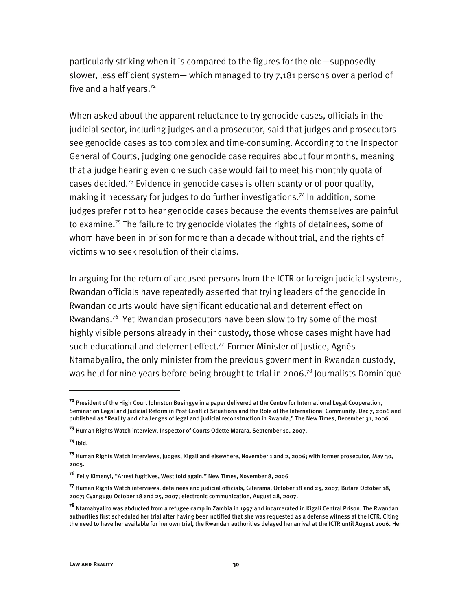particularly striking when it is compared to the figures for the old—supposedly slower, less efficient system— which managed to try 7,181 persons over a period of five and a half years. $72$ 

When asked about the apparent reluctance to try genocide cases, officials in the judicial sector, including judges and a prosecutor, said that judges and prosecutors see genocide cases as too complex and time-consuming. According to the Inspector General of Courts, judging one genocide case requires about four months, meaning that a judge hearing even one such case would fail to meet his monthly quota of cases decided.73 Evidence in genocide cases is often scanty or of poor quality, making it necessary for judges to do further investigations.74 In addition, some judges prefer not to hear genocide cases because the events themselves are painful to examine.<sup>75</sup> The failure to try genocide violates the rights of detainees, some of whom have been in prison for more than a decade without trial, and the rights of victims who seek resolution of their claims.

In arguing for the return of accused persons from the ICTR or foreign judicial systems, Rwandan officials have repeatedly asserted that trying leaders of the genocide in Rwandan courts would have significant educational and deterrent effect on Rwandans.76 Yet Rwandan prosecutors have been slow to try some of the most highly visible persons already in their custody, those whose cases might have had such educational and deterrent effect.<sup>77</sup> Former Minister of Justice, Agnès Ntamabyaliro, the only minister from the previous government in Rwandan custody, was held for nine years before being brought to trial in 2006.<sup>78</sup> Journalists Dominique

j

**<sup>72</sup>** President of the High Court Johnston Busingye in a paper delivered at the Centre for International Legal Cooperation, Seminar on Legal and Judicial Reform in Post Conflict Situations and the Role of the International Community, Dec 7, 2006 and published as "Reality and challenges of legal and judicial reconstruction in Rwanda," The New Times, December 31, 2006.

**<sup>73</sup>** Human Rights Watch interview, Inspector of Courts Odette Marara, September 10, 2007.

**<sup>74</sup>** Ibid.

**<sup>75</sup>** Human Rights Watch interviews, judges, Kigali and elsewhere, November 1 and 2, 2006; with former prosecutor, May 30, 2005.

**<sup>76</sup>** Felly Kimenyi, "Arrest fugitives, West told again," New Times, November 8, 2006

**<sup>77</sup>** Human Rights Watch interviews, detainees and judicial officials, Gitarama, October 18 and 25, 2007; Butare October 18, 2007; Cyangugu October 18 and 25, 2007; electronic communication, August 28, 2007.

**<sup>78</sup>**Ntamabyaliro was abducted from a refugee camp in Zambia in 1997 and incarcerated in Kigali Central Prison. The Rwandan authorities first scheduled her trial after having been notified that she was requested as a defense witness at the ICTR. Citing the need to have her available for her own trial, the Rwandan authorities delayed her arrival at the ICTR until August 2006. Her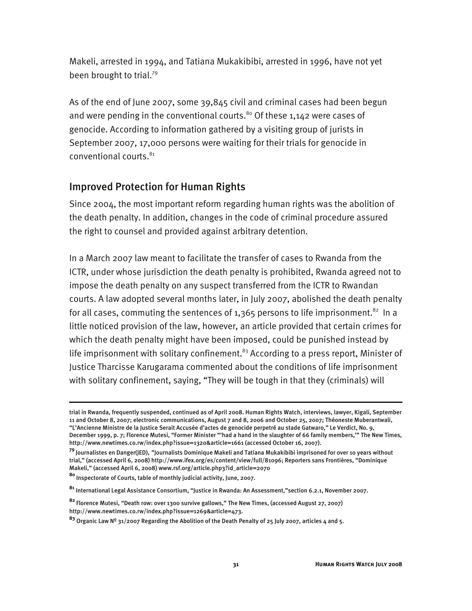Makeli, arrested in 1994, and Tatiana Mukakibibi, arrested in 1996, have not yet been brought to trial.79

As of the end of June 2007, some 39,845 civil and criminal cases had been begun and were pending in the conventional courts.<sup>80</sup> Of these 1,142 were cases of genocide. According to information gathered by a visiting group of jurists in September 2007, 17,000 persons were waiting for their trials for genocide in conventional courts.<sup>81</sup>

#### Improved Protection for Human Rights

Since 2004, the most important reform regarding human rights was the abolition of the death penalty. In addition, changes in the code of criminal procedure assured the right to counsel and provided against arbitrary detention.

In a March 2007 law meant to facilitate the transfer of cases to Rwanda from the ICTR, under whose jurisdiction the death penalty is prohibited, Rwanda agreed not to impose the death penalty on any suspect transferred from the ICTR to Rwandan courts. A law adopted several months later, in July 2007, abolished the death penalty for all cases, commuting the sentences of 1,365 persons to life imprisonment.<sup>82</sup> In a little noticed provision of the law, however, an article provided that certain crimes for which the death penalty might have been imposed, could be punished instead by life imprisonment with solitary confinement.<sup>83</sup> According to a press report, Minister of Justice Tharcisse Karugarama commented about the conditions of life imprisonment with solitary confinement, saying, "They will be tough in that they (criminals) will

trial in Rwanda, frequently suspended, continued as of April 2008. Human Rights Watch, interviews, lawyer, Kigali, September 11 and October 8, 2007; electronic communications, August 7 and 8, 2006 and October 25, 2007; Théoneste Muberantwali, "L'Ancienne Ministre de la Justice Serait Accusée d'actes de genocide perpetré au stade Gatwaro," Le Verdict, No. 9, December 1999, p. 7; Florence Mutesi, "Former Minister "'had a hand in the slaughter of 66 family members,'" The New Times, http://www.newtimes.co.rw/index.php?issue=1320&article=1661 (accessed October 16, 2007).

**<sup>79</sup>**Journalistes en Danger(JED), "Journalists Dominique Makeli and Tatiana Mukakibibi imprisoned for over 10 years without trial," (accessed April 6, 2008) http://www.ifex.org/es/content/view/full/81096; Reporters sans Frontières, "Dominique Makeli," (accessed April 6, 2008) www.rsf.org/article.php3?id\_article=2070

**<sup>80</sup>**Inspectorate of Courts, table of monthly judicial activity, June, 2007.

**<sup>81</sup>** International Legal Assistance Consortium, "Justice in Rwanda: An Assessment,"section 6.2.1, November 2007.

**<sup>82</sup>**Florence Mutesi, "Death row: over 1300 survive gallows," The New Times, (accessed August 27, 2007) http://www.newtimes.co.rw/index.php?issue=1269&article=473.

**<sup>83</sup>** Organic Law Nº 31/2007 Regarding the Abolition of the Death Penalty of 25 July 2007, articles 4 and 5.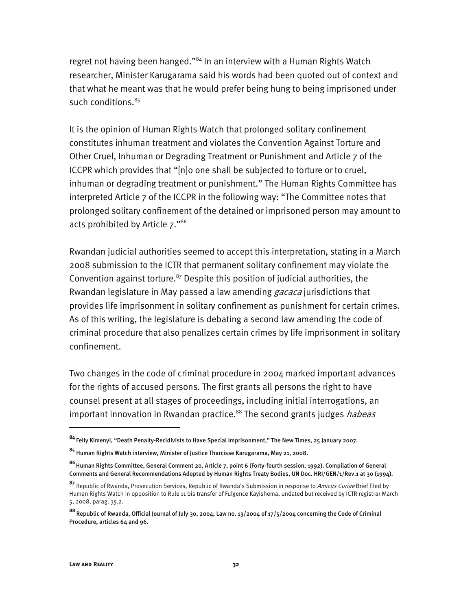regret not having been hanged."<sup>84</sup> In an interview with a Human Rights Watch researcher, Minister Karugarama said his words had been quoted out of context and that what he meant was that he would prefer being hung to being imprisoned under such conditions.<sup>85</sup>

It is the opinion of Human Rights Watch that prolonged solitary confinement constitutes inhuman treatment and violates the Convention Against Torture and Other Cruel, Inhuman or Degrading Treatment or Punishment and Article 7 of the ICCPR which provides that "[n]o one shall be subjected to torture or to cruel, inhuman or degrading treatment or punishment." The Human Rights Committee has interpreted Article 7 of the ICCPR in the following way: "The Committee notes that prolonged solitary confinement of the detained or imprisoned person may amount to acts prohibited by Article 7."86

Rwandan judicial authorities seemed to accept this interpretation, stating in a March 2008 submission to the ICTR that permanent solitary confinement may violate the Convention against torture.<sup>87</sup> Despite this position of judicial authorities, the Rwandan legislature in May passed a law amending *gacaca* jurisdictions that provides life imprisonment in solitary confinement as punishment for certain crimes. As of this writing, the legislature is debating a second law amending the code of criminal procedure that also penalizes certain crimes by life imprisonment in solitary confinement.

Two changes in the code of criminal procedure in 2004 marked important advances for the rights of accused persons. The first grants all persons the right to have counsel present at all stages of proceedings, including initial interrogations, an important innovation in Rwandan practice.<sup>88</sup> The second grants judges *habeas* 

**<sup>84</sup>**Felly Kimenyi, "Death Penalty-Recidivists to Have Special Imprisonment," The New Times, 25 January 2007.

**<sup>85</sup>** Human Rights Watch interview, Minister of Justice Tharcisse Karugarama, May 21, 2008.

**<sup>86</sup>**Human Rights Committee, General Comment 20, Article 7, point 6 (Forty-fourth session, 1992), Compilation of General Comments and General Recommendations Adopted by Human Rights Treaty Bodies, UN Doc. HRI/GEN/1/Rev.1 at 30 (1994).

**<sup>87</sup>** Republic of Rwanda, Prosecution Services, Republic of Rwanda's Submission in response to Amicus Curiae Brief filed by Human Rights Watch in opposition to Rule 11 bis transfer of Fulgence Kayishema, undated but received by ICTR registrar March 5, 2008, parag. 35.2.

**<sup>88</sup>**Republic of Rwanda, Official Journal of July 30, 2004, Law no. 13/2004 of 17/5/2004 concerning the Code of Criminal Procedure, articles 64 and 96.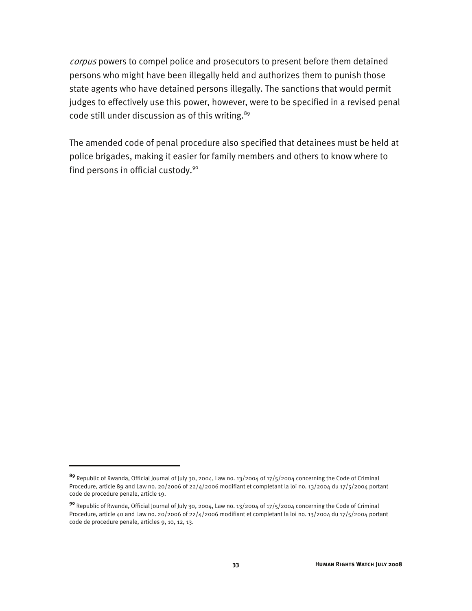corpus powers to compel police and prosecutors to present before them detained persons who might have been illegally held and authorizes them to punish those state agents who have detained persons illegally. The sanctions that would permit judges to effectively use this power, however, were to be specified in a revised penal code still under discussion as of this writing.<sup>89</sup>

The amended code of penal procedure also specified that detainees must be held at police brigades, making it easier for family members and others to know where to find persons in official custody.<sup>90</sup>

**<sup>89</sup>** Republic of Rwanda, Official Journal of July 30, 2004, Law no. 13/2004 of 17/5/2004 concerning the Code of Criminal Procedure, article 89 and Law no. 20/2006 of 22/4/2006 modifiant et completant la loi no. 13/2004 du 17/5/2004 portant code de procedure penale, article 19.

**<sup>90</sup>** Republic of Rwanda, Official Journal of July 30, 2004, Law no. 13/2004 of 17/5/2004 concerning the Code of Criminal Procedure, article 40 and Law no. 20/2006 of 22/4/2006 modifiant et completant la loi no. 13/2004 du 17/5/2004 portant code de procedure penale, articles 9, 10, 12, 13.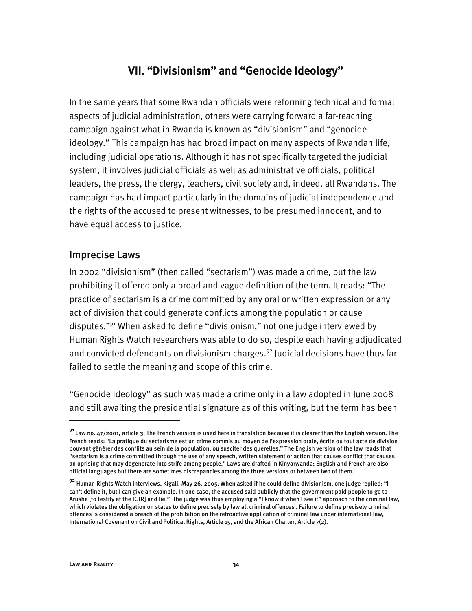# **VII. "Divisionism" and "Genocide Ideology"**

In the same years that some Rwandan officials were reforming technical and formal aspects of judicial administration, others were carrying forward a far-reaching campaign against what in Rwanda is known as "divisionism" and "genocide ideology." This campaign has had broad impact on many aspects of Rwandan life, including judicial operations. Although it has not specifically targeted the judicial system, it involves judicial officials as well as administrative officials, political leaders, the press, the clergy, teachers, civil society and, indeed, all Rwandans. The campaign has had impact particularly in the domains of judicial independence and the rights of the accused to present witnesses, to be presumed innocent, and to have equal access to justice.

#### Imprecise Laws

In 2002 "divisionism" (then called "sectarism") was made a crime, but the law prohibiting it offered only a broad and vague definition of the term. It reads: "The practice of sectarism is a crime committed by any oral or written expression or any act of division that could generate conflicts among the population or cause disputes."91 When asked to define "divisionism," not one judge interviewed by Human Rights Watch researchers was able to do so, despite each having adjudicated and convicted defendants on divisionism charges.<sup>92</sup> Judicial decisions have thus far failed to settle the meaning and scope of this crime.

"Genocide ideology" as such was made a crime only in a law adopted in June 2008 and still awaiting the presidential signature as of this writing, but the term has been

j

**<sup>91</sup>**Law no. 47/2001, article 3. The French version is used here in translation because it is clearer than the English version. The French reads: "La pratique du sectarisme est un crime commis au moyen de l'expression orale, écrite ou tout acte de division pouvant générer des conflits au sein de la population, ou susciter des querelles." The English version of the law reads that "sectarism is a crime committed through the use of any speech, written statement or action that causes conflict that causes an uprising that may degenerate into strife among people." Laws are drafted in Kinyarwanda; English and French are also official languages but there are sometimes discrepancies among the three versions or between two of them.

**<sup>92</sup>** Human Rights Watch interviews, Kigali, May 26, 2005. When asked if he could define divisionism, one judge replied: "I can't define it, but I can give an example. In one case, the accused said publicly that the government paid people to go to Arusha [to testify at the ICTR] and lie." The judge was thus employing a "I know it when I see it" approach to the criminal law, which violates the obligation on states to define precisely by law all criminal offences . Failure to define precisely criminal offences is considered a breach of the prohibition on the retroactive application of criminal law under international law, International Covenant on Civil and Political Rights, Article 15, and the African Charter, Article 7(2).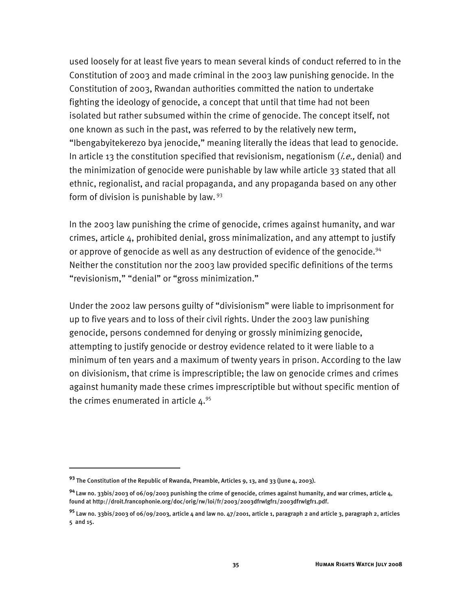used loosely for at least five years to mean several kinds of conduct referred to in the Constitution of 2003 and made criminal in the 2003 law punishing genocide. In the Constitution of 2003, Rwandan authorities committed the nation to undertake fighting the ideology of genocide, a concept that until that time had not been isolated but rather subsumed within the crime of genocide. The concept itself, not one known as such in the past, was referred to by the relatively new term, "Ibengabyitekerezo bya jenocide," meaning literally the ideas that lead to genocide. In article 13 the constitution specified that revisionism, negationism  $(i.e.,$  denial) and the minimization of genocide were punishable by law while article 33 stated that all ethnic, regionalist, and racial propaganda, and any propaganda based on any other form of division is punishable by law. 93

In the 2003 law punishing the crime of genocide, crimes against humanity, and war crimes, article 4, prohibited denial, gross minimalization, and any attempt to justify or approve of genocide as well as any destruction of evidence of the genocide.<sup>94</sup> Neither the constitution nor the 2003 law provided specific definitions of the terms "revisionism," "denial" or "gross minimization."

Under the 2002 law persons guilty of "divisionism" were liable to imprisonment for up to five years and to loss of their civil rights. Under the 2003 law punishing genocide, persons condemned for denying or grossly minimizing genocide, attempting to justify genocide or destroy evidence related to it were liable to a minimum of ten years and a maximum of twenty years in prison. According to the law on divisionism, that crime is imprescriptible; the law on genocide crimes and crimes against humanity made these crimes imprescriptible but without specific mention of the crimes enumerated in article  $4.95$ 

**<sup>93</sup>** The Constitution of the Republic of Rwanda, Preamble, Articles 9, 13, and 33 (June 4, 2003).

**<sup>94</sup>**Law no. 33bis/2003 of 06/09/2003 punishing the crime of genocide, crimes against humanity, and war crimes, article 4, found at http://droit.francophonie.org/doc/orig/rw/loi/fr/2003/2003dfrwlgfr1/2003dfrwlgfr1.pdf.

**<sup>95</sup>** Law no. 33bis/2003 of 06/09/2003, article 4 and law no. 47/2001, article 1, paragraph 2 and article 3, paragraph 2, articles 5 and 15.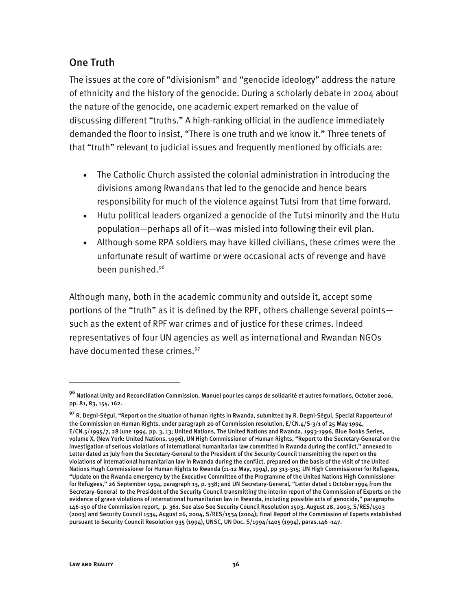## One Truth

The issues at the core of "divisionism" and "genocide ideology" address the nature of ethnicity and the history of the genocide. During a scholarly debate in 2004 about the nature of the genocide, one academic expert remarked on the value of discussing different "truths." A high-ranking official in the audience immediately demanded the floor to insist, "There is one truth and we know it." Three tenets of that "truth" relevant to judicial issues and frequently mentioned by officials are:

- The Catholic Church assisted the colonial administration in introducing the divisions among Rwandans that led to the genocide and hence bears responsibility for much of the violence against Tutsi from that time forward.
- Hutu political leaders organized a genocide of the Tutsi minority and the Hutu population—perhaps all of it—was misled into following their evil plan.
- Although some RPA soldiers may have killed civilians, these crimes were the unfortunate result of wartime or were occasional acts of revenge and have been punished.<sup>96</sup>

Although many, both in the academic community and outside it, accept some portions of the "truth" as it is defined by the RPF, others challenge several points such as the extent of RPF war crimes and of justice for these crimes. Indeed representatives of four UN agencies as well as international and Rwandan NGOs have documented these crimes.<sup>97</sup>

-

**<sup>96</sup>** National Unity and Reconciliation Commission, Manuel pour les camps de solidarité et autres formations, October 2006, pp. 81, 83, 154, 162.

**<sup>97</sup>** R. Degni-Ségui, "Report on the situation of human rights in Rwanda, submitted by R. Degni-Ségui, Special Rapporteur of the Commission on Human Rights, under paragraph 20 of Commission resolution, E/CN.4/S-3/1 of 25 May 1994, E/CN.5/1995/7, 28 June 1994, pp. 3, 13; United Nations, The United Nations and Rwanda, 1993-1996, Blue Books Series, volume X, (New York: United Nations, 1996), UN High Commissioner of Human Rights, "Report to the Secretary-General on the investigation of serious violations of international humanitarian law committed in Rwanda during the conflict," annexed to Letter dated 21 July from the Secretary-General to the President of the Security Council transmitting the report on the violations of international humanitarian law in Rwanda during the conflict, prepared on the basis of the visit of the United Nations Hugh Commissioner for Human Rights to Rwanda (11-12 May, 1994), pp 313-315; UN High Commissioner for Refugees, "Update on the Rwanda emergency by the Executive Committee of the Programme of the United Nations High Commissioner for Refugees," 26 September 1994, paragraph 13, p. 338; and UN Secretary-General, "Letter dated 1 October 1994 from the Secretary-General to the President of the Security Council transmitting the interim report of the Commission of Experts on the evidence of grave violations of international humanitarian law in Rwanda, including possible acts of genocide," paragraphs 146-150 of the Commission report, p. 361. See also See Security Council Resolution 1503, August 28, 2003, S/RES/1503 (2003) and Security Council 1534, August 26, 2004, S/RES/1534 (2004); Final Report of the Commission of Experts established pursuant to Security Council Resolution 935 (1994), UNSC, UN Doc. S/1994/1405 (1994), paras.146 -147.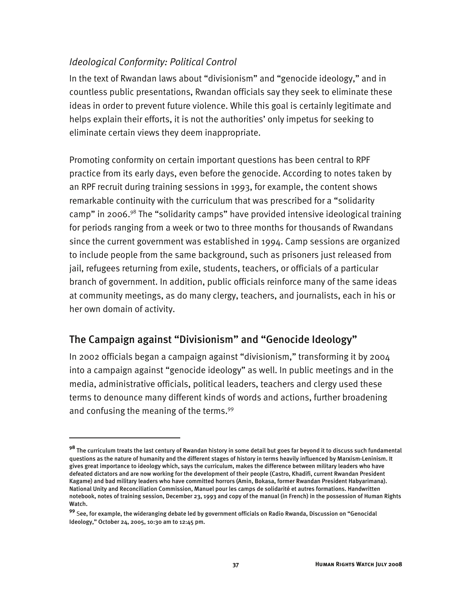## *Ideological Conformity: Political Control*

-

In the text of Rwandan laws about "divisionism" and "genocide ideology," and in countless public presentations, Rwandan officials say they seek to eliminate these ideas in order to prevent future violence. While this goal is certainly legitimate and helps explain their efforts, it is not the authorities' only impetus for seeking to eliminate certain views they deem inappropriate.

Promoting conformity on certain important questions has been central to RPF practice from its early days, even before the genocide. According to notes taken by an RPF recruit during training sessions in 1993, for example, the content shows remarkable continuity with the curriculum that was prescribed for a "solidarity camp" in 2006.<sup>98</sup> The "solidarity camps" have provided intensive ideological training for periods ranging from a week or two to three months for thousands of Rwandans since the current government was established in 1994. Camp sessions are organized to include people from the same background, such as prisoners just released from jail, refugees returning from exile, students, teachers, or officials of a particular branch of government. In addition, public officials reinforce many of the same ideas at community meetings, as do many clergy, teachers, and journalists, each in his or her own domain of activity.

# The Campaign against "Divisionism" and "Genocide Ideology"

In 2002 officials began a campaign against "divisionism," transforming it by 2004 into a campaign against "genocide ideology" as well. In public meetings and in the media, administrative officials, political leaders, teachers and clergy used these terms to denounce many different kinds of words and actions, further broadening and confusing the meaning of the terms.<sup>99</sup>

**<sup>98</sup>** The curriculum treats the last century of Rwandan history in some detail but goes far beyond it to discuss such fundamental questions as the nature of humanity and the different stages of history in terms heavily influenced by Marxism-Leninism. It gives great importance to ideology which, says the curriculum, makes the difference between military leaders who have defeated dictators and are now working for the development of their people (Castro, Khadifi, current Rwandan President Kagame) and bad military leaders who have committed horrors (Amin, Bokasa, former Rwandan President Habyarimana). National Unity and Reconciliation Commission, Manuel pour les camps de solidarité et autres formations. Handwritten notebook, notes of training session, December 23, 1993 and copy of the manual (in French) in the possession of Human Rights Watch.

**<sup>99</sup>** See, for example, the wideranging debate led by government officials on Radio Rwanda, Discussion on "Genocidal Ideology," October 24, 2005, 10:30 am to 12:45 pm.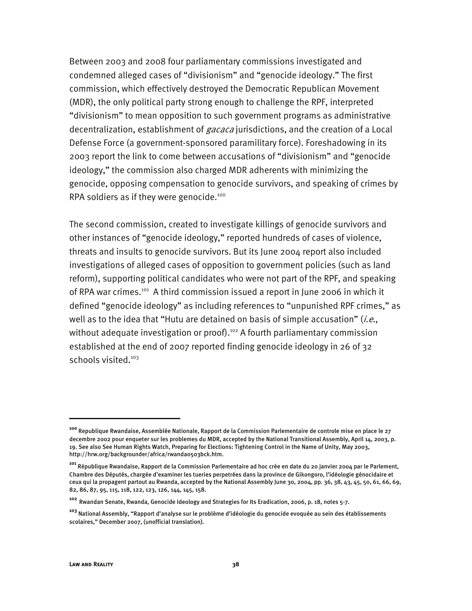Between 2003 and 2008 four parliamentary commissions investigated and condemned alleged cases of "divisionism" and "genocide ideology." The first commission, which effectively destroyed the Democratic Republican Movement (MDR), the only political party strong enough to challenge the RPF, interpreted "divisionism" to mean opposition to such government programs as administrative decentralization, establishment of *gacaca* jurisdictions, and the creation of a Local Defense Force (a government-sponsored paramilitary force). Foreshadowing in its 2003 report the link to come between accusations of "divisionism" and "genocide ideology," the commission also charged MDR adherents with minimizing the genocide, opposing compensation to genocide survivors, and speaking of crimes by RPA soldiers as if they were genocide.<sup>100</sup>

The second commission, created to investigate killings of genocide survivors and other instances of "genocide ideology," reported hundreds of cases of violence, threats and insults to genocide survivors. But its June 2004 report also included investigations of alleged cases of opposition to government policies (such as land reform), supporting political candidates who were not part of the RPF, and speaking of RPA war crimes.<sup>101</sup> A third commission issued a report in June 2006 in which it defined "genocide ideology" as including references to "unpunished RPF crimes," as well as to the idea that "Hutu are detained on basis of simple accusation" (*i.e.*, without adequate investigation or proof).<sup>102</sup> A fourth parliamentary commission established at the end of 2007 reported finding genocide ideology in 26 of 32 schools visited.<sup>103</sup>

**<sup>100</sup>** Republique Rwandaise, Assemblée Nationale, Rapport de la Commission Parlementaire de controle mise en place le 27 decembre 2002 pour enqueter sur les problemes du MDR, accepted by the National Transitional Assembly, April 14, 2003, p. 19. See also See Human Rights Watch, Preparing for Elections: Tightening Control in the Name of Unity, May 2003, http://hrw.org/backgrounder/africa/rwanda0503bck.htm.

**<sup>101</sup>** République Rwandaise, Rapport de la Commission Parlementaire ad hoc crée en date du 20 janvier 2004 par le Parlement, Chambre des Députés, chargée d'examiner les tueries perpetrées dans la province de Gikongoro, l'idéologie génocidaire et ceux qui la propagent partout au Rwanda, accepted by the National Assembly June 30, 2004, pp. 36, 38, 43, 45, 50, 61, 66, 69, 82, 86, 87, 95, 115, 118, 122, 123, 126, 144, 145, 158.

**<sup>102</sup>** Rwandan Senate, Rwanda, Genocide Ideology and Strategies for Its Eradication, 2006, p. 18, notes 5-7.

**<sup>103</sup>** National Assembly, "Rapport d'analyse sur le problème d'idéologie du genocide evoquée au sein des établissements scolaires," December 2007, (unofficial translation).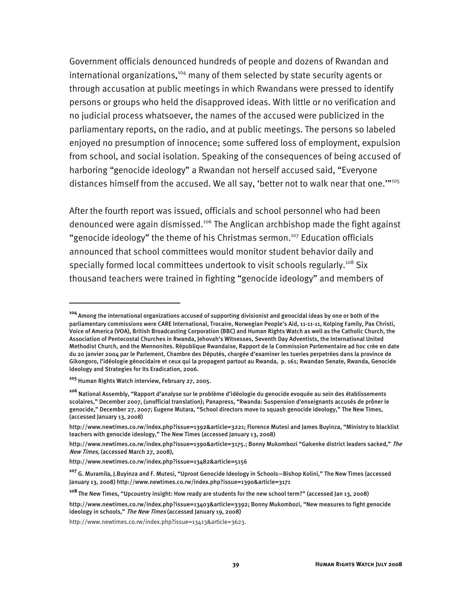Government officials denounced hundreds of people and dozens of Rwandan and international organizations,<sup>104</sup> many of them selected by state security agents or through accusation at public meetings in which Rwandans were pressed to identify persons or groups who held the disapproved ideas. With little or no verification and no judicial process whatsoever, the names of the accused were publicized in the parliamentary reports, on the radio, and at public meetings. The persons so labeled enjoyed no presumption of innocence; some suffered loss of employment, expulsion from school, and social isolation. Speaking of the consequences of being accused of harboring "genocide ideology" a Rwandan not herself accused said, "Everyone distances himself from the accused. We all say, 'better not to walk near that one.""<sup>105</sup>

After the fourth report was issued, officials and school personnel who had been denounced were again dismissed.<sup>106</sup> The Anglican archbishop made the fight against "genocide ideology" the theme of his Christmas sermon.<sup>107</sup> Education officials announced that school committees would monitor student behavior daily and specially formed local committees undertook to visit schools regularly.<sup>108</sup> Six thousand teachers were trained in fighting "genocide ideology" and members of

j

**<sup>104</sup>**Among the international organizations accused of supporting divisionist and genocidal ideas by one or both of the parliamentary commissions were CARE International, Trocaire, Norwegian People's Aid, 11-11-11, Kolping Family, Pax Christi, Voice of America (VOA), British Broadcasting Corporation (BBC) and Human Rights Watch as well as the Catholic Church, the Association of Pentecostal Churches in Rwanda, Jehovah's Witnesses, Seventh Day Adventists, the International United Methodist Church, and the Mennonites. République Rwandaise, Rapport de la Commission Parlementaire ad hoc crée en date du 20 janvier 2004 par le Parlement, Chambre des Députés, chargée d'examiner les tueries perpetrées dans la province de Gikongoro, l'idéologie génocidaire et ceux qui la propagent partout au Rwanda, p. 161; Rwandan Senate, Rwanda, Genocide Ideology and Strategies for Its Eradication, 2006.

**<sup>105</sup>** Human Rights Watch interview, February 27, 2005.

**<sup>106</sup>** National Assembly, "Rapport d'analyse sur le problème d'idéologie du genocide evoquée au sein des établissements scolaires," December 2007, (unofficial translation); Panapress, "Rwanda: Suspension d'enseignants accusés de prôner le genocide," December 27, 2007; Eugene Mutara, "School directors move to squash genocide ideology," The New Times, (accessed January 13, 2008)

http://www.newtimes.co.rw/index.php?issue=1392&article=3221; Florence Mutesi and James Buyinza, "Ministry to blacklist teachers with genocide ideology," The New Times (accessed January 13, 2008)

http://www.newtimes.co.rw/index.php?issue=1390&article=3175.; Bonny Mukombozi "Gakenke district leaders sacked," The New Times, (accessed March 27, 2008),

http://www.newtimes.co.rw/index.php?issue=13482&article=5156

**<sup>107</sup>** G. Muramila, J.Buyinza and F. Mutesi, "Uproot Genocide Ideology in Schools—Bishop Kolini," The New Times (accessed January 13, 2008) http://www.newtimes.co.rw/index.php?issue=1390&article=3171

**<sup>108</sup>**The New Times, "Upcountry insight: How ready are students for the new school term?" (accessed Jan 13, 2008)

http://www.newtimes.co.rw/index.php?issue=13403&article=3392; Bonny Mukombozi, "New measures to fight genocide ideology in schools," The New Times (accessed January 19, 2008)

http://www.newtimes.co.rw/index.php?issue=13413&article=3623.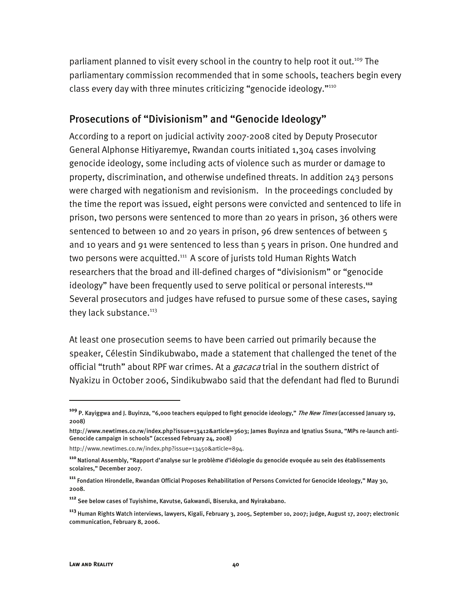parliament planned to visit every school in the country to help root it out.<sup>109</sup> The parliamentary commission recommended that in some schools, teachers begin every class every day with three minutes criticizing "genocide ideology."110

#### Prosecutions of "Divisionism" and "Genocide Ideology"

According to a report on judicial activity 2007-2008 cited by Deputy Prosecutor General Alphonse Hitiyaremye, Rwandan courts initiated 1,304 cases involving genocide ideology, some including acts of violence such as murder or damage to property, discrimination, and otherwise undefined threats. In addition 243 persons were charged with negationism and revisionism. In the proceedings concluded by the time the report was issued, eight persons were convicted and sentenced to life in prison, two persons were sentenced to more than 20 years in prison, 36 others were sentenced to between 10 and 20 years in prison, 96 drew sentences of between 5 and 10 years and 91 were sentenced to less than 5 years in prison. One hundred and two persons were acquitted.<sup>111</sup> A score of jurists told Human Rights Watch researchers that the broad and ill-defined charges of "divisionism" or "genocide ideology" have been frequently used to serve political or personal interests.**<sup>112</sup>** Several prosecutors and judges have refused to pursue some of these cases, saying they lack substance.<sup>113</sup>

At least one prosecution seems to have been carried out primarily because the speaker, Célestin Sindikubwabo, made a statement that challenged the tenet of the official "truth" about RPF war crimes. At a *gacaca* trial in the southern district of Nyakizu in October 2006, Sindikubwabo said that the defendant had fled to Burundi

-

**<sup>109</sup>** P. Kayiggwa and J. Buyinza, "6,000 teachers equipped to fight genocide ideology," The New Times (accessed January 19, 2008)

http://www.newtimes.co.rw/index.php?issue=13412&article=3603; James Buyinza and Ignatius Ssuna, "MPs re-launch anti-Genocide campaign in schools" (accessed February 24, 2008)

http://www.newtimes.co.rw/index.php?issue=13450&article=894.

**<sup>110</sup>**National Assembly, "Rapport d'analyse sur le problème d'idéologie du genocide evoquée au sein des établissements scolaires," December 2007.

**<sup>111</sup>** Fondation Hirondelle, Rwandan Official Proposes Rehabilitation of Persons Convicted for Genocide Ideology," May 30, 2008.

**<sup>112</sup>** See below cases of Tuyishime, Kavutse, Gakwandi, Biseruka, and Nyirakabano.

**<sup>113</sup>** Human Rights Watch interviews, lawyers, Kigali, February 3, 2005, September 10, 2007; judge, August 17, 2007; electronic communication, February 8, 2006.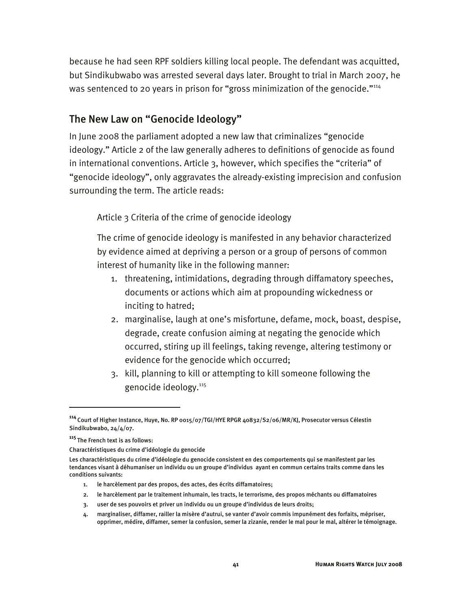because he had seen RPF soldiers killing local people. The defendant was acquitted, but Sindikubwabo was arrested several days later. Brought to trial in March 2007, he was sentenced to 20 years in prison for "gross minimization of the genocide."<sup>114</sup>

#### The New Law on "Genocide Ideology"

In June 2008 the parliament adopted a new law that criminalizes "genocide ideology." Article 2 of the law generally adheres to definitions of genocide as found in international conventions. Article 3, however, which specifies the "criteria" of "genocide ideology", only aggravates the already-existing imprecision and confusion surrounding the term. The article reads:

Article 3 Criteria of the crime of genocide ideology

The crime of genocide ideology is manifested in any behavior characterized by evidence aimed at depriving a person or a group of persons of common interest of humanity like in the following manner:

- 1. threatening, intimidations, degrading through diffamatory speeches, documents or actions which aim at propounding wickedness or inciting to hatred;
- 2. marginalise, laugh at one's misfortune, defame, mock, boast, despise, degrade, create confusion aiming at negating the genocide which occurred, stiring up ill feelings, taking revenge, altering testimony or evidence for the genocide which occurred;
- 3. kill, planning to kill or attempting to kill someone following the genocide ideology.115

- 1. le harcèlement par des propos, des actes, des écrits diffamatoires;
- 2. le harcèlement par le traitement inhumain, les tracts, le terrorisme, des propos méchants ou diffamatoires
- 3. user de ses pouvoirs et priver un individu ou un groupe d'individus de leurs droits;

**<sup>114</sup>**Court of Higher Instance, Huye, No. RP 0015/07/TGI/HYE RPGR 40832/S2/06/MR/KJ, Prosecutor versus Célestin Sindikubwabo, 24/4/07.

**<sup>115</sup>**The French text is as follows:

Charactéristiques du crime d'idéologie du genocide

Les charactéristiques du crime d'idéologie du genocide consistent en des comportements qui se manifestent par les tendances visant à déhumaniser un individu ou un groupe d'individus ayant en commun certains traits comme dans les conditions suivants:

<sup>4.</sup> marginaliser, diffamer, railler la misère d'autrui, se vanter d'avoir commis impunément des forfaits, mépriser, opprimer, médire, diffamer, semer la confusion, semer la zizanie, render le mal pour le mal, altérer le témoignage.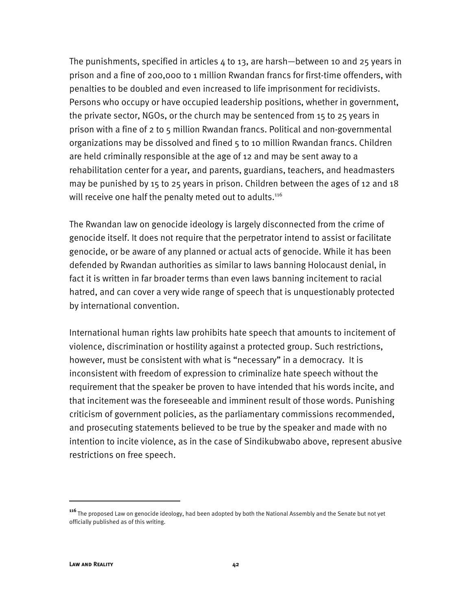The punishments, specified in articles  $4$  to 13, are harsh—between 10 and 25 years in prison and a fine of 200,000 to 1 million Rwandan francs for first-time offenders, with penalties to be doubled and even increased to life imprisonment for recidivists. Persons who occupy or have occupied leadership positions, whether in government, the private sector, NGOs, or the church may be sentenced from 15 to 25 years in prison with a fine of 2 to 5 million Rwandan francs. Political and non-governmental organizations may be dissolved and fined 5 to 10 million Rwandan francs. Children are held criminally responsible at the age of 12 and may be sent away to a rehabilitation center for a year, and parents, guardians, teachers, and headmasters may be punished by 15 to 25 years in prison. Children between the ages of 12 and 18 will receive one half the penalty meted out to adults.<sup>116</sup>

The Rwandan law on genocide ideology is largely disconnected from the crime of genocide itself. It does not require that the perpetrator intend to assist or facilitate genocide, or be aware of any planned or actual acts of genocide. While it has been defended by Rwandan authorities as similar to laws banning Holocaust denial, in fact it is written in far broader terms than even laws banning incitement to racial hatred, and can cover a very wide range of speech that is unquestionably protected by international convention.

International human rights law prohibits hate speech that amounts to incitement of violence, discrimination or hostility against a protected group. Such restrictions, however, must be consistent with what is "necessary" in a democracy. It is inconsistent with freedom of expression to criminalize hate speech without the requirement that the speaker be proven to have intended that his words incite, and that incitement was the foreseeable and imminent result of those words. Punishing criticism of government policies, as the parliamentary commissions recommended, and prosecuting statements believed to be true by the speaker and made with no intention to incite violence, as in the case of Sindikubwabo above, represent abusive restrictions on free speech.

**<sup>116</sup>**The proposed Law on genocide ideology, had been adopted by both the National Assembly and the Senate but not yet officially published as of this writing.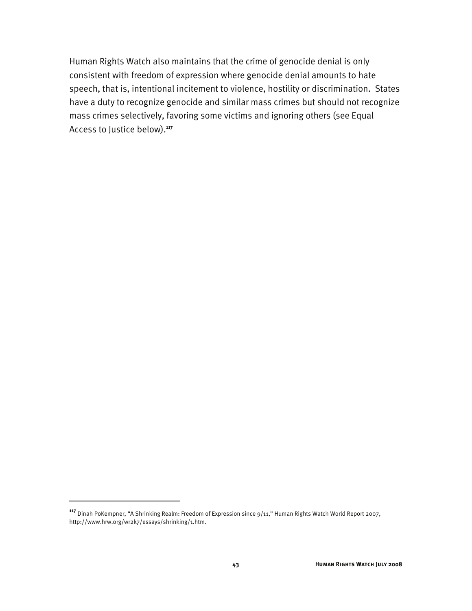Human Rights Watch also maintains that the crime of genocide denial is only consistent with freedom of expression where genocide denial amounts to hate speech, that is, intentional incitement to violence, hostility or discrimination. States have a duty to recognize genocide and similar mass crimes but should not recognize mass crimes selectively, favoring some victims and ignoring others (see Equal Access to Justice below).**<sup>117</sup>**

**<sup>117</sup>** Dinah PoKempner, "A Shrinking Realm: Freedom of Expression since 9/11," Human Rights Watch World Report 2007, http://www.hrw.org/wr2k7/essays/shrinking/1.htm.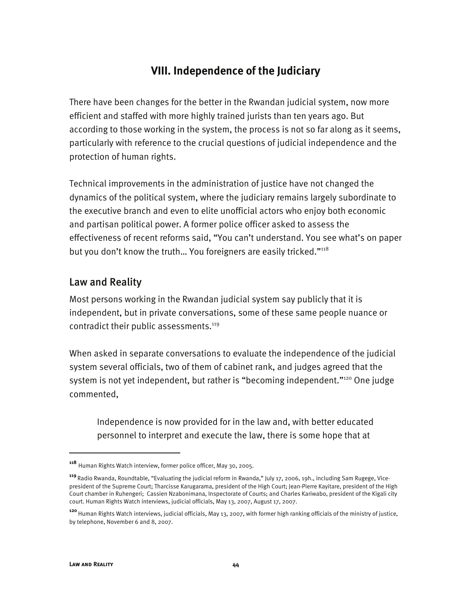# **VIII. Independence of the Judiciary**

There have been changes for the better in the Rwandan judicial system, now more efficient and staffed with more highly trained jurists than ten years ago. But according to those working in the system, the process is not so far along as it seems, particularly with reference to the crucial questions of judicial independence and the protection of human rights.

Technical improvements in the administration of justice have not changed the dynamics of the political system, where the judiciary remains largely subordinate to the executive branch and even to elite unofficial actors who enjoy both economic and partisan political power. A former police officer asked to assess the effectiveness of recent reforms said, "You can't understand. You see what's on paper but you don't know the truth... You foreigners are easily tricked."<sup>118</sup>

## Law and Reality

Most persons working in the Rwandan judicial system say publicly that it is independent, but in private conversations, some of these same people nuance or contradict their public assessments.<sup>119</sup>

When asked in separate conversations to evaluate the independence of the judicial system several officials, two of them of cabinet rank, and judges agreed that the system is not yet independent, but rather is "becoming independent."<sup>120</sup> One judge commented,

Independence is now provided for in the law and, with better educated personnel to interpret and execute the law, there is some hope that at

**<sup>118</sup>** Human Rights Watch interview, former police officer, May 30, 2005.

**<sup>119</sup>** Radio Rwanda, Roundtable, "Evaluating the judicial reform in Rwanda," July 17, 2006, 19h., including Sam Rugege, Vicepresident of the Supreme Court; Tharcisse Karugarama, president of the High Court; Jean-Pierre Kayitare, president of the High Court chamber in Ruhengeri; Cassien Nzabonimana, Inspectorate of Courts; and Charles Kariwabo, president of the Kigali city court. Human Rights Watch interviews, judicial officials, May 13, 2007, August 17, 2007.

**<sup>120</sup>**Human Rights Watch interviews, judicial officials, May 13, 2007, with former high ranking officials of the ministry of justice, by telephone, November 6 and 8, 2007.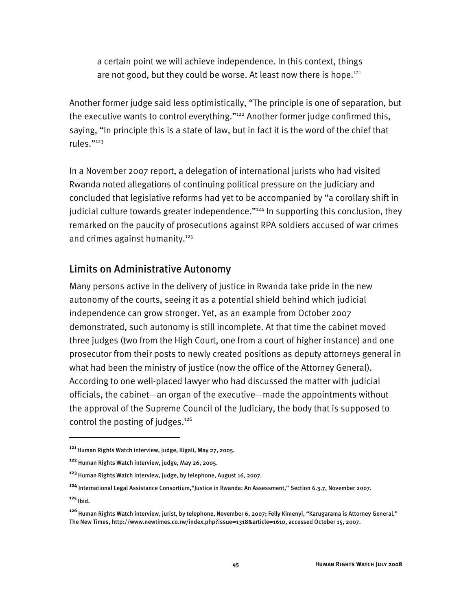a certain point we will achieve independence. In this context, things are not good, but they could be worse. At least now there is hope.<sup>121</sup>

Another former judge said less optimistically, "The principle is one of separation, but the executive wants to control everything."<sup>122</sup> Another former judge confirmed this, saying, "In principle this is a state of law, but in fact it is the word of the chief that rules."123

In a November 2007 report, a delegation of international jurists who had visited Rwanda noted allegations of continuing political pressure on the judiciary and concluded that legislative reforms had yet to be accompanied by "a corollary shift in judicial culture towards greater independence."<sup>124</sup> In supporting this conclusion, they remarked on the paucity of prosecutions against RPA soldiers accused of war crimes and crimes against humanity.<sup>125</sup>

## Limits on Administrative Autonomy

Many persons active in the delivery of justice in Rwanda take pride in the new autonomy of the courts, seeing it as a potential shield behind which judicial independence can grow stronger. Yet, as an example from October 2007 demonstrated, such autonomy is still incomplete. At that time the cabinet moved three judges (two from the High Court, one from a court of higher instance) and one prosecutor from their posts to newly created positions as deputy attorneys general in what had been the ministry of justice (now the office of the Attorney General). According to one well-placed lawyer who had discussed the matter with judicial officials, the cabinet—an organ of the executive—made the appointments without the approval of the Supreme Council of the Judiciary, the body that is supposed to control the posting of judges. $126$ 

**<sup>125</sup>**Ibid.

j

**<sup>121</sup>** Human Rights Watch interview, judge, Kigali, May 27, 2005.

**<sup>122</sup>**Human Rights Watch interview, judge, May 26, 2005.

**<sup>123</sup>**Human Rights Watch interview, judge, by telephone, August 16, 2007.

**<sup>124</sup>** International Legal Assistance Consortium,"Justice in Rwanda: An Assessment," Section 6.3.7, November 2007.

**<sup>126</sup>**Human Rights Watch interview, jurist, by telephone, November 6, 2007; Felly Kimenyi, "Karugarama is Attorney General," The New Times, http://www.newtimes.co.rw/index.php?issue=1318&article=1610, accessed October 15, 2007.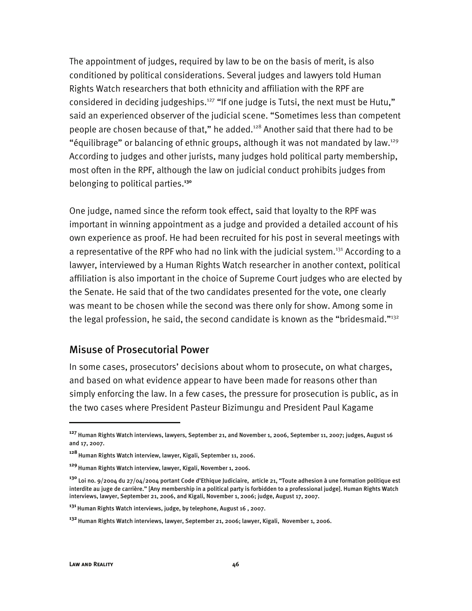The appointment of judges, required by law to be on the basis of merit, is also conditioned by political considerations. Several judges and lawyers told Human Rights Watch researchers that both ethnicity and affiliation with the RPF are considered in deciding judgeships.<sup>127</sup> "If one judge is Tutsi, the next must be Hutu," said an experienced observer of the judicial scene. "Sometimes less than competent people are chosen because of that," he added.128 Another said that there had to be "équilibrage" or balancing of ethnic groups, although it was not mandated by law.<sup>129</sup> According to judges and other jurists, many judges hold political party membership, most often in the RPF, although the law on judicial conduct prohibits judges from belonging to political parties.**<sup>130</sup>**

One judge, named since the reform took effect, said that loyalty to the RPF was important in winning appointment as a judge and provided a detailed account of his own experience as proof. He had been recruited for his post in several meetings with a representative of the RPF who had no link with the judicial system.<sup>131</sup> According to a lawyer, interviewed by a Human Rights Watch researcher in another context, political affiliation is also important in the choice of Supreme Court judges who are elected by the Senate. He said that of the two candidates presented for the vote, one clearly was meant to be chosen while the second was there only for show. Among some in the legal profession, he said, the second candidate is known as the "bridesmaid."<sup>132</sup>

#### Misuse of Prosecutorial Power

In some cases, prosecutors' decisions about whom to prosecute, on what charges, and based on what evidence appear to have been made for reasons other than simply enforcing the law. In a few cases, the pressure for prosecution is public, as in the two cases where President Pasteur Bizimungu and President Paul Kagame

j

**<sup>127</sup>** Human Rights Watch interviews, lawyers, September 21, and November 1, 2006, September 11, 2007; judges, August 16 and 17, 2007.

**<sup>128</sup>**Human Rights Watch interview, lawyer, Kigali, September 11, 2006.

**<sup>129</sup>**Human Rights Watch interview, lawyer, Kigali, November 1, 2006.

**<sup>130</sup>** Loi no. 9/2004 du 27/04/2004 portant Code d'Ethique Judiciaire, article 21, "Toute adhesion à une formation politique est interdite au juge de carrière." [Any membership in a political party is forbidden to a professional judge]. Human Rights Watch interviews, lawyer, September 21, 2006, and Kigali, November 1, 2006; judge, August 17, 2007.

**<sup>131</sup>**Human Rights Watch interviews, judge, by telephone, August 16 , 2007.

**<sup>132</sup>**Human Rights Watch interviews, lawyer, September 21, 2006; lawyer, Kigali, November 1, 2006.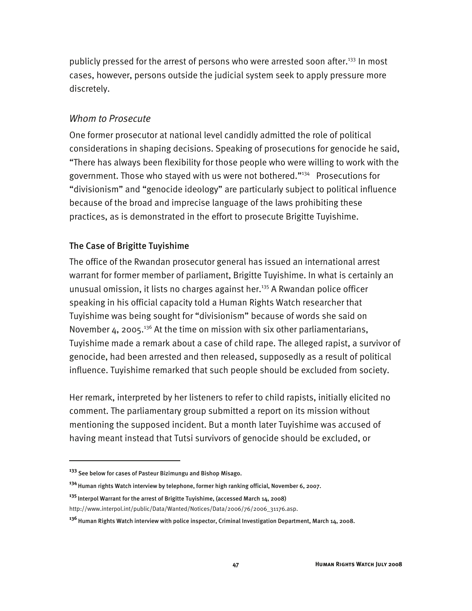publicly pressed for the arrest of persons who were arrested soon after.<sup>133</sup> In most cases, however, persons outside the judicial system seek to apply pressure more discretely.

#### *Whom to Prosecute*

One former prosecutor at national level candidly admitted the role of political considerations in shaping decisions. Speaking of prosecutions for genocide he said, "There has always been flexibility for those people who were willing to work with the government. Those who stayed with us were not bothered."134 Prosecutions for "divisionism" and "genocide ideology" are particularly subject to political influence because of the broad and imprecise language of the laws prohibiting these practices, as is demonstrated in the effort to prosecute Brigitte Tuyishime.

#### The Case of Brigitte Tuyishime

The office of the Rwandan prosecutor general has issued an international arrest warrant for former member of parliament, Brigitte Tuyishime. In what is certainly an unusual omission, it lists no charges against her.<sup>135</sup> A Rwandan police officer speaking in his official capacity told a Human Rights Watch researcher that Tuyishime was being sought for "divisionism" because of words she said on November 4, 2005.<sup>136</sup> At the time on mission with six other parliamentarians, Tuyishime made a remark about a case of child rape. The alleged rapist, a survivor of genocide, had been arrested and then released, supposedly as a result of political influence. Tuyishime remarked that such people should be excluded from society.

Her remark, interpreted by her listeners to refer to child rapists, initially elicited no comment. The parliamentary group submitted a report on its mission without mentioning the supposed incident. But a month later Tuyishime was accused of having meant instead that Tutsi survivors of genocide should be excluded, or

I

**<sup>135</sup>**Interpol Warrant for the arrest of Brigitte Tuyishime, (accessed March 14, 2008)

**<sup>133</sup>** See below for cases of Pasteur Bizimungu and Bishop Misago.

**<sup>134</sup>**Human rights Watch interview by telephone, former high ranking official, November 6, 2007.

http://www.interpol.int/public/Data/Wanted/Notices/Data/2006/76/2006\_31176.asp.

**<sup>136</sup>**Human Rights Watch interview with police inspector, Criminal Investigation Department, March 14, 2008.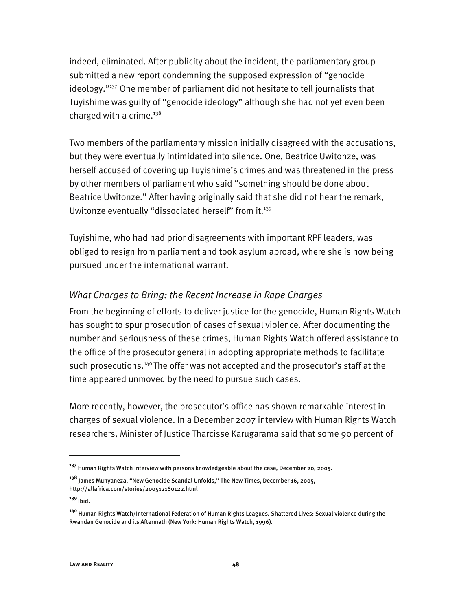indeed, eliminated. After publicity about the incident, the parliamentary group submitted a new report condemning the supposed expression of "genocide ideology."<sup>137</sup> One member of parliament did not hesitate to tell journalists that Tuyishime was guilty of "genocide ideology" although she had not yet even been charged with a crime.<sup>138</sup>

Two members of the parliamentary mission initially disagreed with the accusations, but they were eventually intimidated into silence. One, Beatrice Uwitonze, was herself accused of covering up Tuyishime's crimes and was threatened in the press by other members of parliament who said "something should be done about Beatrice Uwitonze." After having originally said that she did not hear the remark, Uwitonze eventually "dissociated herself" from it.<sup>139</sup>

Tuyishime, who had had prior disagreements with important RPF leaders, was obliged to resign from parliament and took asylum abroad, where she is now being pursued under the international warrant.

#### *What Charges to Bring: the Recent Increase in Rape Charges*

From the beginning of efforts to deliver justice for the genocide, Human Rights Watch has sought to spur prosecution of cases of sexual violence. After documenting the number and seriousness of these crimes, Human Rights Watch offered assistance to the office of the prosecutor general in adopting appropriate methods to facilitate such prosecutions.<sup>140</sup> The offer was not accepted and the prosecutor's staff at the time appeared unmoved by the need to pursue such cases.

More recently, however, the prosecutor's office has shown remarkable interest in charges of sexual violence. In a December 2007 interview with Human Rights Watch researchers, Minister of Justice Tharcisse Karugarama said that some 90 percent of

**<sup>139</sup>**Ibid.

**<sup>137</sup>** Human Rights Watch interview with persons knowledgeable about the case, December 20, 2005.

**<sup>138</sup>** James Munyaneza, "New Genocide Scandal Unfolds," The New Times, December 16, 2005, http://allafrica.com/stories/200512160122.html

**<sup>140</sup>** Human Rights Watch/International Federation of Human Rights Leagues, Shattered Lives: Sexual violence during the Rwandan Genocide and its Aftermath (New York: Human Rights Watch, 1996).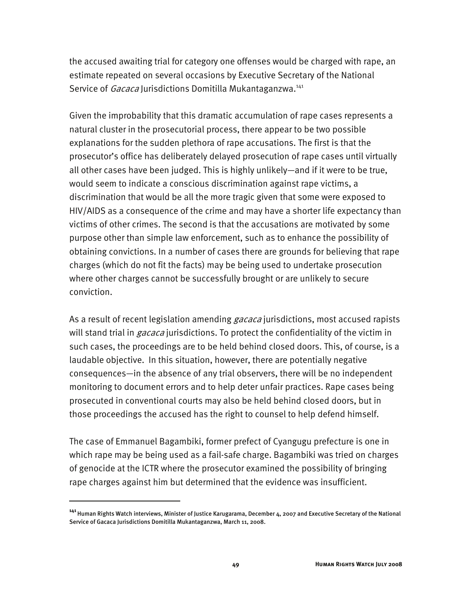the accused awaiting trial for category one offenses would be charged with rape, an estimate repeated on several occasions by Executive Secretary of the National Service of *Gacaca* Jurisdictions Domitilla Mukantaganzwa.<sup>141</sup>

Given the improbability that this dramatic accumulation of rape cases represents a natural cluster in the prosecutorial process, there appear to be two possible explanations for the sudden plethora of rape accusations. The first is that the prosecutor's office has deliberately delayed prosecution of rape cases until virtually all other cases have been judged. This is highly unlikely—and if it were to be true, would seem to indicate a conscious discrimination against rape victims, a discrimination that would be all the more tragic given that some were exposed to HIV/AIDS as a consequence of the crime and may have a shorter life expectancy than victims of other crimes. The second is that the accusations are motivated by some purpose other than simple law enforcement, such as to enhance the possibility of obtaining convictions. In a number of cases there are grounds for believing that rape charges (which do not fit the facts) may be being used to undertake prosecution where other charges cannot be successfully brought or are unlikely to secure conviction.

As a result of recent legislation amending *gacaca* jurisdictions, most accused rapists will stand trial in *gacaca* jurisdictions. To protect the confidentiality of the victim in such cases, the proceedings are to be held behind closed doors. This, of course, is a laudable objective. In this situation, however, there are potentially negative consequences—in the absence of any trial observers, there will be no independent monitoring to document errors and to help deter unfair practices. Rape cases being prosecuted in conventional courts may also be held behind closed doors, but in those proceedings the accused has the right to counsel to help defend himself.

The case of Emmanuel Bagambiki, former prefect of Cyangugu prefecture is one in which rape may be being used as a fail-safe charge. Bagambiki was tried on charges of genocide at the ICTR where the prosecutor examined the possibility of bringing rape charges against him but determined that the evidence was insufficient.

**<sup>141</sup>**Human Rights Watch interviews, Minister of Justice Karugarama, December 4, 2007 and Executive Secretary of the National Service of Gacaca Jurisdictions Domitilla Mukantaganzwa, March 11, 2008.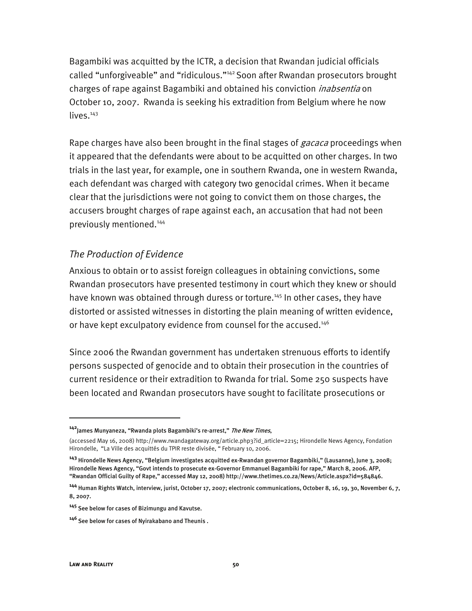Bagambiki was acquitted by the ICTR, a decision that Rwandan judicial officials called "unforgiveable" and "ridiculous."142 Soon after Rwandan prosecutors brought charges of rape against Bagambiki and obtained his conviction *inabsentia* on October 10, 2007. Rwanda is seeking his extradition from Belgium where he now  $lives.<sup>143</sup>$ 

Rape charges have also been brought in the final stages of *gacaca* proceedings when it appeared that the defendants were about to be acquitted on other charges. In two trials in the last year, for example, one in southern Rwanda, one in western Rwanda, each defendant was charged with category two genocidal crimes. When it became clear that the jurisdictions were not going to convict them on those charges, the accusers brought charges of rape against each, an accusation that had not been previously mentioned.144

#### *The Production of Evidence*

Anxious to obtain or to assist foreign colleagues in obtaining convictions, some Rwandan prosecutors have presented testimony in court which they knew or should have known was obtained through duress or torture.<sup>145</sup> In other cases, they have distorted or assisted witnesses in distorting the plain meaning of written evidence, or have kept exculpatory evidence from counsel for the accused.<sup>146</sup>

Since 2006 the Rwandan government has undertaken strenuous efforts to identify persons suspected of genocide and to obtain their prosecution in the countries of current residence or their extradition to Rwanda for trial. Some 250 suspects have been located and Rwandan prosecutors have sought to facilitate prosecutions or

**<sup>142</sup>**James Munyaneza, "Rwanda plots Bagambiki's re-arrest," The New Times,

<sup>(</sup>accessed May 16, 2008) http://www.rwandagateway.org/article.php3?id\_article=2215; Hirondelle News Agency, Fondation Hirondelle, "La Ville des acquittés du TPIR reste divisée, " February 10, 2006.

**<sup>143</sup>** Hirondelle News Agency, "Belgium investigates acquitted ex-Rwandan governor Bagambiki," (Lausanne), June 3, 2008; Hirondelle News Agency, "Govt intends to prosecute ex-Governor Emmanuel Bagambiki for rape," March 8, 2006. AFP, "Rwandan Official Guilty of Rape," accessed May 12, 2008) http://www.thetimes.co.za/News/Article.aspx?id=584846.

**<sup>144</sup>** Human Rights Watch, interview, jurist, October 17, 2007; electronic communications, October 8, 16, 19, 30, November 6, 7, 8, 2007.

**<sup>145</sup>** See below for cases of Bizimungu and Kavutse.

**<sup>146</sup>**See below for cases of Nyirakabano and Theunis .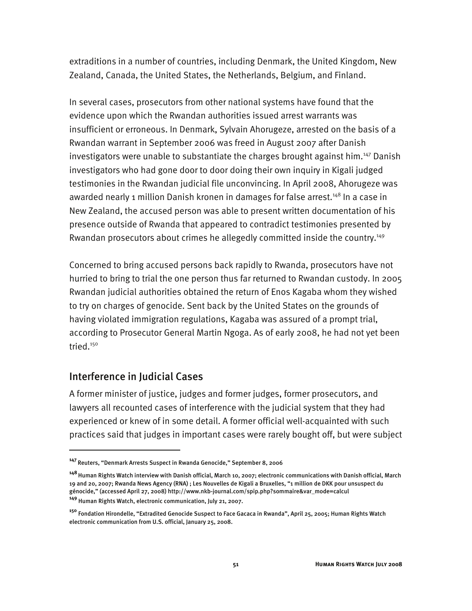extraditions in a number of countries, including Denmark, the United Kingdom, New Zealand, Canada, the United States, the Netherlands, Belgium, and Finland.

In several cases, prosecutors from other national systems have found that the evidence upon which the Rwandan authorities issued arrest warrants was insufficient or erroneous. In Denmark, Sylvain Ahorugeze, arrested on the basis of a Rwandan warrant in September 2006 was freed in August 2007 after Danish investigators were unable to substantiate the charges brought against him.<sup>147</sup> Danish investigators who had gone door to door doing their own inquiry in Kigali judged testimonies in the Rwandan judicial file unconvincing. In April 2008, Ahorugeze was awarded nearly 1 million Danish kronen in damages for false arrest.<sup>148</sup> In a case in New Zealand, the accused person was able to present written documentation of his presence outside of Rwanda that appeared to contradict testimonies presented by Rwandan prosecutors about crimes he allegedly committed inside the country.<sup>149</sup>

Concerned to bring accused persons back rapidly to Rwanda, prosecutors have not hurried to bring to trial the one person thus far returned to Rwandan custody. In 2005 Rwandan judicial authorities obtained the return of Enos Kagaba whom they wished to try on charges of genocide. Sent back by the United States on the grounds of having violated immigration regulations, Kagaba was assured of a prompt trial, according to Prosecutor General Martin Ngoga. As of early 2008, he had not yet been tried.<sup>150</sup>

#### Interference in Judicial Cases

I

A former minister of justice, judges and former judges, former prosecutors, and lawyers all recounted cases of interference with the judicial system that they had experienced or knew of in some detail. A former official well-acquainted with such practices said that judges in important cases were rarely bought off, but were subject

**<sup>147</sup>**Reuters, "Denmark Arrests Suspect in Rwanda Genocide," September 8, 2006

**<sup>148</sup>** Human Rights Watch interview with Danish official, March 10, 2007; electronic communications with Danish official, March 19 and 20, 2007; Rwanda News Agency (RNA) ; Les Nouvelles de Kigali a Bruxelles, "1 million de DKK pour unsuspect du génocide," (accessed April 27, 2008) http://www.nkb-journal.com/spip.php?sommaire&var\_mode=calcul

**<sup>149</sup>** Human Rights Watch, electronic communication, July 21, 2007.

**<sup>150</sup>** Fondation Hirondelle, "Extradited Genocide Suspect to Face Gacaca in Rwanda", April 25, 2005; Human Rights Watch electronic communication from U.S. official, January 25, 2008.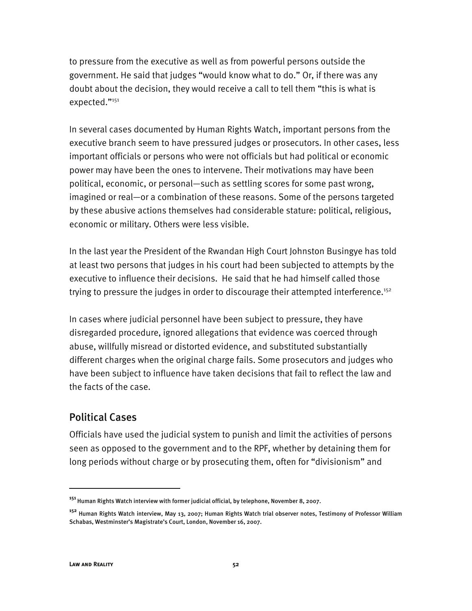to pressure from the executive as well as from powerful persons outside the government. He said that judges "would know what to do." Or, if there was any doubt about the decision, they would receive a call to tell them "this is what is expected."151

In several cases documented by Human Rights Watch, important persons from the executive branch seem to have pressured judges or prosecutors. In other cases, less important officials or persons who were not officials but had political or economic power may have been the ones to intervene. Their motivations may have been political, economic, or personal—such as settling scores for some past wrong, imagined or real—or a combination of these reasons. Some of the persons targeted by these abusive actions themselves had considerable stature: political, religious, economic or military. Others were less visible.

In the last year the President of the Rwandan High Court Johnston Busingye has told at least two persons that judges in his court had been subjected to attempts by the executive to influence their decisions. He said that he had himself called those trying to pressure the judges in order to discourage their attempted interference.<sup>152</sup>

In cases where judicial personnel have been subject to pressure, they have disregarded procedure, ignored allegations that evidence was coerced through abuse, willfully misread or distorted evidence, and substituted substantially different charges when the original charge fails. Some prosecutors and judges who have been subject to influence have taken decisions that fail to reflect the law and the facts of the case.

## Political Cases

Officials have used the judicial system to punish and limit the activities of persons seen as opposed to the government and to the RPF, whether by detaining them for long periods without charge or by prosecuting them, often for "divisionism" and

**<sup>151</sup>**Human Rights Watch interview with former judicial official, by telephone, November 8, 2007.

**<sup>152</sup>** Human Rights Watch interview, May 13, 2007; Human Rights Watch trial observer notes, Testimony of Professor William Schabas, Westminster's Magistrate's Court, London, November 16, 2007.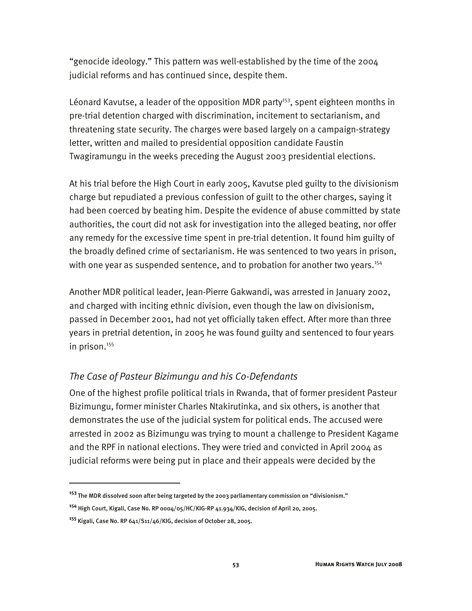"genocide ideology." This pattern was well-established by the time of the 2004 judicial reforms and has continued since, despite them.

Léonard Kavutse, a leader of the opposition MDR party<sup>153</sup>, spent eighteen months in pre-trial detention charged with discrimination, incitement to sectarianism, and threatening state security. The charges were based largely on a campaign-strategy letter, written and mailed to presidential opposition candidate Faustin Twagiramungu in the weeks preceding the August 2003 presidential elections.

At his trial before the High Court in early 2005, Kavutse pled guilty to the divisionism charge but repudiated a previous confession of guilt to the other charges, saying it had been coerced by beating him. Despite the evidence of abuse committed by state authorities, the court did not ask for investigation into the alleged beating, nor offer any remedy for the excessive time spent in pre-trial detention. It found him guilty of the broadly defined crime of sectarianism. He was sentenced to two years in prison, with one year as suspended sentence, and to probation for another two years.<sup>154</sup>

Another MDR political leader, Jean-Pierre Gakwandi, was arrested in January 2002, and charged with inciting ethnic division, even though the law on divisionism, passed in December 2001, had not yet officially taken effect. After more than three years in pretrial detention, in 2005 he was found guilty and sentenced to four years in prison.<sup>155</sup>

#### *The Case of Pasteur Bizimungu and his Co-Defendants*

One of the highest profile political trials in Rwanda, that of former president Pasteur Bizimungu, former minister Charles Ntakirutinka, and six others, is another that demonstrates the use of the judicial system for political ends. The accused were arrested in 2002 as Bizimungu was trying to mount a challenge to President Kagame and the RPF in national elections. They were tried and convicted in April 2004 as judicial reforms were being put in place and their appeals were decided by the

**<sup>153</sup>**The MDR dissolved soon after being targeted by the 2003 parliamentary commission on "divisionism."

**<sup>154</sup>** High Court, Kigali, Case No. RP 0004/05/HC/KIG-RP 41.934/KIG, decision of April 20, 2005.

**<sup>155</sup>** Kigali, Case No. RP 641/S11/46/KIG, decision of October 28, 2005.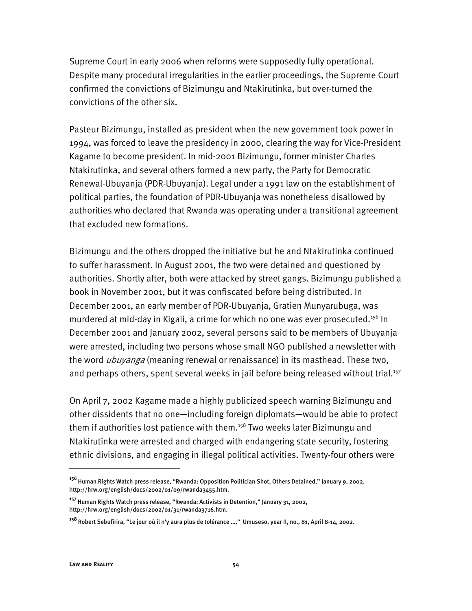Supreme Court in early 2006 when reforms were supposedly fully operational. Despite many procedural irregularities in the earlier proceedings, the Supreme Court confirmed the convictions of Bizimungu and Ntakirutinka, but over-turned the convictions of the other six.

Pasteur Bizimungu, installed as president when the new government took power in 1994, was forced to leave the presidency in 2000, clearing the way for Vice-President Kagame to become president. In mid-2001 Bizimungu, former minister Charles Ntakirutinka, and several others formed a new party, the Party for Democratic Renewal-Ubuyanja (PDR-Ubuyanja). Legal under a 1991 law on the establishment of political parties, the foundation of PDR-Ubuyanja was nonetheless disallowed by authorities who declared that Rwanda was operating under a transitional agreement that excluded new formations.

Bizimungu and the others dropped the initiative but he and Ntakirutinka continued to suffer harassment. In August 2001, the two were detained and questioned by authorities. Shortly after, both were attacked by street gangs. Bizimungu published a book in November 2001, but it was confiscated before being distributed. In December 2001, an early member of PDR-Ubuyanja, Gratien Munyarubuga, was murdered at mid-day in Kigali, a crime for which no one was ever prosecuted.<sup>156</sup> In December 2001 and January 2002, several persons said to be members of Ubuyanja were arrested, including two persons whose small NGO published a newsletter with the word *ubuyanga* (meaning renewal or renaissance) in its masthead. These two, and perhaps others, spent several weeks in jail before being released without trial.<sup>157</sup>

On April 7, 2002 Kagame made a highly publicized speech warning Bizimungu and other dissidents that no one—including foreign diplomats—would be able to protect them if authorities lost patience with them.<sup>158</sup> Two weeks later Bizimungu and Ntakirutinka were arrested and charged with endangering state security, fostering ethnic divisions, and engaging in illegal political activities. Twenty-four others were

**<sup>156</sup>**Human Rights Watch press release, "Rwanda: Opposition Politician Shot, Others Detained," January 9, 2002, http://hrw.org/english/docs/2002/01/09/rwanda3455.htm.

**<sup>157</sup>** Human Rights Watch press release, "Rwanda: Activists in Detention," January 31, 2002, http://hrw.org/english/docs/2002/01/31/rwanda3716.htm.

**<sup>158</sup>**Robert Sebufirira, "Le jour où il n'y aura plus de tolérance …," Umuseso, year II, no., 81, April 8-14, 2002.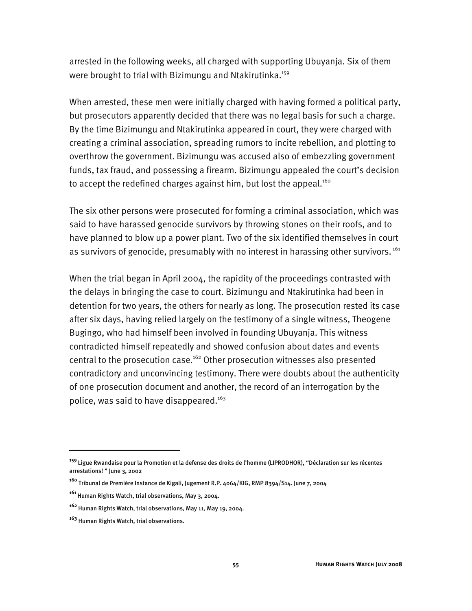arrested in the following weeks, all charged with supporting Ubuyanja. Six of them were brought to trial with Bizimungu and Ntakirutinka.<sup>159</sup>

When arrested, these men were initially charged with having formed a political party, but prosecutors apparently decided that there was no legal basis for such a charge. By the time Bizimungu and Ntakirutinka appeared in court, they were charged with creating a criminal association, spreading rumors to incite rebellion, and plotting to overthrow the government. Bizimungu was accused also of embezzling government funds, tax fraud, and possessing a firearm. Bizimungu appealed the court's decision to accept the redefined charges against him, but lost the appeal.<sup>160</sup>

The six other persons were prosecuted for forming a criminal association, which was said to have harassed genocide survivors by throwing stones on their roofs, and to have planned to blow up a power plant. Two of the six identified themselves in court as survivors of genocide, presumably with no interest in harassing other survivors.<sup>161</sup>

When the trial began in April 2004, the rapidity of the proceedings contrasted with the delays in bringing the case to court. Bizimungu and Ntakirutinka had been in detention for two years, the others for nearly as long. The prosecution rested its case after six days, having relied largely on the testimony of a single witness, Theogene Bugingo, who had himself been involved in founding Ubuyanja. This witness contradicted himself repeatedly and showed confusion about dates and events central to the prosecution case.<sup>162</sup> Other prosecution witnesses also presented contradictory and unconvincing testimony. There were doubts about the authenticity of one prosecution document and another, the record of an interrogation by the police, was said to have disappeared.<sup>163</sup>

j

**<sup>159</sup>**Ligue Rwandaise pour la Promotion et la defense des droits de l'homme (LIPRODHOR), "Déclaration sur les récentes arrestations! " June 3, 2002

**<sup>160</sup>** Tribunal de Première Instance de Kigali, Jugement R.P. 4064/KIG, RMP 8394/S14. June 7, 2004

**<sup>161</sup>**Human Rights Watch, trial observations, May 3, 2004.

**<sup>162</sup>** Human Rights Watch, trial observations, May 11, May 19, 2004.

**<sup>163</sup>** Human Rights Watch, trial observations.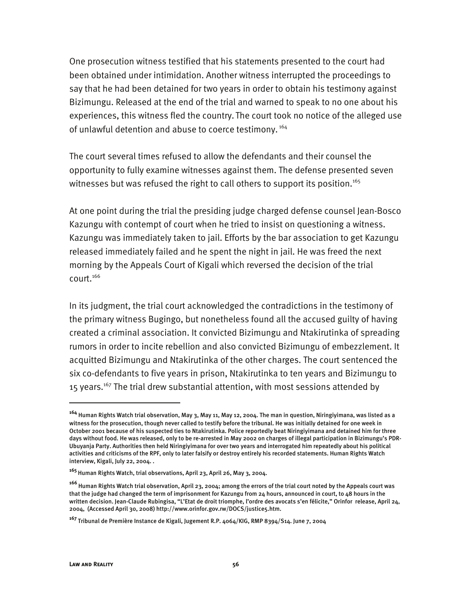One prosecution witness testified that his statements presented to the court had been obtained under intimidation. Another witness interrupted the proceedings to say that he had been detained for two years in order to obtain his testimony against Bizimungu. Released at the end of the trial and warned to speak to no one about his experiences, this witness fled the country. The court took no notice of the alleged use of unlawful detention and abuse to coerce testimony.<sup>164</sup>

The court several times refused to allow the defendants and their counsel the opportunity to fully examine witnesses against them. The defense presented seven witnesses but was refused the right to call others to support its position.<sup>165</sup>

At one point during the trial the presiding judge charged defense counsel Jean-Bosco Kazungu with contempt of court when he tried to insist on questioning a witness. Kazungu was immediately taken to jail. Efforts by the bar association to get Kazungu released immediately failed and he spent the night in jail. He was freed the next morning by the Appeals Court of Kigali which reversed the decision of the trial court.<sup>166</sup>

In its judgment, the trial court acknowledged the contradictions in the testimony of the primary witness Bugingo, but nonetheless found all the accused guilty of having created a criminal association. It convicted Bizimungu and Ntakirutinka of spreading rumors in order to incite rebellion and also convicted Bizimungu of embezzlement. It acquitted Bizimungu and Ntakirutinka of the other charges. The court sentenced the six co-defendants to five years in prison, Ntakirutinka to ten years and Bizimungu to 15 years.<sup>167</sup> The trial drew substantial attention, with most sessions attended by

-

**<sup>164</sup>** Human Rights Watch trial observation, May 3, May 11, May 12, 2004. The man in question, Niringiyimana, was listed as a witness for the prosecution, though never called to testify before the tribunal. He was initially detained for one week in October 2001 because of his suspected ties to Ntakirutinka. Police reportedly beat Niringiyimana and detained him for three days without food. He was released, only to be re-arrested in May 2002 on charges of illegal participation in Bizimungu's PDR-Ubuyanja Party. Authorities then held Niringiyimana for over two years and interrogated him repeatedly about his political activities and criticisms of the RPF, only to later falsify or destroy entirely his recorded statements. Human Rights Watch interview, Kigali, July 22, 2004. .

**<sup>165</sup>**Human Rights Watch, trial observations, April 23, April 26, May 3, 2004.

**<sup>166</sup>**Human Rights Watch trial observation, April 23, 2004; among the errors of the trial court noted by the Appeals court was that the judge had changed the term of imprisonment for Kazungu from 24 hours, announced in court, to 48 hours in the written decision. Jean-Claude Rubingisa, "L'Etat de droit triomphe, l'ordre des avocats s'en félicite," Orinfor release, April 24, 2004, (Accessed April 30, 2008) http://www.orinfor.gov.rw/DOCS/justice5.htm.

**<sup>167</sup>** Tribunal de Première Instance de Kigali, Jugement R.P. 4064/KIG, RMP 8394/S14. June 7, 2004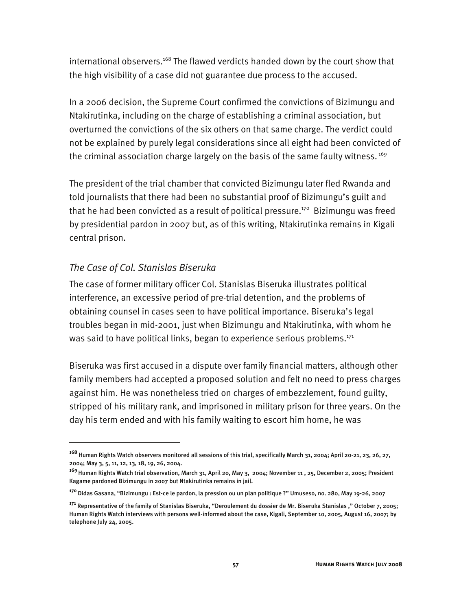international observers.<sup>168</sup> The flawed verdicts handed down by the court show that the high visibility of a case did not guarantee due process to the accused.

In a 2006 decision, the Supreme Court confirmed the convictions of Bizimungu and Ntakirutinka, including on the charge of establishing a criminal association, but overturned the convictions of the six others on that same charge. The verdict could not be explained by purely legal considerations since all eight had been convicted of the criminal association charge largely on the basis of the same faulty witness.<sup>169</sup>

The president of the trial chamber that convicted Bizimungu later fled Rwanda and told journalists that there had been no substantial proof of Bizimungu's guilt and that he had been convicted as a result of political pressure.<sup>170</sup> Bizimungu was freed by presidential pardon in 2007 but, as of this writing, Ntakirutinka remains in Kigali central prison.

## *The Case of Col. Stanislas Biseruka*

I

The case of former military officer Col. Stanislas Biseruka illustrates political interference, an excessive period of pre-trial detention, and the problems of obtaining counsel in cases seen to have political importance. Biseruka's legal troubles began in mid-2001, just when Bizimungu and Ntakirutinka, with whom he was said to have political links, began to experience serious problems.<sup>171</sup>

Biseruka was first accused in a dispute over family financial matters, although other family members had accepted a proposed solution and felt no need to press charges against him. He was nonetheless tried on charges of embezzlement, found guilty, stripped of his military rank, and imprisoned in military prison for three years. On the day his term ended and with his family waiting to escort him home, he was

**<sup>168</sup>** Human Rights Watch observers monitored all sessions of this trial, specifically March 31, 2004; April 20-21, 23, 26, 27, 2004; May 3, 5, 11, 12, 13, 18, 19, 26, 2004.

**<sup>169</sup>**Human Rights Watch trial observation, March 31, April 20, May 3, 2004; November 11 , 25, December 2, 2005; President Kagame pardoned Bizimungu in 2007 but Ntakirutinka remains in jail.

**<sup>170</sup>**Didas Gasana, "Bizimungu : Est-ce le pardon, la pression ou un plan politique ?" Umuseso, no. 280, May 19-26, 2007

**<sup>171</sup>** Representative of the family of Stanislas Biseruka, "Deroulement du dossier de Mr. Biseruka Stanislas ," October 7, 2005; Human Rights Watch interviews with persons well-informed about the case, Kigali, September 10, 2005, August 16, 2007; by telephone July 24, 2005.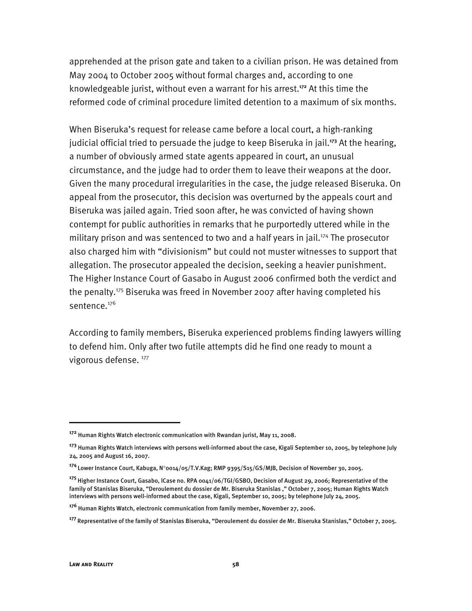apprehended at the prison gate and taken to a civilian prison. He was detained from May 2004 to October 2005 without formal charges and, according to one knowledgeable jurist, without even a warrant for his arrest.**<sup>172</sup>** At this time the reformed code of criminal procedure limited detention to a maximum of six months.

When Biseruka's request for release came before a local court, a high-ranking judicial official tried to persuade the judge to keep Biseruka in jail.**<sup>173</sup>** At the hearing, a number of obviously armed state agents appeared in court, an unusual circumstance, and the judge had to order them to leave their weapons at the door. Given the many procedural irregularities in the case, the judge released Biseruka. On appeal from the prosecutor, this decision was overturned by the appeals court and Biseruka was jailed again. Tried soon after, he was convicted of having shown contempt for public authorities in remarks that he purportedly uttered while in the military prison and was sentenced to two and a half years in jail.<sup>174</sup> The prosecutor also charged him with "divisionism" but could not muster witnesses to support that allegation. The prosecutor appealed the decision, seeking a heavier punishment. The Higher Instance Court of Gasabo in August 2006 confirmed both the verdict and the penalty.175 Biseruka was freed in November 2007 after having completed his sentence.<sup>176</sup>

According to family members, Biseruka experienced problems finding lawyers willing to defend him. Only after two futile attempts did he find one ready to mount a vigorous defense. 177

-

**<sup>172</sup>** Human Rights Watch electronic communication with Rwandan jurist, May 11, 2008.

**<sup>173</sup>** Human Rights Watch interviews with persons well-informed about the case, Kigali September 10, 2005, by telephone July 24, 2005 and August 16, 2007.

**<sup>174</sup>** Lower Instance Court, Kabuga, N°0014/05/T.V.Kag; RMP 9395/S15/GS/MJB, Decision of November 30, 2005.

**<sup>175</sup>** Higher Instance Court, Gasabo, lCase no. RPA 0041/06/TGI/GSBO, Decision of August 29, 2006; Representative of the family of Stanislas Biseruka, "Deroulement du dossier de Mr. Biseruka Stanislas ," October 7, 2005; Human Rights Watch interviews with persons well-informed about the case, Kigali, September 10, 2005; by telephone July 24, 2005.

**<sup>176</sup>** Human Rights Watch, electronic communication from family member, November 27, 2006.

**<sup>177</sup>**Representative of the family of Stanislas Biseruka, "Deroulement du dossier de Mr. Biseruka Stanislas," October 7, 2005.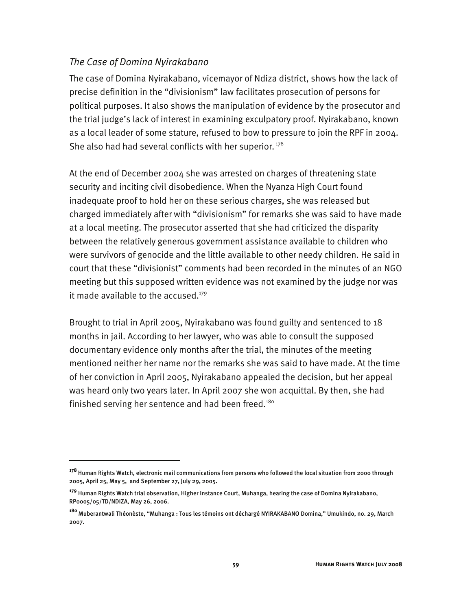#### *The Case of Domina Nyirakabano*

I

The case of Domina Nyirakabano, vicemayor of Ndiza district, shows how the lack of precise definition in the "divisionism" law facilitates prosecution of persons for political purposes. It also shows the manipulation of evidence by the prosecutor and the trial judge's lack of interest in examining exculpatory proof. Nyirakabano, known as a local leader of some stature, refused to bow to pressure to join the RPF in 2004. She also had had several conflicts with her superior.<sup>178</sup>

At the end of December 2004 she was arrested on charges of threatening state security and inciting civil disobedience. When the Nyanza High Court found inadequate proof to hold her on these serious charges, she was released but charged immediately after with "divisionism" for remarks she was said to have made at a local meeting. The prosecutor asserted that she had criticized the disparity between the relatively generous government assistance available to children who were survivors of genocide and the little available to other needy children. He said in court that these "divisionist" comments had been recorded in the minutes of an NGO meeting but this supposed written evidence was not examined by the judge nor was it made available to the accused. $179$ 

Brought to trial in April 2005, Nyirakabano was found guilty and sentenced to 18 months in jail. According to her lawyer, who was able to consult the supposed documentary evidence only months after the trial, the minutes of the meeting mentioned neither her name nor the remarks she was said to have made. At the time of her conviction in April 2005, Nyirakabano appealed the decision, but her appeal was heard only two years later. In April 2007 she won acquittal. By then, she had finished serving her sentence and had been freed.<sup>180</sup>

**<sup>178</sup>** Human Rights Watch, electronic mail communications from persons who followed the local situation from 2000 through 2005, April 25, May 5, and September 27, July 29, 2005.

**<sup>179</sup>** Human Rights Watch trial observation, Higher Instance Court, Muhanga, hearing the case of Domina Nyirakabano, RP0005/05/TD/NDIZA, May 26, 2006.

**<sup>180</sup>**Muberantwali Théonèste, "Muhanga : Tous les témoins ont déchargé NYIRAKABANO Domina," Umukindo, no. 29, March 2007.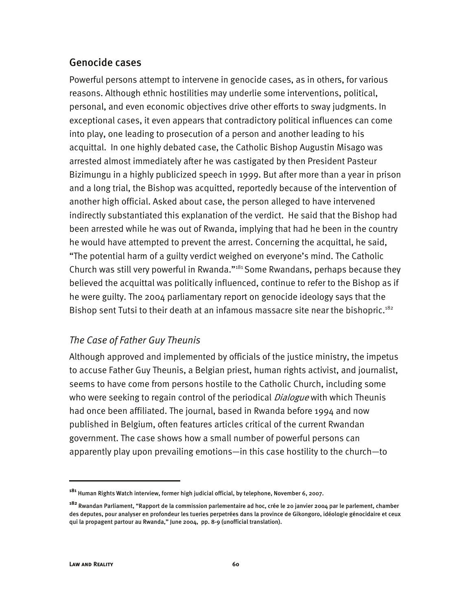## Genocide cases

Powerful persons attempt to intervene in genocide cases, as in others, for various reasons. Although ethnic hostilities may underlie some interventions, political, personal, and even economic objectives drive other efforts to sway judgments. In exceptional cases, it even appears that contradictory political influences can come into play, one leading to prosecution of a person and another leading to his acquittal. In one highly debated case, the Catholic Bishop Augustin Misago was arrested almost immediately after he was castigated by then President Pasteur Bizimungu in a highly publicized speech in 1999. But after more than a year in prison and a long trial, the Bishop was acquitted, reportedly because of the intervention of another high official. Asked about case, the person alleged to have intervened indirectly substantiated this explanation of the verdict. He said that the Bishop had been arrested while he was out of Rwanda, implying that had he been in the country he would have attempted to prevent the arrest. Concerning the acquittal, he said, "The potential harm of a guilty verdict weighed on everyone's mind. The Catholic Church was still very powerful in Rwanda."181 Some Rwandans, perhaps because they believed the acquittal was politically influenced, continue to refer to the Bishop as if he were guilty. The 2004 parliamentary report on genocide ideology says that the Bishop sent Tutsi to their death at an infamous massacre site near the bishopric.<sup>182</sup>

## *The Case of Father Guy Theunis*

Although approved and implemented by officials of the justice ministry, the impetus to accuse Father Guy Theunis, a Belgian priest, human rights activist, and journalist, seems to have come from persons hostile to the Catholic Church, including some who were seeking to regain control of the periodical *Dialogue* with which Theunis had once been affiliated. The journal, based in Rwanda before 1994 and now published in Belgium, often features articles critical of the current Rwandan government. The case shows how a small number of powerful persons can apparently play upon prevailing emotions—in this case hostility to the church—to

**<sup>181</sup>** Human Rights Watch interview, former high judicial official, by telephone, November 6, 2007.

**<sup>182</sup>**Rwandan Parliament, "Rapport de la commission parlementaire ad hoc, crée le 20 janvier 2004 par le parlement, chamber des deputes, pour analyser en profondeur les tueries perpetrées dans la province de Gikongoro, idéologie génocidaire et ceux qui la propagent partour au Rwanda," June 2004, pp. 8-9 (unofficial translation).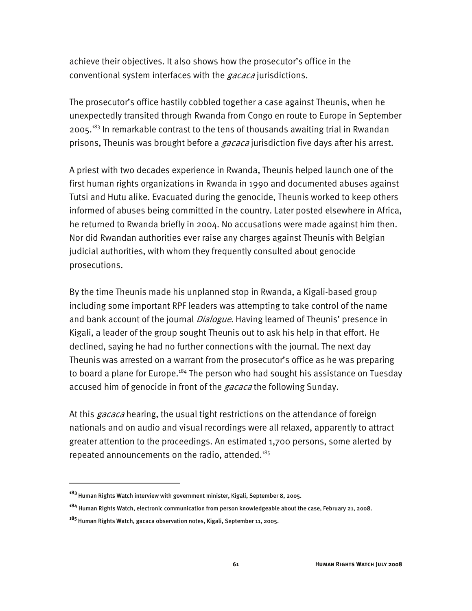achieve their objectives. It also shows how the prosecutor's office in the conventional system interfaces with the *gacaca* jurisdictions.

The prosecutor's office hastily cobbled together a case against Theunis, when he unexpectedly transited through Rwanda from Congo en route to Europe in September 2005.<sup>183</sup> In remarkable contrast to the tens of thousands awaiting trial in Rwandan prisons, Theunis was brought before a *gacaca* jurisdiction five days after his arrest.

A priest with two decades experience in Rwanda, Theunis helped launch one of the first human rights organizations in Rwanda in 1990 and documented abuses against Tutsi and Hutu alike. Evacuated during the genocide, Theunis worked to keep others informed of abuses being committed in the country. Later posted elsewhere in Africa, he returned to Rwanda briefly in 2004. No accusations were made against him then. Nor did Rwandan authorities ever raise any charges against Theunis with Belgian judicial authorities, with whom they frequently consulted about genocide prosecutions.

By the time Theunis made his unplanned stop in Rwanda, a Kigali-based group including some important RPF leaders was attempting to take control of the name and bank account of the journal *Dialogue*. Having learned of Theunis' presence in Kigali, a leader of the group sought Theunis out to ask his help in that effort. He declined, saying he had no further connections with the journal. The next day Theunis was arrested on a warrant from the prosecutor's office as he was preparing to board a plane for Europe.<sup>184</sup> The person who had sought his assistance on Tuesday accused him of genocide in front of the *gacaca* the following Sunday.

At this *gacaca* hearing, the usual tight restrictions on the attendance of foreign nationals and on audio and visual recordings were all relaxed, apparently to attract greater attention to the proceedings. An estimated 1,700 persons, some alerted by repeated announcements on the radio, attended.<sup>185</sup>

**<sup>183</sup>**Human Rights Watch interview with government minister, Kigali, September 8, 2005.

**<sup>184</sup>** Human Rights Watch, electronic communication from person knowledgeable about the case, February 21, 2008.

**<sup>185</sup>**Human Rights Watch, gacaca observation notes, Kigali, September 11, 2005.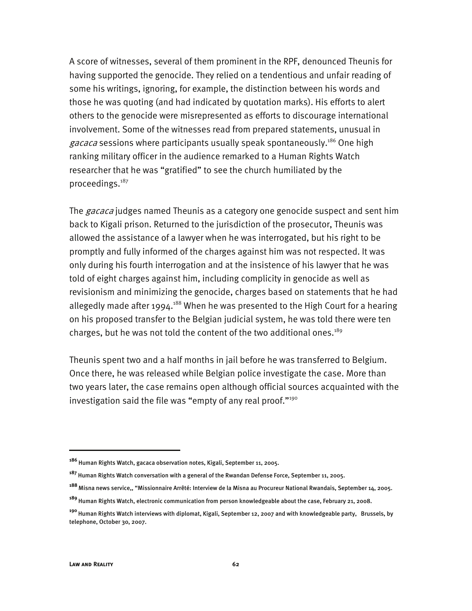A score of witnesses, several of them prominent in the RPF, denounced Theunis for having supported the genocide. They relied on a tendentious and unfair reading of some his writings, ignoring, for example, the distinction between his words and those he was quoting (and had indicated by quotation marks). His efforts to alert others to the genocide were misrepresented as efforts to discourage international involvement. Some of the witnesses read from prepared statements, unusual in gacaca sessions where participants usually speak spontaneously.<sup>186</sup> One high ranking military officer in the audience remarked to a Human Rights Watch researcher that he was "gratified" to see the church humiliated by the proceedings.187

The *gacaca* judges named Theunis as a category one genocide suspect and sent him back to Kigali prison. Returned to the jurisdiction of the prosecutor, Theunis was allowed the assistance of a lawyer when he was interrogated, but his right to be promptly and fully informed of the charges against him was not respected. It was only during his fourth interrogation and at the insistence of his lawyer that he was told of eight charges against him, including complicity in genocide as well as revisionism and minimizing the genocide, charges based on statements that he had allegedly made after 1994.<sup>188</sup> When he was presented to the High Court for a hearing on his proposed transfer to the Belgian judicial system, he was told there were ten charges, but he was not told the content of the two additional ones.<sup>189</sup>

Theunis spent two and a half months in jail before he was transferred to Belgium. Once there, he was released while Belgian police investigate the case. More than two years later, the case remains open although official sources acquainted with the investigation said the file was "empty of any real proof."<sup>190</sup>

j

**<sup>186</sup>** Human Rights Watch, gacaca observation notes, Kigali, September 11, 2005.

**<sup>187</sup>** Human Rights Watch conversation with a general of the Rwandan Defense Force, September 11, 2005.

**<sup>188</sup>**Misna news service,, "Missionnaire Arrêté: Interview de la Misna au Procureur National Rwandais, September 14, 2005.

**<sup>189</sup>**Human Rights Watch, electronic communication from person knowledgeable about the case, February 21, 2008.

**<sup>190</sup>** Human Rights Watch interviews with diplomat, Kigali, September 12, 2007 and with knowledgeable party, Brussels, by telephone, October 30, 2007.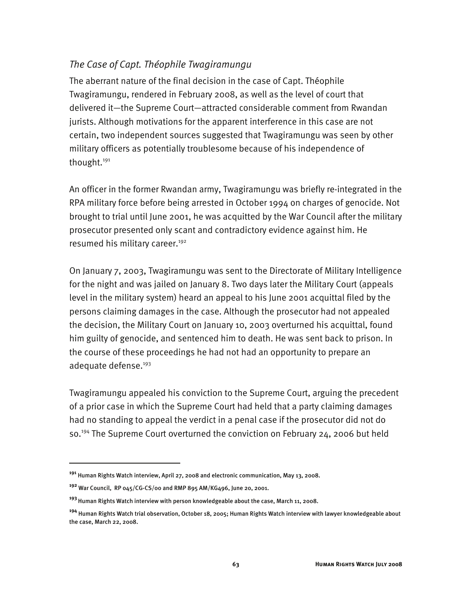## *The Case of Capt. Théophile Twagiramungu*

The aberrant nature of the final decision in the case of Capt. Théophile Twagiramungu, rendered in February 2008, as well as the level of court that delivered it—the Supreme Court—attracted considerable comment from Rwandan jurists. Although motivations for the apparent interference in this case are not certain, two independent sources suggested that Twagiramungu was seen by other military officers as potentially troublesome because of his independence of thought.<sup>191</sup>

An officer in the former Rwandan army, Twagiramungu was briefly re-integrated in the RPA military force before being arrested in October 1994 on charges of genocide. Not brought to trial until June 2001, he was acquitted by the War Council after the military prosecutor presented only scant and contradictory evidence against him. He resumed his military career.<sup>192</sup>

On January 7, 2003, Twagiramungu was sent to the Directorate of Military Intelligence for the night and was jailed on January 8. Two days later the Military Court (appeals level in the military system) heard an appeal to his June 2001 acquittal filed by the persons claiming damages in the case. Although the prosecutor had not appealed the decision, the Military Court on January 10, 2003 overturned his acquittal, found him guilty of genocide, and sentenced him to death. He was sent back to prison. In the course of these proceedings he had not had an opportunity to prepare an adequate defense.<sup>193</sup>

Twagiramungu appealed his conviction to the Supreme Court, arguing the precedent of a prior case in which the Supreme Court had held that a party claiming damages had no standing to appeal the verdict in a penal case if the prosecutor did not do so.<sup>194</sup> The Supreme Court overturned the conviction on February 24, 2006 but held

**<sup>191</sup>** Human Rights Watch interview, April 27, 2008 and electronic communication, May 13, 2008.

**<sup>192</sup>** War Council, RP 045/CG-CS/00 and RMP 895 AM/KG496, June 20, 2001.

**<sup>193</sup>**Human Rights Watch interview with person knowledgeable about the case, March 11, 2008.

**<sup>194</sup>** Human Rights Watch trial observation, October 18, 2005; Human Rights Watch interview with lawyer knowledgeable about the case, March 22, 2008.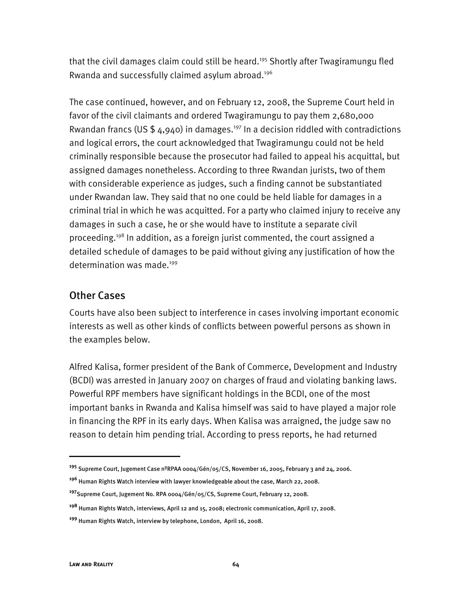that the civil damages claim could still be heard.<sup>195</sup> Shortly after Twagiramungu fled Rwanda and successfully claimed asylum abroad.196

The case continued, however, and on February 12, 2008, the Supreme Court held in favor of the civil claimants and ordered Twagiramungu to pay them 2,680,000 Rwandan francs (US  $$4,940$ ) in damages.<sup>197</sup> In a decision riddled with contradictions and logical errors, the court acknowledged that Twagiramungu could not be held criminally responsible because the prosecutor had failed to appeal his acquittal, but assigned damages nonetheless. According to three Rwandan jurists, two of them with considerable experience as judges, such a finding cannot be substantiated under Rwandan law. They said that no one could be held liable for damages in a criminal trial in which he was acquitted. For a party who claimed injury to receive any damages in such a case, he or she would have to institute a separate civil proceeding.<sup>198</sup> In addition, as a foreign jurist commented, the court assigned a detailed schedule of damages to be paid without giving any justification of how the determination was made.<sup>199</sup>

## Other Cases

Courts have also been subject to interference in cases involving important economic interests as well as other kinds of conflicts between powerful persons as shown in the examples below.

Alfred Kalisa, former president of the Bank of Commerce, Development and Industry (BCDI) was arrested in January 2007 on charges of fraud and violating banking laws. Powerful RPF members have significant holdings in the BCDI, one of the most important banks in Rwanda and Kalisa himself was said to have played a major role in financing the RPF in its early days. When Kalisa was arraigned, the judge saw no reason to detain him pending trial. According to press reports, he had returned

- **<sup>196</sup>** Human Rights Watch interview with lawyer knowledgeable about the case, March 22, 2008.
- **<sup>197</sup>**Supreme Court, Jugement No. RPA 0004/Gén/05/CS, Supreme Court, February 12, 2008.

j

**<sup>195</sup>** Supreme Court, Jugement Case nºRPAA 0004/Gén/05/CS, November 16, 2005, February 3 and 24, 2006.

**<sup>198</sup>** Human Rights Watch, interviews, April 12 and 15, 2008; electronic communication, April 17, 2008.

**<sup>199</sup>** Human Rights Watch, interview by telephone, London, April 16, 2008.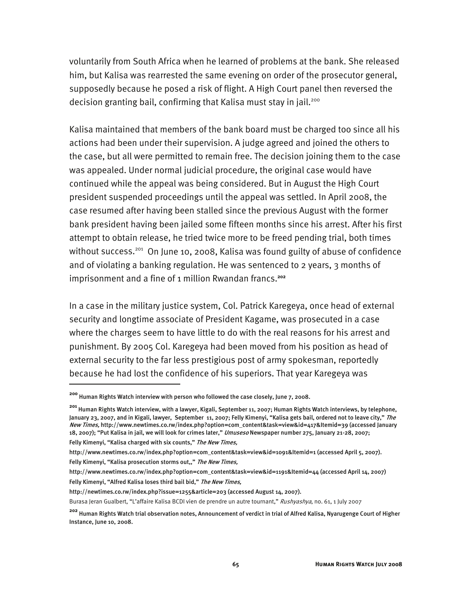voluntarily from South Africa when he learned of problems at the bank. She released him, but Kalisa was rearrested the same evening on order of the prosecutor general, supposedly because he posed a risk of flight. A High Court panel then reversed the decision granting bail, confirming that Kalisa must stay in jail.<sup>200</sup>

Kalisa maintained that members of the bank board must be charged too since all his actions had been under their supervision. A judge agreed and joined the others to the case, but all were permitted to remain free. The decision joining them to the case was appealed. Under normal judicial procedure, the original case would have continued while the appeal was being considered. But in August the High Court president suspended proceedings until the appeal was settled. In April 2008, the case resumed after having been stalled since the previous August with the former bank president having been jailed some fifteen months since his arrest. After his first attempt to obtain release, he tried twice more to be freed pending trial, both times without success.<sup>201</sup> On June 10, 2008, Kalisa was found guilty of abuse of confidence and of violating a banking regulation. He was sentenced to 2 years, 3 months of imprisonment and a fine of 1 million Rwandan francs.**<sup>202</sup>**

In a case in the military justice system, Col. Patrick Karegeya, once head of external security and longtime associate of President Kagame, was prosecuted in a case where the charges seem to have little to do with the real reasons for his arrest and punishment. By 2005 Col. Karegeya had been moved from his position as head of external security to the far less prestigious post of army spokesman, reportedly because he had lost the confidence of his superiors. That year Karegeya was

Felly Kimenyi, "Kalisa charged with six counts," The New Times,

j

http://newtimes.co.rw/index.php?issue=1255&article=203 (accessed August 14, 2007).

**<sup>200</sup>** Human Rights Watch interview with person who followed the case closely, June 7, 2008.

**<sup>201</sup>** Human Rights Watch interview, with a lawyer, Kigali, September 11, 2007; Human Rights Watch interviews, by telephone, January 23, 2007, and in Kigali, lawyer, September 11, 2007; Felly Kimenyi, "Kalisa gets bail, ordered not to leave city," *The* New Times, http://www.newtimes.co.rw/index.php?option=com\_content&task=view&id=417&Itemid=39 (accessed January 18, 2007); "Put Kalisa in jail, we will look for crimes later," *Umuseso* Newspaper number 275, January 21-28, 2007;

http://www.newtimes.co.rw/index.php?option=com\_content&task=view&id=1091&Itemid=1 (accessed April 5, 2007).

Felly Kimenyi, "Kalisa prosecution storms out,," The New Times,

http://www.newtimes.co.rw/index.php?option=com\_content&task=view&id=1191&Itemid=44 (accessed April 14, 2007) Felly Kimenyi, "Alfred Kalisa loses third bail bid," The New Times,

Burasa Jeran Gualbert, "L'affaire Kalisa BCDI vien de prendre un autre tournant," Rushyashya, no. 61, 1 July 2007

**<sup>202</sup>** Human Rights Watch trial observation notes, Announcement of verdict in trial of Alfred Kalisa, Nyarugenge Court of Higher Instance, June 10, 2008.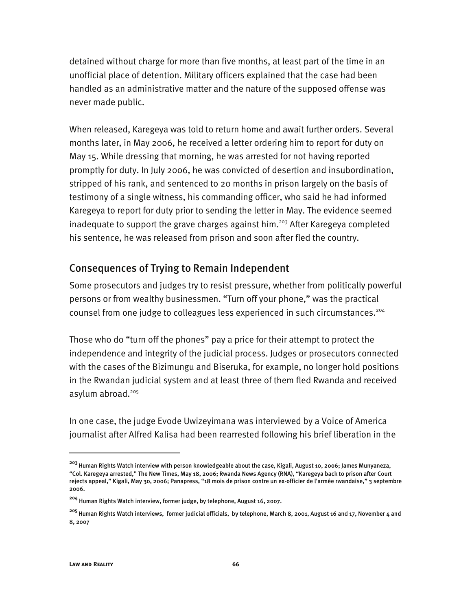detained without charge for more than five months, at least part of the time in an unofficial place of detention. Military officers explained that the case had been handled as an administrative matter and the nature of the supposed offense was never made public.

When released, Karegeya was told to return home and await further orders. Several months later, in May 2006, he received a letter ordering him to report for duty on May 15. While dressing that morning, he was arrested for not having reported promptly for duty. In July 2006, he was convicted of desertion and insubordination, stripped of his rank, and sentenced to 20 months in prison largely on the basis of testimony of a single witness, his commanding officer, who said he had informed Karegeya to report for duty prior to sending the letter in May. The evidence seemed inadequate to support the grave charges against him.<sup>203</sup> After Karegeya completed his sentence, he was released from prison and soon after fled the country.

## Consequences of Trying to Remain Independent

Some prosecutors and judges try to resist pressure, whether from politically powerful persons or from wealthy businessmen. "Turn off your phone," was the practical counsel from one judge to colleagues less experienced in such circumstances.<sup>204</sup>

Those who do "turn off the phones" pay a price for their attempt to protect the independence and integrity of the judicial process. Judges or prosecutors connected with the cases of the Bizimungu and Biseruka, for example, no longer hold positions in the Rwandan judicial system and at least three of them fled Rwanda and received asylum abroad.<sup>205</sup>

In one case, the judge Evode Uwizeyimana was interviewed by a Voice of America journalist after Alfred Kalisa had been rearrested following his brief liberation in the

**<sup>203</sup>**Human Rights Watch interview with person knowledgeable about the case, Kigali, August 10, 2006; James Munyaneza, "Col. Karegeya arrested," The New Times, May 18, 2006; Rwanda News Agency (RNA), "Karegeya back to prison after Court rejects appeal," Kigali, May 30, 2006; Panapress, "18 mois de prison contre un ex-officier de l'armée rwandaise," 3 septembre 2006.

**<sup>204</sup>** Human Rights Watch interview, former judge, by telephone, August 16, 2007.

**<sup>205</sup>**Human Rights Watch interviews, former judicial officials, by telephone, March 8, 2001, August 16 and 17, November 4 and 8, 2007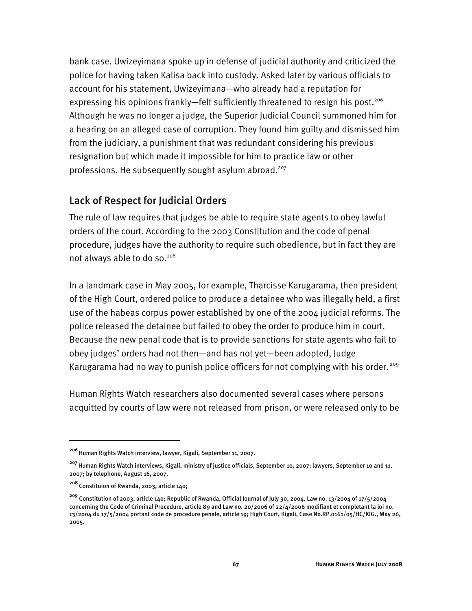bank case. Uwizeyimana spoke up in defense of judicial authority and criticized the police for having taken Kalisa back into custody. Asked later by various officials to account for his statement, Uwizeyimana—who already had a reputation for expressing his opinions frankly—felt sufficiently threatened to resign his post.<sup>206</sup> Although he was no longer a judge, the Superior Judicial Council summoned him for a hearing on an alleged case of corruption. They found him guilty and dismissed him from the judiciary, a punishment that was redundant considering his previous resignation but which made it impossible for him to practice law or other professions. He subsequently sought asylum abroad.<sup>207</sup>

# Lack of Respect for Judicial Orders

The rule of law requires that judges be able to require state agents to obey lawful orders of the court. According to the 2003 Constitution and the code of penal procedure, judges have the authority to require such obedience, but in fact they are not always able to do so.<sup>208</sup>

In a landmark case in May 2005, for example, Tharcisse Karugarama, then president of the High Court, ordered police to produce a detainee who was illegally held, a first use of the habeas corpus power established by one of the 2004 judicial reforms. The police released the detainee but failed to obey the order to produce him in court. Because the new penal code that is to provide sanctions for state agents who fail to obey judges' orders had not then—and has not yet—been adopted, Judge Karugarama had no way to punish police officers for not complying with his order.<sup>209</sup>

Human Rights Watch researchers also documented several cases where persons acquitted by courts of law were not released from prison, or were released only to be

<sup>&</sup>lt;sup>206</sup> Human Rights Watch interview, lawyer, Kigali, September 11, 2007.

**<sup>207</sup>**Human Rights Watch interviews, Kigali, ministry of justice officials, September 10, 2007; lawyers, September 10 and 11, 2007; by telephone, August 16, 2007.

**<sup>208</sup>**Constituion of Rwanda, 2003, article 140;

**<sup>209</sup>** Constitution of 2003, article 140; Republic of Rwanda, Official Journal of July 30, 2004, Law no. 13/2004 of 17/5/2004 concerning the Code of Criminal Procedure, article 89 and Law no. 20/2006 of 22/4/2006 modifiant et completant la loi no. 13/2004 du 17/5/2004 portant code de procedure penale, article 19; High Court, Kigali, Case No.RP.0161/05/HC/KIG., May 26, 2005.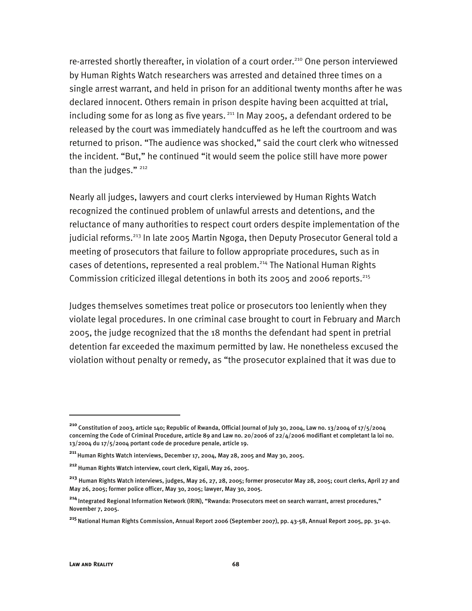re-arrested shortly thereafter, in violation of a court order.<sup>210</sup> One person interviewed by Human Rights Watch researchers was arrested and detained three times on a single arrest warrant, and held in prison for an additional twenty months after he was declared innocent. Others remain in prison despite having been acquitted at trial, including some for as long as five years.  $211$  In May 2005, a defendant ordered to be released by the court was immediately handcuffed as he left the courtroom and was returned to prison. "The audience was shocked," said the court clerk who witnessed the incident. "But," he continued "it would seem the police still have more power than the judges." $^{212}$ 

Nearly all judges, lawyers and court clerks interviewed by Human Rights Watch recognized the continued problem of unlawful arrests and detentions, and the reluctance of many authorities to respect court orders despite implementation of the judicial reforms.<sup>213</sup> In late 2005 Martin Ngoga, then Deputy Prosecutor General told a meeting of prosecutors that failure to follow appropriate procedures, such as in cases of detentions, represented a real problem.<sup>214</sup> The National Human Rights Commission criticized illegal detentions in both its 2005 and 2006 reports.215

Judges themselves sometimes treat police or prosecutors too leniently when they violate legal procedures. In one criminal case brought to court in February and March 2005, the judge recognized that the 18 months the defendant had spent in pretrial detention far exceeded the maximum permitted by law. He nonetheless excused the violation without penalty or remedy, as "the prosecutor explained that it was due to

**<sup>210</sup>** Constitution of 2003, article 140; Republic of Rwanda, Official Journal of July 30, 2004, Law no. 13/2004 of 17/5/2004 concerning the Code of Criminal Procedure, article 89 and Law no. 20/2006 of 22/4/2006 modifiant et completant la loi no. 13/2004 du 17/5/2004 portant code de procedure penale, article 19.

**<sup>211</sup>**Human Rights Watch interviews, December 17, 2004, May 28, 2005 and May 30, 2005.

**<sup>212</sup>**Human Rights Watch interview, court clerk, Kigali, May 26, 2005.

**<sup>213</sup>** Human Rights Watch interviews, judges, May 26, 27, 28, 2005; former prosecutor May 28, 2005; court clerks, April 27 and May 26, 2005; former police officer, May 30, 2005; lawyer, May 30, 2005.

**<sup>214</sup>**Integrated Regional Information Network (IRIN), "Rwanda: Prosecutors meet on search warrant, arrest procedures," November 7, 2005.

**<sup>215</sup>**National Human Rights Commission, Annual Report 2006 (September 2007), pp. 43-58, Annual Report 2005, pp. 31-40.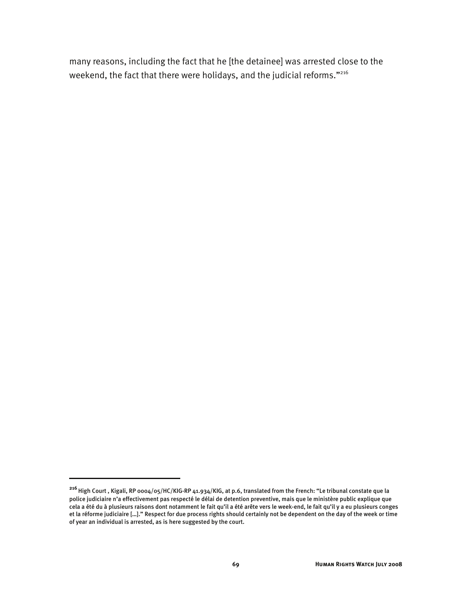many reasons, including the fact that he [the detainee] was arrested close to the weekend, the fact that there were holidays, and the judicial reforms."<sup>216</sup>

j

**<sup>216</sup>** High Court , Kigali, RP 0004/05/HC/KIG-RP 41.934/KIG, at p.6, translated from the French: "Le tribunal constate que la police judiciaire n'a effectivement pas respecté le délai de detention preventive, mais que le ministère public explique que cela a été du à plusieurs raisons dont notamment le fait qu'il a été arête vers le week-end, le fait qu'il y a eu plusieurs conges et la réforme judiciaire […]." Respect for due process rights should certainly not be dependent on the day of the week or time of year an individual is arrested, as is here suggested by the court.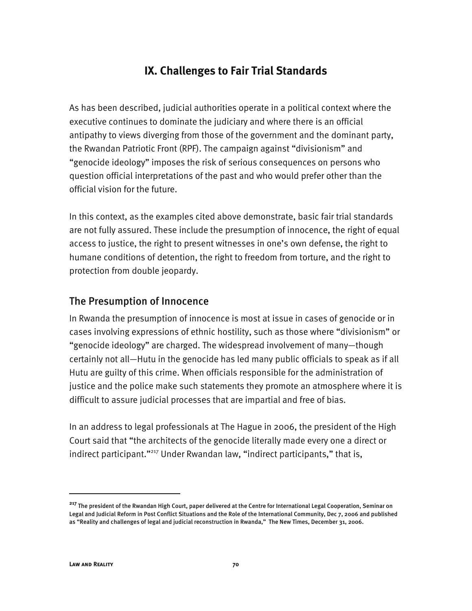# **IX. Challenges to Fair Trial Standards**

As has been described, judicial authorities operate in a political context where the executive continues to dominate the judiciary and where there is an official antipathy to views diverging from those of the government and the dominant party, the Rwandan Patriotic Front (RPF). The campaign against "divisionism" and "genocide ideology" imposes the risk of serious consequences on persons who question official interpretations of the past and who would prefer other than the official vision for the future.

In this context, as the examples cited above demonstrate, basic fair trial standards are not fully assured. These include the presumption of innocence, the right of equal access to justice, the right to present witnesses in one's own defense, the right to humane conditions of detention, the right to freedom from torture, and the right to protection from double jeopardy.

## The Presumption of Innocence

In Rwanda the presumption of innocence is most at issue in cases of genocide or in cases involving expressions of ethnic hostility, such as those where "divisionism" or "genocide ideology" are charged. The widespread involvement of many—though certainly not all—Hutu in the genocide has led many public officials to speak as if all Hutu are guilty of this crime. When officials responsible for the administration of justice and the police make such statements they promote an atmosphere where it is difficult to assure judicial processes that are impartial and free of bias.

In an address to legal professionals at The Hague in 2006, the president of the High Court said that "the architects of the genocide literally made every one a direct or indirect participant."<sup>217</sup> Under Rwandan law, "indirect participants," that is,

**<sup>217</sup>** The president of the Rwandan High Court, paper delivered at the Centre for International Legal Cooperation, Seminar on Legal and Judicial Reform in Post Conflict Situations and the Role of the International Community, Dec 7, 2006 and published as "Reality and challenges of legal and judicial reconstruction in Rwanda," The New Times, December 31, 2006.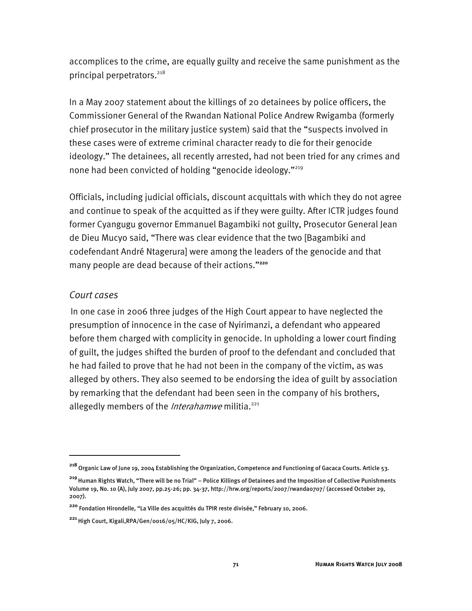accomplices to the crime, are equally guilty and receive the same punishment as the principal perpetrators.<sup>218</sup>

In a May 2007 statement about the killings of 20 detainees by police officers, the Commissioner General of the Rwandan National Police Andrew Rwigamba (formerly chief prosecutor in the military justice system) said that the "suspects involved in these cases were of extreme criminal character ready to die for their genocide ideology." The detainees, all recently arrested, had not been tried for any crimes and none had been convicted of holding "genocide ideology."<sup>219</sup>

Officials, including judicial officials, discount acquittals with which they do not agree and continue to speak of the acquitted as if they were guilty. After ICTR judges found former Cyangugu governor Emmanuel Bagambiki not guilty, Prosecutor General Jean de Dieu Mucyo said, "There was clear evidence that the two [Bagambiki and codefendant André Ntagerura] were among the leaders of the genocide and that many people are dead because of their actions."**<sup>220</sup>**

#### *Court cases*

-

In one case in 2006 three judges of the High Court appear to have neglected the presumption of innocence in the case of Nyirimanzi, a defendant who appeared before them charged with complicity in genocide. In upholding a lower court finding of guilt, the judges shifted the burden of proof to the defendant and concluded that he had failed to prove that he had not been in the company of the victim, as was alleged by others. They also seemed to be endorsing the idea of guilt by association by remarking that the defendant had been seen in the company of his brothers, allegedly members of the *Interahamwe* militia.<sup>221</sup>

**<sup>218</sup>**Organic Law of June 19, 2004 Establishing the Organization, Competence and Functioning of Gacaca Courts. Article 53.

**<sup>219</sup>**Human Rights Watch, "There will be no Trial" – Police Killings of Detainees and the Imposition of Collective Punishments Volume 19, No. 10 (A), July 2007, pp.25-26; pp. 34-37, http://hrw.org/reports/2007/rwanda0707/ (accessed October 29, 2007).

**<sup>220</sup>** Fondation Hirondelle, "La Ville des acquittés du TPIR reste divisée," February 10, 2006.

**<sup>221</sup>**High Court, Kigali,RPA/Gen/0016/05/HC/KIG, July 7, 2006.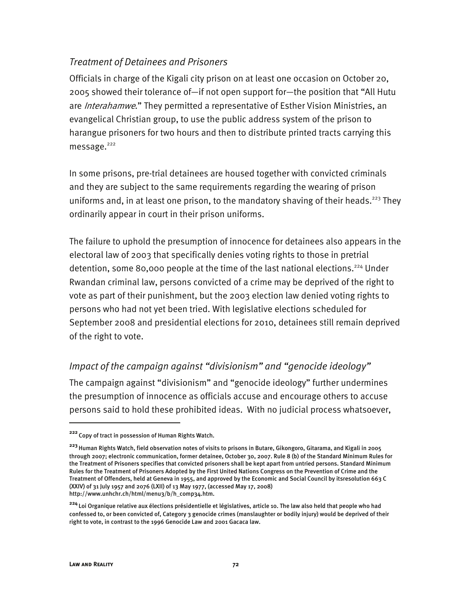## *Treatment of Detainees and Prisoners*

Officials in charge of the Kigali city prison on at least one occasion on October 20, 2005 showed their tolerance of—if not open support for—the position that "All Hutu are *Interahamwe*." They permitted a representative of Esther Vision Ministries, an evangelical Christian group, to use the public address system of the prison to harangue prisoners for two hours and then to distribute printed tracts carrying this  $messaee.<sup>222</sup>$ 

In some prisons, pre-trial detainees are housed together with convicted criminals and they are subject to the same requirements regarding the wearing of prison uniforms and, in at least one prison, to the mandatory shaving of their heads.<sup>223</sup> They ordinarily appear in court in their prison uniforms.

The failure to uphold the presumption of innocence for detainees also appears in the electoral law of 2003 that specifically denies voting rights to those in pretrial detention, some 80,000 people at the time of the last national elections.<sup>224</sup> Under Rwandan criminal law, persons convicted of a crime may be deprived of the right to vote as part of their punishment, but the 2003 election law denied voting rights to persons who had not yet been tried. With legislative elections scheduled for September 2008 and presidential elections for 2010, detainees still remain deprived of the right to vote.

#### *Impact of the campaign against "divisionism" and "genocide ideology"*

The campaign against "divisionism" and "genocide ideology" further undermines the presumption of innocence as officials accuse and encourage others to accuse persons said to hold these prohibited ideas. With no judicial process whatsoever,

**<sup>222</sup>**Copy of tract in possession of Human Rights Watch.

**<sup>223</sup>**Human Rights Watch, field observation notes of visits to prisons in Butare, Gikongoro, Gitarama, and Kigali in 2005 through 2007; electronic communication, former detainee, October 30, 2007. Rule 8 (b) of the Standard Minimum Rules for the Treatment of Prisoners specifies that convicted prisoners shall be kept apart from untried persons. Standard Minimum Rules for the Treatment of Prisoners Adopted by the First United Nations Congress on the Prevention of Crime and the Treatment of Offenders, held at Geneva in 1955, and approved by the Economic and Social Council by itsresolution 663 C (XXIV) of 31 July 1957 and 2076 (LXII) of 13 May 1977, (accessed May 17, 2008) http://www.unhchr.ch/html/menu3/b/h\_comp34.htm.

**<sup>224</sup>**Loi Organique relative aux élections présidentielle et législatives, article 10. The law also held that people who had confessed to, or been convicted of, Category 3 genocide crimes (manslaughter or bodily injury) would be deprived of their right to vote, in contrast to the 1996 Genocide Law and 2001 Gacaca law.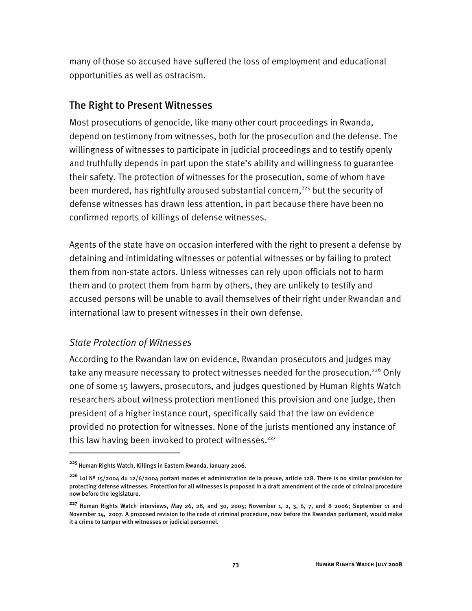many of those so accused have suffered the loss of employment and educational opportunities as well as ostracism.

## The Right to Present Witnesses

Most prosecutions of genocide, like many other court proceedings in Rwanda, depend on testimony from witnesses, both for the prosecution and the defense. The willingness of witnesses to participate in judicial proceedings and to testify openly and truthfully depends in part upon the state's ability and willingness to guarantee their safety. The protection of witnesses for the prosecution, some of whom have been murdered, has rightfully aroused substantial concern,<sup>225</sup> but the security of defense witnesses has drawn less attention, in part because there have been no confirmed reports of killings of defense witnesses.

Agents of the state have on occasion interfered with the right to present a defense by detaining and intimidating witnesses or potential witnesses or by failing to protect them from non-state actors. Unless witnesses can rely upon officials not to harm them and to protect them from harm by others, they are unlikely to testify and accused persons will be unable to avail themselves of their right under Rwandan and international law to present witnesses in their own defense.

## *State Protection of Witnesses*

I

According to the Rwandan law on evidence, Rwandan prosecutors and judges may take any measure necessary to protect witnesses needed for the prosecution.<sup>226</sup> Only one of some 15 lawyers, prosecutors, and judges questioned by Human Rights Watch researchers about witness protection mentioned this provision and one judge, then president of a higher instance court, specifically said that the law on evidence provided no protection for witnesses. None of the jurists mentioned any instance of this law having been invoked to protect witnesses.<sup>227</sup>

**<sup>225</sup>**Human Rights Watch, Killings in Eastern Rwanda, January 2006.

**<sup>226</sup>**Loi Nº 15/2004 du 12/6/2004 portant modes et administration de la preuve, article 128. There is no similar provision for protecting defense witnesses. Protection for all witnesses is proposed in a draft amendment of the code of criminal procedure now before the legislature.

**<sup>227</sup>**Human Rights Watch interviews, May 26, 28, and 30, 2005; November 1, 2, 3, 6, 7, and 8 2006; September 11 and November 14, 2007. A proposed revision to the code of criminal procedure, now before the Rwandan parliament, would make it a crime to tamper with witnesses or judicial personnel.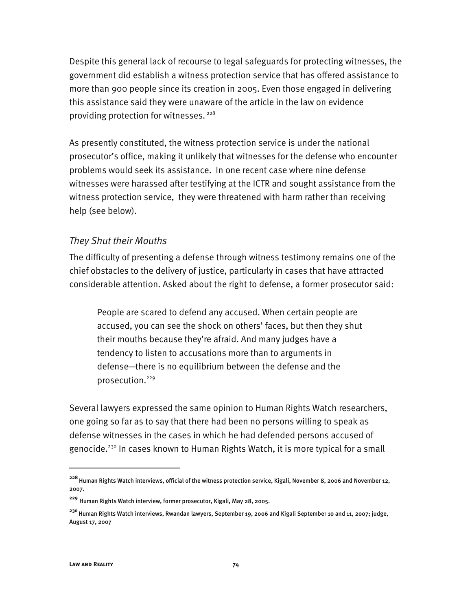Despite this general lack of recourse to legal safeguards for protecting witnesses, the government did establish a witness protection service that has offered assistance to more than 900 people since its creation in 2005. Even those engaged in delivering this assistance said they were unaware of the article in the law on evidence providing protection for witnesses.<sup>228</sup>

As presently constituted, the witness protection service is under the national prosecutor's office, making it unlikely that witnesses for the defense who encounter problems would seek its assistance. In one recent case where nine defense witnesses were harassed after testifying at the ICTR and sought assistance from the witness protection service, they were threatened with harm rather than receiving help (see below).

#### *They Shut their Mouths*

The difficulty of presenting a defense through witness testimony remains one of the chief obstacles to the delivery of justice, particularly in cases that have attracted considerable attention. Asked about the right to defense, a former prosecutor said:

People are scared to defend any accused. When certain people are accused, you can see the shock on others' faces, but then they shut their mouths because they're afraid. And many judges have a tendency to listen to accusations more than to arguments in defense―there is no equilibrium between the defense and the prosecution.229

Several lawyers expressed the same opinion to Human Rights Watch researchers, one going so far as to say that there had been no persons willing to speak as defense witnesses in the cases in which he had defended persons accused of genocide.<sup>230</sup> In cases known to Human Rights Watch, it is more typical for a small

**<sup>228</sup>** Human Rights Watch interviews, official of the witness protection service, Kigali, November 8, 2006 and November 12, 2007.

**<sup>229</sup>** Human Rights Watch interview, former prosecutor, Kigali, May 28, 2005.

**<sup>230</sup>**Human Rights Watch interviews, Rwandan lawyers, September 19, 2006 and Kigali September 10 and 11, 2007; judge, August 17, 2007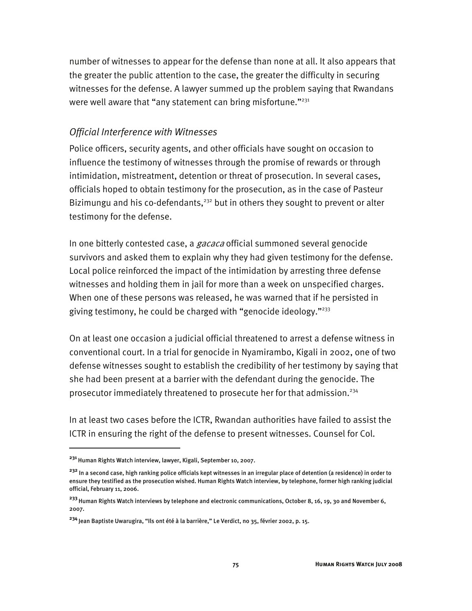number of witnesses to appear for the defense than none at all. It also appears that the greater the public attention to the case, the greater the difficulty in securing witnesses for the defense. A lawyer summed up the problem saying that Rwandans were well aware that "any statement can bring misfortune." $^{231}$ 

#### *Official Interference with Witnesses*

Police officers, security agents, and other officials have sought on occasion to influence the testimony of witnesses through the promise of rewards or through intimidation, mistreatment, detention or threat of prosecution. In several cases, officials hoped to obtain testimony for the prosecution, as in the case of Pasteur Bizimungu and his co-defendants,<sup>232</sup> but in others they sought to prevent or alter testimony for the defense.

In one bitterly contested case, a *gacaca* official summoned several genocide survivors and asked them to explain why they had given testimony for the defense. Local police reinforced the impact of the intimidation by arresting three defense witnesses and holding them in jail for more than a week on unspecified charges. When one of these persons was released, he was warned that if he persisted in giving testimony, he could be charged with "genocide ideology."233

On at least one occasion a judicial official threatened to arrest a defense witness in conventional court. In a trial for genocide in Nyamirambo, Kigali in 2002, one of two defense witnesses sought to establish the credibility of her testimony by saying that she had been present at a barrier with the defendant during the genocide. The prosecutor immediately threatened to prosecute her for that admission.<sup>234</sup>

In at least two cases before the ICTR, Rwandan authorities have failed to assist the ICTR in ensuring the right of the defense to present witnesses. Counsel for Col.

**<sup>231</sup>** Human Rights Watch interview, lawyer, Kigali, September 10, 2007.

**<sup>232</sup>** In a second case, high ranking police officials kept witnesses in an irregular place of detention (a residence) in order to ensure they testified as the prosecution wished. Human Rights Watch interview, by telephone, former high ranking judicial official, February 11, 2006.

**<sup>233</sup>**Human Rights Watch interviews by telephone and electronic communications, October 8, 16, 19, 30 and November 6, 2007.

**<sup>234</sup>**Jean Baptiste Uwarugira, "Ils ont été à la barrière," Le Verdict, no 35, février 2002, p. 15.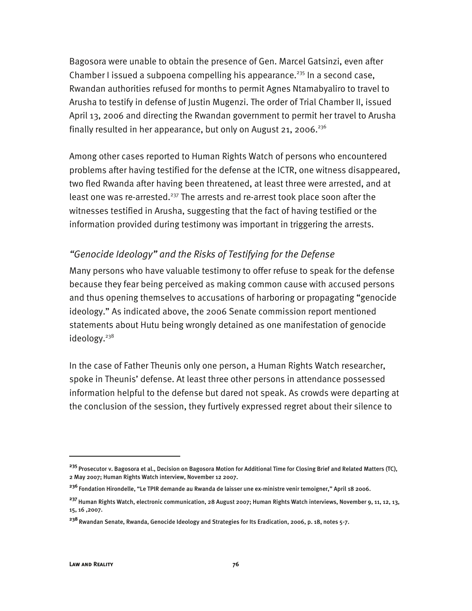Bagosora were unable to obtain the presence of Gen. Marcel Gatsinzi, even after Chamber I issued a subpoena compelling his appearance.<sup>235</sup> In a second case, Rwandan authorities refused for months to permit Agnes Ntamabyaliro to travel to Arusha to testify in defense of Justin Mugenzi. The order of Trial Chamber II, issued April 13, 2006 and directing the Rwandan government to permit her travel to Arusha finally resulted in her appearance, but only on August 21, 2006.<sup>236</sup>

Among other cases reported to Human Rights Watch of persons who encountered problems after having testified for the defense at the ICTR, one witness disappeared, two fled Rwanda after having been threatened, at least three were arrested, and at least one was re-arrested.<sup>237</sup> The arrests and re-arrest took place soon after the witnesses testified in Arusha, suggesting that the fact of having testified or the information provided during testimony was important in triggering the arrests.

#### *"Genocide Ideology" and the Risks of Testifying for the Defense*

Many persons who have valuable testimony to offer refuse to speak for the defense because they fear being perceived as making common cause with accused persons and thus opening themselves to accusations of harboring or propagating "genocide ideology." As indicated above, the 2006 Senate commission report mentioned statements about Hutu being wrongly detained as one manifestation of genocide ideology.<sup>238</sup>

In the case of Father Theunis only one person, a Human Rights Watch researcher, spoke in Theunis' defense. At least three other persons in attendance possessed information helpful to the defense but dared not speak. As crowds were departing at the conclusion of the session, they furtively expressed regret about their silence to

**<sup>235</sup>**Prosecutor v. Bagosora et al., Decision on Bagosora Motion for Additional Time for Closing Brief and Related Matters (TC), 2 May 2007; Human Rights Watch interview, November 12 2007.

**<sup>236</sup>**Fondation Hirondelle, "Le TPIR demande au Rwanda de laisser une ex-ministre venir temoigner," April 18 2006.

**<sup>237</sup>**Human Rights Watch, electronic communication, 28 August 2007; Human Rights Watch interviews, November 9, 11, 12, 13, 15, 16 ,2007.

**<sup>238</sup>**Rwandan Senate, Rwanda, Genocide Ideology and Strategies for Its Eradication, 2006, p. 18, notes 5-7.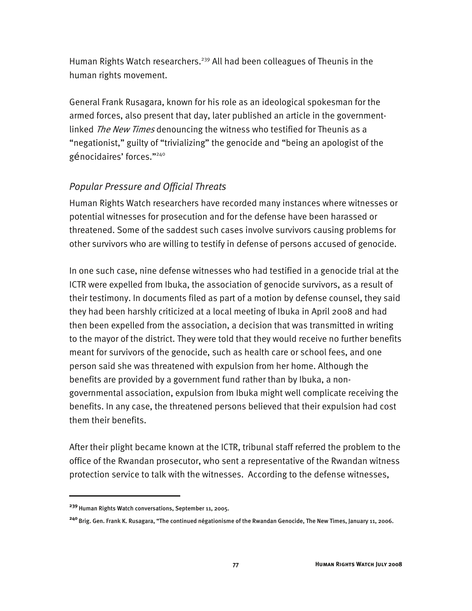Human Rights Watch researchers.<sup>239</sup> All had been colleagues of Theunis in the human rights movement.

General Frank Rusagara, known for his role as an ideological spokesman for the armed forces, also present that day, later published an article in the governmentlinked *The New Times* denouncing the witness who testified for Theunis as a "negationist," guilty of "trivializing" the genocide and "being an apologist of the génocidaires' forces."240

## *Popular Pressure and Official Threats*

Human Rights Watch researchers have recorded many instances where witnesses or potential witnesses for prosecution and for the defense have been harassed or threatened. Some of the saddest such cases involve survivors causing problems for other survivors who are willing to testify in defense of persons accused of genocide.

In one such case, nine defense witnesses who had testified in a genocide trial at the ICTR were expelled from Ibuka, the association of genocide survivors, as a result of their testimony. In documents filed as part of a motion by defense counsel, they said they had been harshly criticized at a local meeting of Ibuka in April 2008 and had then been expelled from the association, a decision that was transmitted in writing to the mayor of the district. They were told that they would receive no further benefits meant for survivors of the genocide, such as health care or school fees, and one person said she was threatened with expulsion from her home. Although the benefits are provided by a government fund rather than by Ibuka, a nongovernmental association, expulsion from Ibuka might well complicate receiving the benefits. In any case, the threatened persons believed that their expulsion had cost them their benefits.

After their plight became known at the ICTR, tribunal staff referred the problem to the office of the Rwandan prosecutor, who sent a representative of the Rwandan witness protection service to talk with the witnesses. According to the defense witnesses,

**<sup>239</sup>**Human Rights Watch conversations, September 11, 2005.

**<sup>240</sup>**Brig. Gen. Frank K. Rusagara, "The continued négationisme of the Rwandan Genocide, The New Times, January 11, 2006.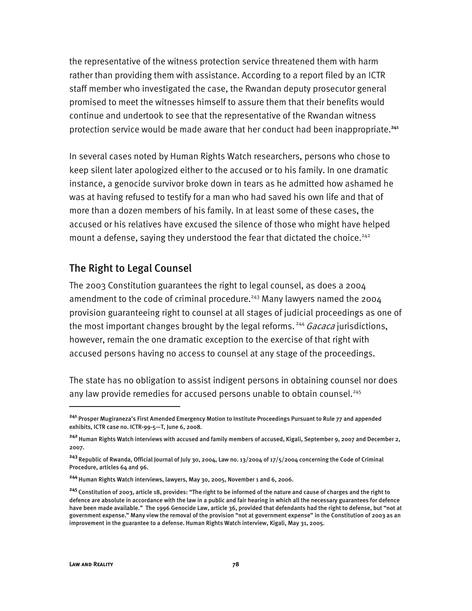the representative of the witness protection service threatened them with harm rather than providing them with assistance. According to a report filed by an ICTR staff member who investigated the case, the Rwandan deputy prosecutor general promised to meet the witnesses himself to assure them that their benefits would continue and undertook to see that the representative of the Rwandan witness protection service would be made aware that her conduct had been inappropriate.**<sup>241</sup>**

In several cases noted by Human Rights Watch researchers, persons who chose to keep silent later apologized either to the accused or to his family. In one dramatic instance, a genocide survivor broke down in tears as he admitted how ashamed he was at having refused to testify for a man who had saved his own life and that of more than a dozen members of his family. In at least some of these cases, the accused or his relatives have excused the silence of those who might have helped mount a defense, saying they understood the fear that dictated the choice.<sup>242</sup>

#### The Right to Legal Counsel

The 2003 Constitution guarantees the right to legal counsel, as does a 2004 amendment to the code of criminal procedure.<sup>243</sup> Many lawyers named the 2004 provision guaranteeing right to counsel at all stages of judicial proceedings as one of the most important changes brought by the legal reforms.<sup>244</sup> Gacaca jurisdictions, however, remain the one dramatic exception to the exercise of that right with accused persons having no access to counsel at any stage of the proceedings.

The state has no obligation to assist indigent persons in obtaining counsel nor does any law provide remedies for accused persons unable to obtain counsel.<sup>245</sup>

j

**<sup>241</sup>** Prosper Mugiraneza's First Amended Emergency Motion to Institute Proceedings Pursuant to Rule 77 and appended exhibits, ICTR case no. ICTR-99-5—T, June 6, 2008.

**<sup>242</sup>**Human Rights Watch interviews with accused and family members of accused, Kigali, September 9, 2007 and December 2, 2007.

<sup>&</sup>lt;sup>243</sup> Republic of Rwanda, Official Journal of July 30, 2004, Law no. 13/2004 of 17/5/2004 concerning the Code of Criminal Procedure, articles 64 and 96.

<sup>&</sup>lt;sup>244</sup> Human Rights Watch interviews, lawyers, May 30, 2005, November 1 and 6, 2006.

**<sup>245</sup>**Constitution of 2003, article 18, provides: "The right to be informed of the nature and cause of charges and the right to defence are absolute in accordance with the law in a public and fair hearing in which all the necessary guarantees for defence have been made available." The 1996 Genocide Law, article 36, provided that defendants had the right to defense, but "not at government expense." Many view the removal of the provision "not at government expense" in the Constitution of 2003 as an improvement in the guarantee to a defense. Human Rights Watch interview, Kigali, May 31, 2005.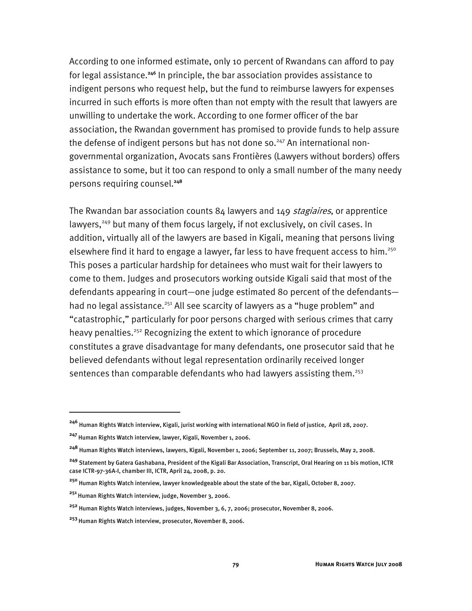According to one informed estimate, only 10 percent of Rwandans can afford to pay for legal assistance.**<sup>246</sup>** In principle, the bar association provides assistance to indigent persons who request help, but the fund to reimburse lawyers for expenses incurred in such efforts is more often than not empty with the result that lawyers are unwilling to undertake the work. According to one former officer of the bar association, the Rwandan government has promised to provide funds to help assure the defense of indigent persons but has not done so.<sup>247</sup> An international nongovernmental organization, Avocats sans Frontières (Lawyers without borders) offers assistance to some, but it too can respond to only a small number of the many needy persons requiring counsel.**<sup>248</sup>**

The Rwandan bar association counts  $84$  lawyers and  $149$  stagiaires, or apprentice lawyers,<sup>249</sup> but many of them focus largely, if not exclusively, on civil cases. In addition, virtually all of the lawyers are based in Kigali, meaning that persons living elsewhere find it hard to engage a lawyer, far less to have frequent access to him.<sup>250</sup> This poses a particular hardship for detainees who must wait for their lawyers to come to them. Judges and prosecutors working outside Kigali said that most of the defendants appearing in court—one judge estimated 80 percent of the defendants had no legal assistance.<sup>251</sup> All see scarcity of lawyers as a "huge problem" and "catastrophic," particularly for poor persons charged with serious crimes that carry heavy penalties.<sup>252</sup> Recognizing the extent to which ignorance of procedure constitutes a grave disadvantage for many defendants, one prosecutor said that he believed defendants without legal representation ordinarily received longer sentences than comparable defendants who had lawyers assisting them.<sup>253</sup>

**<sup>246</sup>** Human Rights Watch interview, Kigali, jurist working with international NGO in field of justice, April 28, 2007.

<sup>&</sup>lt;sup>247</sup> Human Rights Watch interview, lawyer, Kigali, November 1, 2006.

**<sup>248</sup>** Human Rights Watch interviews, lawyers, Kigali, November 1, 2006; September 11, 2007; Brussels, May 2, 2008.

**<sup>249</sup>** Statement by Gatera Gashabana, President of the Kigali Bar Association, Transcript, Oral Hearing on 11 bis motion, ICTR case ICTR-97-36A-I, chamber III, ICTR, April 24, 2008, p. 20.

**<sup>250</sup>** Human Rights Watch interview, lawyer knowledgeable about the state of the bar, Kigali, October 8, 2007.

**<sup>251</sup>** Human Rights Watch interview, judge, November 3, 2006.

**<sup>252</sup>** Human Rights Watch interviews, judges, November 3, 6, 7, 2006; prosecutor, November 8, 2006.

**<sup>253</sup>**Human Rights Watch interview, prosecutor, November 8, 2006.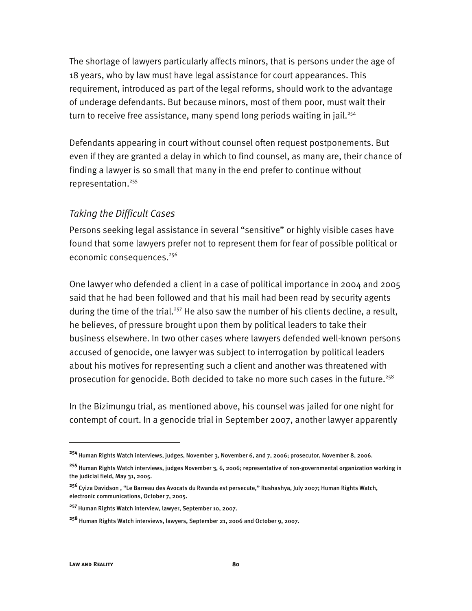The shortage of lawyers particularly affects minors, that is persons under the age of 18 years, who by law must have legal assistance for court appearances. This requirement, introduced as part of the legal reforms, should work to the advantage of underage defendants. But because minors, most of them poor, must wait their turn to receive free assistance, many spend long periods waiting in jail.<sup>254</sup>

Defendants appearing in court without counsel often request postponements. But even if they are granted a delay in which to find counsel, as many are, their chance of finding a lawyer is so small that many in the end prefer to continue without representation.255

#### *Taking the Difficult Cases*

Persons seeking legal assistance in several "sensitive" or highly visible cases have found that some lawyers prefer not to represent them for fear of possible political or economic consequences.<sup>256</sup>

One lawyer who defended a client in a case of political importance in 2004 and 2005 said that he had been followed and that his mail had been read by security agents during the time of the trial.<sup>257</sup> He also saw the number of his clients decline, a result, he believes, of pressure brought upon them by political leaders to take their business elsewhere. In two other cases where lawyers defended well-known persons accused of genocide, one lawyer was subject to interrogation by political leaders about his motives for representing such a client and another was threatened with prosecution for genocide. Both decided to take no more such cases in the future.<sup>258</sup>

In the Bizimungu trial, as mentioned above, his counsel was jailed for one night for contempt of court. In a genocide trial in September 2007, another lawyer apparently

**<sup>254</sup>** Human Rights Watch interviews, judges, November 3, November 6, and 7, 2006; prosecutor, November 8, 2006.

**<sup>255</sup>** Human Rights Watch interviews, judges November 3, 6, 2006; representative of non-governmental organization working in the judicial field, May 31, 2005.

**<sup>256</sup>**Cyiza Davidson , "Le Barreau des Avocats du Rwanda est persecute," Rushashya, July 2007; Human Rights Watch, electronic communications, October 7, 2005.

**<sup>257</sup>**Human Rights Watch interview, lawyer, September 10, 2007.

**<sup>258</sup>** Human Rights Watch interviews, lawyers, September 21, 2006 and October 9, 2007.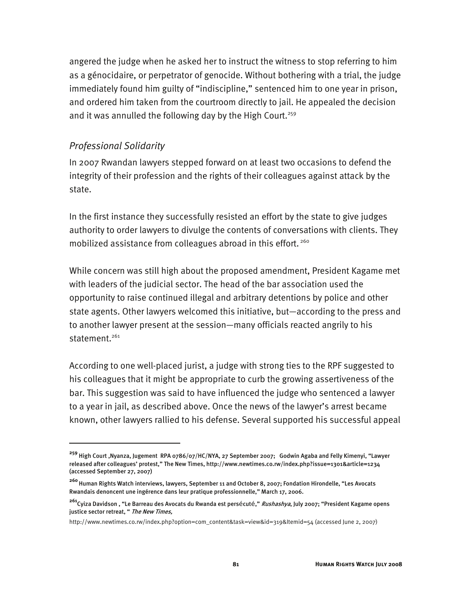angered the judge when he asked her to instruct the witness to stop referring to him as a génocidaire, or perpetrator of genocide. Without bothering with a trial, the judge immediately found him guilty of "indiscipline," sentenced him to one year in prison, and ordered him taken from the courtroom directly to jail. He appealed the decision and it was annulled the following day by the High Court.<sup>259</sup>

#### *Professional Solidarity*

I

In 2007 Rwandan lawyers stepped forward on at least two occasions to defend the integrity of their profession and the rights of their colleagues against attack by the state.

In the first instance they successfully resisted an effort by the state to give judges authority to order lawyers to divulge the contents of conversations with clients. They mobilized assistance from colleagues abroad in this effort.<sup>260</sup>

While concern was still high about the proposed amendment, President Kagame met with leaders of the judicial sector. The head of the bar association used the opportunity to raise continued illegal and arbitrary detentions by police and other state agents. Other lawyers welcomed this initiative, but—according to the press and to another lawyer present at the session—many officials reacted angrily to his statement.<sup>261</sup>

According to one well-placed jurist, a judge with strong ties to the RPF suggested to his colleagues that it might be appropriate to curb the growing assertiveness of the bar. This suggestion was said to have influenced the judge who sentenced a lawyer to a year in jail, as described above. Once the news of the lawyer's arrest became known, other lawyers rallied to his defense. Several supported his successful appeal

**<sup>259</sup>** High Court ,Nyanza, Jugement RPA 0786/07/HC/NYA, 27 September 2007; Godwin Agaba and Felly Kimenyi, "Lawyer released after colleagues' protest," The New Times, http://www.newtimes.co.rw/index.php?issue=1301&article=1234 (accessed September 27, 2007)

**<sup>260</sup>**Human Rights Watch interviews, lawyers, September 11 and October 8, 2007; Fondation Hirondelle, "Les Avocats Rwandais denoncent une ingérence dans leur pratique professionnelle," March 17, 2006.

**<sup>261</sup>**Cyiza Davidson , "Le Barreau des Avocats du Rwanda est persécuté," Rushashya, July 2007; "President Kagame opens justice sector retreat, " The New Times,

http://www.newtimes.co.rw/index.php?option=com\_content&task=view&id=319&Itemid=54 (accessed June 2, 2007)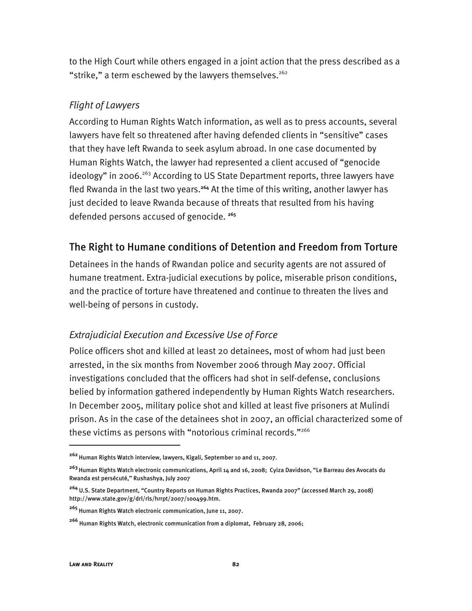to the High Court while others engaged in a joint action that the press described as a "strike," a term eschewed by the lawyers themselves.<sup>262</sup>

#### *Flight of Lawyers*

According to Human Rights Watch information, as well as to press accounts, several lawyers have felt so threatened after having defended clients in "sensitive" cases that they have left Rwanda to seek asylum abroad. In one case documented by Human Rights Watch, the lawyer had represented a client accused of "genocide ideology" in 2006.<sup>263</sup> According to US State Department reports, three lawyers have fled Rwanda in the last two years.**<sup>264</sup>** At the time of this writing, another lawyer has just decided to leave Rwanda because of threats that resulted from his having defended persons accused of genocide. **<sup>265</sup>**

## The Right to Humane conditions of Detention and Freedom from Torture

Detainees in the hands of Rwandan police and security agents are not assured of humane treatment. Extra-judicial executions by police, miserable prison conditions, and the practice of torture have threatened and continue to threaten the lives and well-being of persons in custody.

#### *Extrajudicial Execution and Excessive Use of Force*

Police officers shot and killed at least 20 detainees, most of whom had just been arrested, in the six months from November 2006 through May 2007. Official investigations concluded that the officers had shot in self-defense, conclusions belied by information gathered independently by Human Rights Watch researchers. In December 2005, military police shot and killed at least five prisoners at Mulindi prison. As in the case of the detainees shot in 2007, an official characterized some of these victims as persons with "notorious criminal records."<sup>266</sup>

j

**<sup>262</sup>**Human Rights Watch interview, lawyers, Kigali, September 10 and 11, 2007.

**<sup>263</sup>**Human Rights Watch electronic communications, April 14 and 16, 2008; Cyiza Davidson, "Le Barreau des Avocats du Rwanda est persécuté," Rushashya, July 2007

**<sup>264</sup>** U.S. State Department, "Country Reports on Human Rights Practices, Rwanda 2007" (accessed March 29, 2008) http://www.state.gov/g/drl/rls/hrrpt/2007/100499.htm.

**<sup>265</sup>** Human Rights Watch electronic communication, June 11, 2007.

**<sup>266</sup>** Human Rights Watch, electronic communication from a diplomat, February 28, 2006;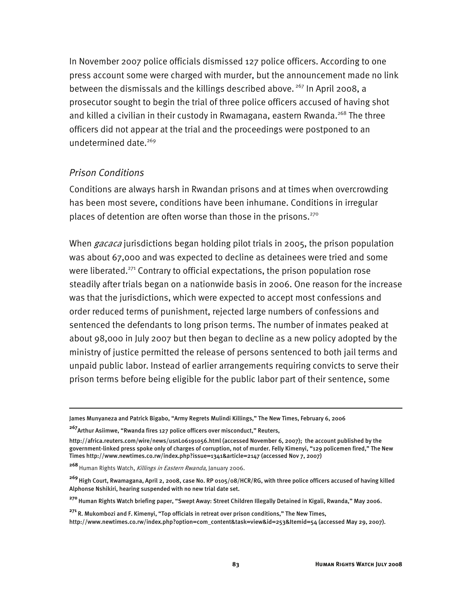In November 2007 police officials dismissed 127 police officers. According to one press account some were charged with murder, but the announcement made no link between the dismissals and the killings described above.  $267$  In April 2008, a prosecutor sought to begin the trial of three police officers accused of having shot and killed a civilian in their custody in Rwamagana, eastern Rwanda.<sup>268</sup> The three officers did not appear at the trial and the proceedings were postponed to an undetermined date.269

#### *Prison Conditions*

I

Conditions are always harsh in Rwandan prisons and at times when overcrowding has been most severe, conditions have been inhumane. Conditions in irregular places of detention are often worse than those in the prisons.<sup>270</sup>

When *gacaca* jurisdictions began holding pilot trials in 2005, the prison population was about 67,000 and was expected to decline as detainees were tried and some were liberated.<sup>271</sup> Contrary to official expectations, the prison population rose steadily after trials began on a nationwide basis in 2006. One reason for the increase was that the jurisdictions, which were expected to accept most confessions and order reduced terms of punishment, rejected large numbers of confessions and sentenced the defendants to long prison terms. The number of inmates peaked at about 98,000 in July 2007 but then began to decline as a new policy adopted by the ministry of justice permitted the release of persons sentenced to both jail terms and unpaid public labor. Instead of earlier arrangements requiring convicts to serve their prison terms before being eligible for the public labor part of their sentence, some

**<sup>267</sup>**Arthur Asiimwe, "Rwanda fires 127 police officers over misconduct," Reuters,

http://africa.reuters.com/wire/news/usnL06191056.html (accessed November 6, 2007); the account published by the government-linked press spoke only of charges of corruption, not of murder. Felly Kimenyi, "129 policemen fired," The New Times http://www.newtimes.co.rw/index.php?issue=1341&article=2147 (accessed Nov 7, 2007)

268 Human Rights Watch, Killings in Eastern Rwanda, January 2006.

**<sup>269</sup>**High Court, Rwamagana, April 2, 2008, case No. RP 0105/08/HCR/RG, with three police officers accused of having killed Alphonse Nshikiri, hearing suspended with no new trial date set.

**<sup>270</sup>**Human Rights Watch briefing paper, "Swept Away: Street Children Illegally Detained in Kigali, Rwanda," May 2006.

**<sup>271</sup>**R. Mukombozi and F. Kimenyi, "Top officials in retreat over prison conditions," The New Times, http://www.newtimes.co.rw/index.php?option=com\_content&task=view&id=253&Itemid=54 (accessed May 29, 2007).

James Munyaneza and Patrick Bigabo, "Army Regrets Mulindi Killings," The New Times, February 6, 2006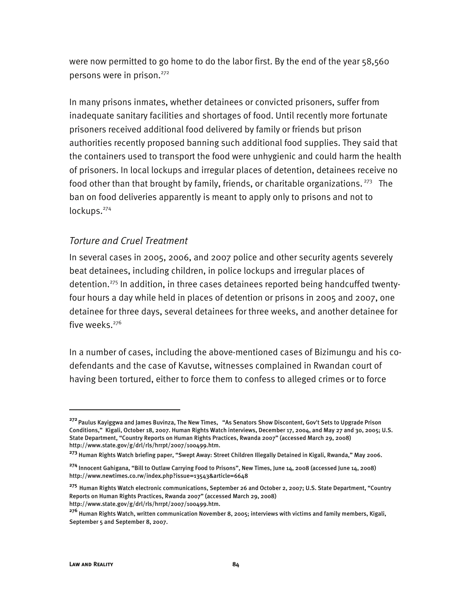were now permitted to go home to do the labor first. By the end of the year 58,560 persons were in prison.<sup>272</sup>

In many prisons inmates, whether detainees or convicted prisoners, suffer from inadequate sanitary facilities and shortages of food. Until recently more fortunate prisoners received additional food delivered by family or friends but prison authorities recently proposed banning such additional food supplies. They said that the containers used to transport the food were unhygienic and could harm the health of prisoners. In local lockups and irregular places of detention, detainees receive no food other than that brought by family, friends, or charitable organizations.  $273$  The ban on food deliveries apparently is meant to apply only to prisons and not to lockups.<sup>274</sup>

#### *Torture and Cruel Treatment*

In several cases in 2005, 2006, and 2007 police and other security agents severely beat detainees, including children, in police lockups and irregular places of detention.275 In addition, in three cases detainees reported being handcuffed twentyfour hours a day while held in places of detention or prisons in 2005 and 2007, one detainee for three days, several detainees for three weeks, and another detainee for five weeks. $276$ 

In a number of cases, including the above-mentioned cases of Bizimungu and his codefendants and the case of Kavutse, witnesses complained in Rwandan court of having been tortured, either to force them to confess to alleged crimes or to force

**<sup>272</sup>** Paulus Kayiggwa and James Buvinza, The New Times, "As Senators Show Discontent, Gov't Sets to Upgrade Prison Conditions," Kigali, October 18, 2007. Human Rights Watch interviews, December 17, 2004, and May 27 and 30, 2005; U.S. State Department, "Country Reports on Human Rights Practices, Rwanda 2007" (accessed March 29, 2008) http://www.state.gov/g/drl/rls/hrrpt/2007/100499.htm.

**<sup>273</sup>** Human Rights Watch briefing paper, "Swept Away: Street Children Illegally Detained in Kigali, Rwanda," May 2006.

**<sup>274</sup>** Innocent Gahigana, "Bill to Outlaw Carrying Food to Prisons", New Times, June 14, 2008 (accessed June 14, 2008) http://www.newtimes.co.rw/index.php?issue=13543&article=6648

**<sup>275</sup>** Human Rights Watch electronic communications, September 26 and October 2, 2007; U.S. State Department, "Country Reports on Human Rights Practices, Rwanda 2007" (accessed March 29, 2008) http://www.state.gov/g/drl/rls/hrrpt/2007/100499.htm.

**<sup>276</sup>** Human Rights Watch, written communication November 8, 2005; interviews with victims and family members, Kigali, September 5 and September 8, 2007.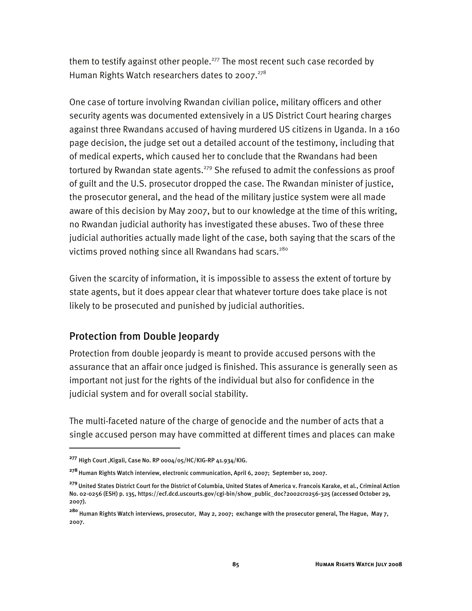them to testify against other people.<sup>277</sup> The most recent such case recorded by Human Rights Watch researchers dates to 2007. $278$ 

One case of torture involving Rwandan civilian police, military officers and other security agents was documented extensively in a US District Court hearing charges against three Rwandans accused of having murdered US citizens in Uganda. In a 160 page decision, the judge set out a detailed account of the testimony, including that of medical experts, which caused her to conclude that the Rwandans had been tortured by Rwandan state agents.<sup>279</sup> She refused to admit the confessions as proof of guilt and the U.S. prosecutor dropped the case. The Rwandan minister of justice, the prosecutor general, and the head of the military justice system were all made aware of this decision by May 2007, but to our knowledge at the time of this writing, no Rwandan judicial authority has investigated these abuses. Two of these three judicial authorities actually made light of the case, both saying that the scars of the victims proved nothing since all Rwandans had scars.<sup>280</sup>

Given the scarcity of information, it is impossible to assess the extent of torture by state agents, but it does appear clear that whatever torture does take place is not likely to be prosecuted and punished by judicial authorities.

## Protection from Double Jeopardy

Protection from double jeopardy is meant to provide accused persons with the assurance that an affair once judged is finished. This assurance is generally seen as important not just for the rights of the individual but also for confidence in the judicial system and for overall social stability.

The multi-faceted nature of the charge of genocide and the number of acts that a single accused person may have committed at different times and places can make

**<sup>277</sup>** High Court ,Kigali, Case No. RP 0004/05/HC/KIG-RP 41.934/KIG.

**<sup>278</sup>** Human Rights Watch interview, electronic communication, April 6, 2007; September 10, 2007.

**<sup>279</sup>**United States District Court for the District of Columbia, United States of America v. Francois Karake, et al., Criminal Action No. 02-0256 (ESH) p. 135, https://ecf.dcd.uscourts.gov/cgi-bin/show\_public\_doc?2002cr0256-325 (accessed October 29, 2007).

**<sup>280</sup>** Human Rights Watch interviews, prosecutor, May 2, 2007; exchange with the prosecutor general, The Hague, May 7, 2007.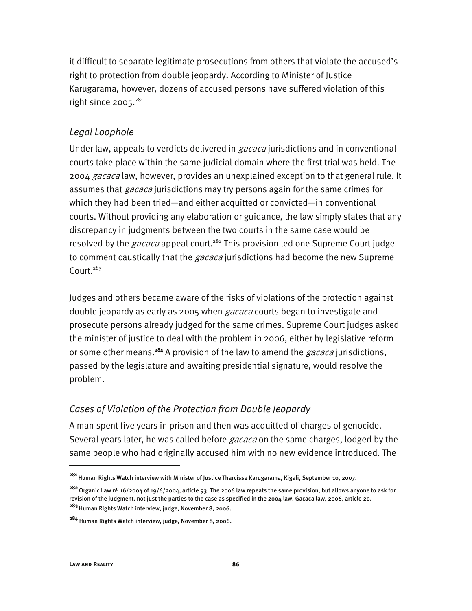it difficult to separate legitimate prosecutions from others that violate the accused's right to protection from double jeopardy. According to Minister of Justice Karugarama, however, dozens of accused persons have suffered violation of this right since  $2005.^{281}$ 

#### *Legal Loophole*

Under law, appeals to verdicts delivered in *gacaca* jurisdictions and in conventional courts take place within the same judicial domain where the first trial was held. The 2004 gacaca law, however, provides an unexplained exception to that general rule. It assumes that *gacaca* jurisdictions may try persons again for the same crimes for which they had been tried—and either acquitted or convicted—in conventional courts. Without providing any elaboration or guidance, the law simply states that any discrepancy in judgments between the two courts in the same case would be resolved by the *gacaca* appeal court.<sup>282</sup> This provision led one Supreme Court judge to comment caustically that the *gacaca* jurisdictions had become the new Supreme Court. $283$ 

Judges and others became aware of the risks of violations of the protection against double jeopardy as early as 2005 when *gacaca* courts began to investigate and prosecute persons already judged for the same crimes. Supreme Court judges asked the minister of justice to deal with the problem in 2006, either by legislative reform or some other means.**<sup>284</sup>** A provision of the law to amend the gacaca jurisdictions, passed by the legislature and awaiting presidential signature, would resolve the problem.

#### *Cases of Violation of the Protection from Double Jeopardy*

A man spent five years in prison and then was acquitted of charges of genocide. Several years later, he was called before *gacaca* on the same charges, lodged by the same people who had originally accused him with no new evidence introduced. The

**<sup>281</sup>**Human Rights Watch interview with Minister of Justice Tharcisse Karugarama, Kigali, September 10, 2007.

**<sup>282</sup>**Organic Law nº 16/2004 of 19/6/2004, article 93. The 2006 law repeats the same provision, but allows anyone to ask for revision of the judgment, not just the parties to the case as specified in the 2004 law. Gacaca law, 2006, article 20. **<sup>283</sup>**Human Rights Watch interview, judge, November 8, 2006.

**<sup>284</sup>** Human Rights Watch interview, judge, November 8, 2006.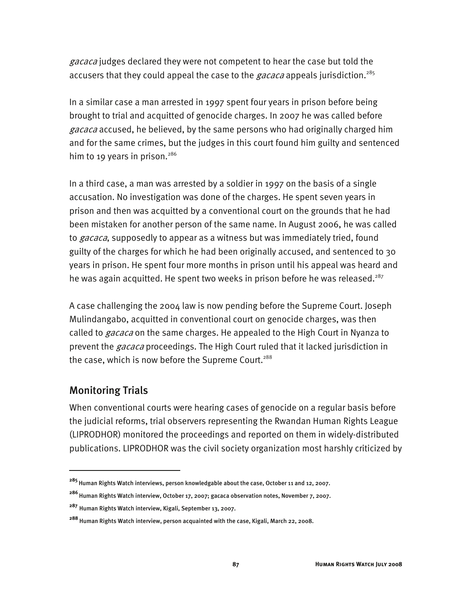gacaca judges declared they were not competent to hear the case but told the accusers that they could appeal the case to the *gacaca* appeals jurisdiction.<sup>285</sup>

In a similar case a man arrested in 1997 spent four years in prison before being brought to trial and acquitted of genocide charges. In 2007 he was called before gacaca accused, he believed, by the same persons who had originally charged him and for the same crimes, but the judges in this court found him guilty and sentenced him to 19 years in prison.<sup>286</sup>

In a third case, a man was arrested by a soldier in 1997 on the basis of a single accusation. No investigation was done of the charges. He spent seven years in prison and then was acquitted by a conventional court on the grounds that he had been mistaken for another person of the same name. In August 2006, he was called to *gacaca*, supposedly to appear as a witness but was immediately tried, found guilty of the charges for which he had been originally accused, and sentenced to 30 years in prison. He spent four more months in prison until his appeal was heard and he was again acquitted. He spent two weeks in prison before he was released.<sup>287</sup>

A case challenging the 2004 law is now pending before the Supreme Court. Joseph Mulindangabo, acquitted in conventional court on genocide charges, was then called to *gacaca* on the same charges. He appealed to the High Court in Nyanza to prevent the *gacaca* proceedings. The High Court ruled that it lacked jurisdiction in the case, which is now before the Supreme Court.<sup>288</sup>

## Monitoring Trials

I

When conventional courts were hearing cases of genocide on a regular basis before the judicial reforms, trial observers representing the Rwandan Human Rights League (LIPRODHOR) monitored the proceedings and reported on them in widely-distributed publications. LIPRODHOR was the civil society organization most harshly criticized by

**<sup>285</sup>**Human Rights Watch interviews, person knowledgable about the case, October 11 and 12, 2007.

**<sup>286</sup>**Human Rights Watch interview, October 17, 2007; gacaca observation notes, November 7, 2007.

**<sup>287</sup>** Human Rights Watch interview, Kigali, September 13, 2007.

**<sup>288</sup>** Human Rights Watch interview, person acquainted with the case, Kigali, March 22, 2008.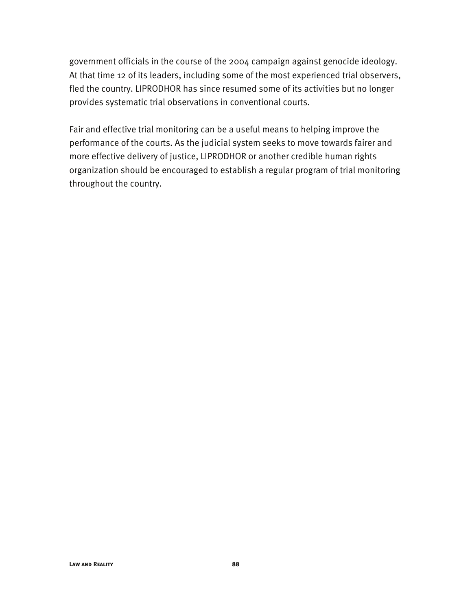government officials in the course of the 2004 campaign against genocide ideology. At that time 12 of its leaders, including some of the most experienced trial observers, fled the country. LIPRODHOR has since resumed some of its activities but no longer provides systematic trial observations in conventional courts.

Fair and effective trial monitoring can be a useful means to helping improve the performance of the courts. As the judicial system seeks to move towards fairer and more effective delivery of justice, LIPRODHOR or another credible human rights organization should be encouraged to establish a regular program of trial monitoring throughout the country.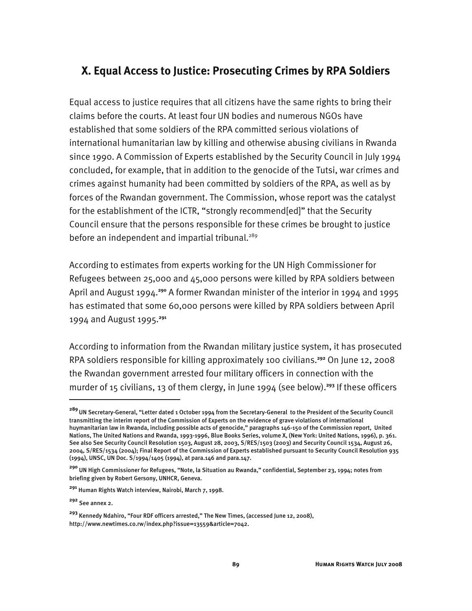# **X. Equal Access to Justice: Prosecuting Crimes by RPA Soldiers**

Equal access to justice requires that all citizens have the same rights to bring their claims before the courts. At least four UN bodies and numerous NGOs have established that some soldiers of the RPA committed serious violations of international humanitarian law by killing and otherwise abusing civilians in Rwanda since 1990. A Commission of Experts established by the Security Council in July 1994 concluded, for example, that in addition to the genocide of the Tutsi, war crimes and crimes against humanity had been committed by soldiers of the RPA, as well as by forces of the Rwandan government. The Commission, whose report was the catalyst for the establishment of the ICTR, "strongly recommend[ed]" that the Security Council ensure that the persons responsible for these crimes be brought to justice before an independent and impartial tribunal.<sup>289</sup>

According to estimates from experts working for the UN High Commissioner for Refugees between 25,000 and 45,000 persons were killed by RPA soldiers between April and August 1994.**<sup>290</sup>** A former Rwandan minister of the interior in 1994 and 1995 has estimated that some 60,000 persons were killed by RPA soldiers between April 1994 and August 1995.**<sup>291</sup>**

According to information from the Rwandan military justice system, it has prosecuted RPA soldiers responsible for killing approximately 100 civilians.**<sup>292</sup>** On June 12, 2008 the Rwandan government arrested four military officers in connection with the murder of 15 civilians, 13 of them clergy, in June 1994 (see below).**<sup>293</sup>** If these officers

**<sup>289</sup>**UN Secretary-General, "Letter dated 1 October 1994 from the Secretary-General to the President of the Security Council transmitting the interim report of the Commission of Experts on the evidence of grave violations of international huymanitarian law in Rwanda, including possible acts of genocide," paragraphs 146-150 of the Commission report, United Nations, The United Nations and Rwanda, 1993-1996, Blue Books Series, volume X, (New York: United Nations, 1996), p. 361. See also See Security Council Resolution 1503, August 28, 2003, S/RES/1503 (2003) and Security Council 1534, August 26, 2004, S/RES/1534 (2004); Final Report of the Commission of Experts established pursuant to Security Council Resolution 935 (1994), UNSC, UN Doc. S/1994/1405 (1994), at para.146 and para.147.

**<sup>290</sup>** UN High Commissioner for Refugees, "Note, la Situation au Rwanda," confidential, September 23, 1994; notes from briefing given by Robert Gersony, UNHCR, Geneva.

**<sup>291</sup>** Human Rights Watch interview, Nairobi, March 7, 1998.

**<sup>292</sup>** See annex 2.

**<sup>293</sup>** Kennedy Ndahiro, "Four RDF officers arrested," The New Times, (accessed June 12, 2008), http://www.newtimes.co.rw/index.php?issue=13559&article=7042.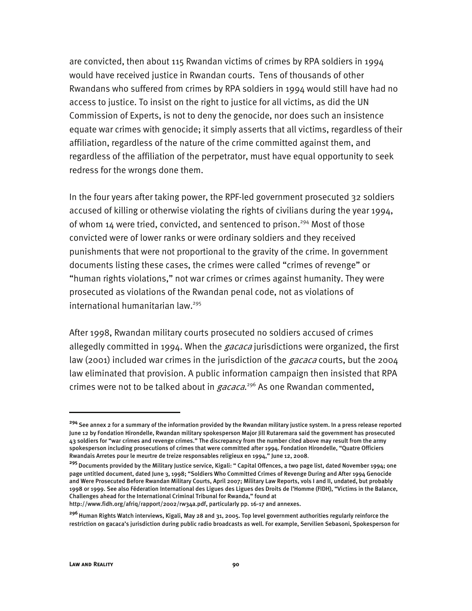are convicted, then about 115 Rwandan victims of crimes by RPA soldiers in 1994 would have received justice in Rwandan courts. Tens of thousands of other Rwandans who suffered from crimes by RPA soldiers in 1994 would still have had no access to justice. To insist on the right to justice for all victims, as did the UN Commission of Experts, is not to deny the genocide, nor does such an insistence equate war crimes with genocide; it simply asserts that all victims, regardless of their affiliation, regardless of the nature of the crime committed against them, and regardless of the affiliation of the perpetrator, must have equal opportunity to seek redress for the wrongs done them.

In the four years after taking power, the RPF-led government prosecuted 32 soldiers accused of killing or otherwise violating the rights of civilians during the year 1994, of whom 14 were tried, convicted, and sentenced to prison.<sup>294</sup> Most of those convicted were of lower ranks or were ordinary soldiers and they received punishments that were not proportional to the gravity of the crime. In government documents listing these cases, the crimes were called "crimes of revenge" or "human rights violations," not war crimes or crimes against humanity. They were prosecuted as violations of the Rwandan penal code, not as violations of international humanitarian law.<sup>295</sup>

After 1998, Rwandan military courts prosecuted no soldiers accused of crimes allegedly committed in 1994. When the *gacaca* jurisdictions were organized, the first law (2001) included war crimes in the jurisdiction of the *gacaca* courts, but the 2004 law eliminated that provision. A public information campaign then insisted that RPA crimes were not to be talked about in *gacaca*.<sup>296</sup> As one Rwandan commented,

j

**<sup>294</sup>**See annex 2 for a summary of the information provided by the Rwandan military justice system. In a press release reported June 12 by Fondation Hirondelle, Rwandan military spokesperson Major Jill Rutaremara said the government has prosecuted 43 soldiers for "war crimes and revenge crimes." The discrepancy from the number cited above may result from the army spokesperson including prosecutions of crimes that were committed after 1994. Fondation Hirondelle, "Quatre Officiers Rwandais Arretes pour le meurtre de treize responsables religieux en 1994," June 12, 2008.

**<sup>295</sup>**Documents provided by the Military Justice service, Kigali: " Capital Offences, a two page list, dated November 1994; one page untitled document, dated June 3, 1998; "Soldiers Who Committed Crimes of Revenge During and After 1994 Genocide and Were Prosecuted Before Rwandan Military Courts, April 2007; Military Law Reports, vols I and II, undated, but probably 1998 or 1999. See also Féderation International des Ligues des Ligues des Droits de l'Homme (FIDH), "Victims in the Balance, Challenges ahead for the International Criminal Tribunal for Rwanda," found at

http://www.fidh.org/afriq/rapport/2002/rw34a.pdf, particularly pp. 16-17 and annexes.

**<sup>296</sup>**Human Rights Watch interviews, Kigali, May 28 and 31, 2005. Top level government authorities regularly reinforce the restriction on gacaca's jurisdiction during public radio broadcasts as well. For example, Servilien Sebasoni, Spokesperson for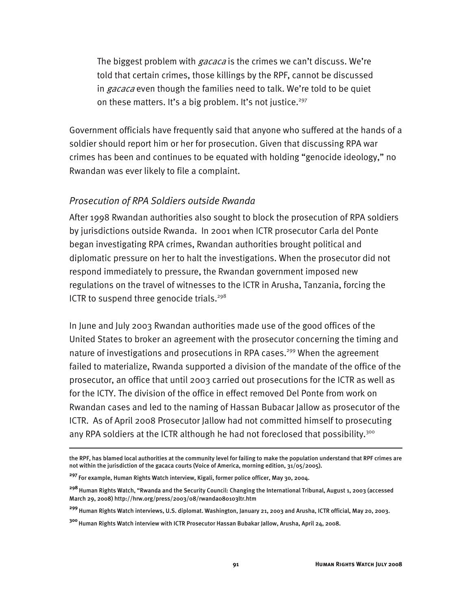The biggest problem with *gacaca* is the crimes we can't discuss. We're told that certain crimes, those killings by the RPF, cannot be discussed in gacaca even though the families need to talk. We're told to be quiet on these matters. It's a big problem. It's not justice.<sup>297</sup>

Government officials have frequently said that anyone who suffered at the hands of a soldier should report him or her for prosecution. Given that discussing RPA war crimes has been and continues to be equated with holding "genocide ideology," no Rwandan was ever likely to file a complaint.

#### *Prosecution of RPA Soldiers outside Rwanda*

After 1998 Rwandan authorities also sought to block the prosecution of RPA soldiers by jurisdictions outside Rwanda. In 2001 when ICTR prosecutor Carla del Ponte began investigating RPA crimes, Rwandan authorities brought political and diplomatic pressure on her to halt the investigations. When the prosecutor did not respond immediately to pressure, the Rwandan government imposed new regulations on the travel of witnesses to the ICTR in Arusha, Tanzania, forcing the ICTR to suspend three genocide trials.<sup>298</sup>

In June and July 2003 Rwandan authorities made use of the good offices of the United States to broker an agreement with the prosecutor concerning the timing and nature of investigations and prosecutions in RPA cases.<sup>299</sup> When the agreement failed to materialize, Rwanda supported a division of the mandate of the office of the prosecutor, an office that until 2003 carried out prosecutions for the ICTR as well as for the ICTY. The division of the office in effect removed Del Ponte from work on Rwandan cases and led to the naming of Hassan Bubacar Jallow as prosecutor of the ICTR. As of April 2008 Prosecutor Jallow had not committed himself to prosecuting any RPA soldiers at the ICTR although he had not foreclosed that possibility.<sup>300</sup>

the RPF, has blamed local authorities at the community level for failing to make the population understand that RPF crimes are not within the jurisdiction of the gacaca courts (Voice of America, morning edition, 31/05/2005).

**<sup>297</sup>**For example, Human Rights Watch interview, Kigali, former police officer, May 30, 2004.

**<sup>298</sup>**Human Rights Watch, "Rwanda and the Security Council: Changing the International Tribunal, August 1, 2003 (accessed March 29, 2008) http://hrw.org/press/2003/08/rwanda080103ltr.htm

**<sup>299</sup>** Human Rights Watch interviews, U.S. diplomat. Washington, January 21, 2003 and Arusha, ICTR official, May 20, 2003.

**<sup>300</sup>**Human Rights Watch interview with ICTR Prosecutor Hassan Bubakar Jallow, Arusha, April 24, 2008.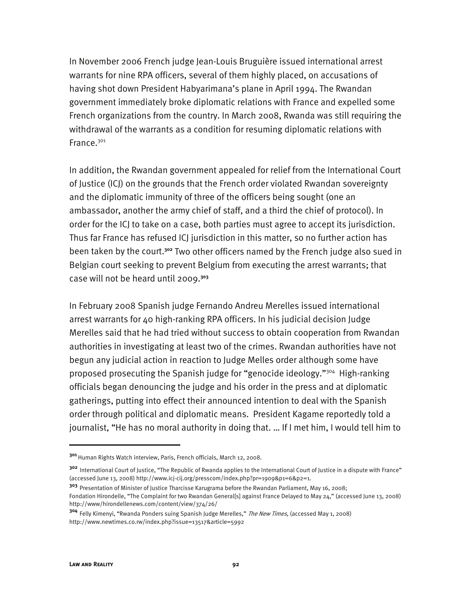In November 2006 French judge Jean-Louis Bruguière issued international arrest warrants for nine RPA officers, several of them highly placed, on accusations of having shot down President Habyarimana's plane in April 1994. The Rwandan government immediately broke diplomatic relations with France and expelled some French organizations from the country. In March 2008, Rwanda was still requiring the withdrawal of the warrants as a condition for resuming diplomatic relations with France.301

In addition, the Rwandan government appealed for relief from the International Court of Justice (ICJ) on the grounds that the French order violated Rwandan sovereignty and the diplomatic immunity of three of the officers being sought (one an ambassador, another the army chief of staff, and a third the chief of protocol). In order for the ICJ to take on a case, both parties must agree to accept its jurisdiction. Thus far France has refused ICJ jurisdiction in this matter, so no further action has been taken by the court.**<sup>302</sup>** Two other officers named by the French judge also sued in Belgian court seeking to prevent Belgium from executing the arrest warrants; that case will not be heard until 2009.**<sup>303</sup>**

In February 2008 Spanish judge Fernando Andreu Merelles issued international arrest warrants for 40 high-ranking RPA officers. In his judicial decision Judge Merelles said that he had tried without success to obtain cooperation from Rwandan authorities in investigating at least two of the crimes. Rwandan authorities have not begun any judicial action in reaction to Judge Melles order although some have proposed prosecuting the Spanish judge for "genocide ideology."304 High-ranking officials began denouncing the judge and his order in the press and at diplomatic gatherings, putting into effect their announced intention to deal with the Spanish order through political and diplomatic means. President Kagame reportedly told a journalist, "He has no moral authority in doing that. … If I met him, I would tell him to

**<sup>301</sup>**Human Rights Watch interview, Paris, French officials, March 12, 2008.

**<sup>302</sup>** International Court of Justice, "The Republic of Rwanda applies to the International Court of Justice in a dispute with France" (accessed June 13, 2008) http://www.icj-cij.org/presscom/index.php?pr=1909&p1=6&p2=1.

**<sup>303</sup>** Presentation of Minister of Justice Tharcisse Karugrama before the Rwandan Parliament, May 16, 2008; Fondation Hirondelle, "The Complaint for two Rwandan General[s] against France Delayed to May 24," (accessed June 13, 2008) http://www/hirondellenews.com/content/view/374/26/

**<sup>304</sup>** Felly Kimenyi, "Rwanda Ponders suing Spanish Judge Merelles," The New Times, (accessed May 1, 2008) http://www.newtimes.co.rw/index.php?issue=13517&article=5992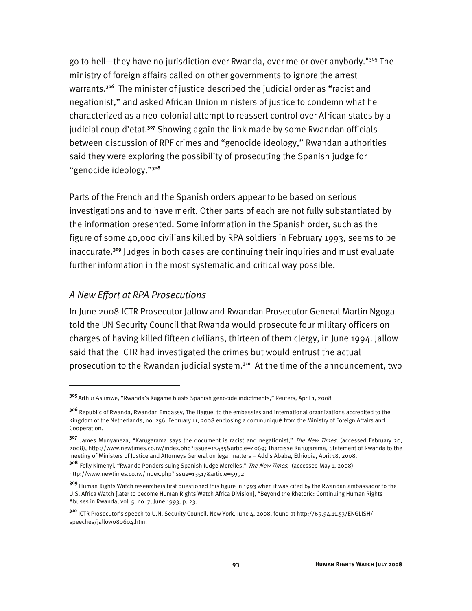go to hell—they have no jurisdiction over Rwanda, over me or over anybody."305 The ministry of foreign affairs called on other governments to ignore the arrest warrants.**<sup>306</sup>** The minister of justice described the judicial order as "racist and negationist," and asked African Union ministers of justice to condemn what he characterized as a neo-colonial attempt to reassert control over African states by a judicial coup d'etat.**<sup>307</sup>** Showing again the link made by some Rwandan officials between discussion of RPF crimes and "genocide ideology," Rwandan authorities said they were exploring the possibility of prosecuting the Spanish judge for "genocide ideology."**<sup>308</sup>**

Parts of the French and the Spanish orders appear to be based on serious investigations and to have merit. Other parts of each are not fully substantiated by the information presented. Some information in the Spanish order, such as the figure of some 40,000 civilians killed by RPA soldiers in February 1993, seems to be inaccurate.**<sup>309</sup>** Judges in both cases are continuing their inquiries and must evaluate further information in the most systematic and critical way possible.

#### *A New Effort at RPA Prosecutions*

I

In June 2008 ICTR Prosecutor Jallow and Rwandan Prosecutor General Martin Ngoga told the UN Security Council that Rwanda would prosecute four military officers on charges of having killed fifteen civilians, thirteen of them clergy, in June 1994. Jallow said that the ICTR had investigated the crimes but would entrust the actual prosecution to the Rwandan judicial system.**<sup>310</sup>** At the time of the announcement, two

**<sup>305</sup>**Arthur Asiimwe, "Rwanda's Kagame blasts Spanish genocide indictments," Reuters, April 1, 2008

**<sup>306</sup>** Republic of Rwanda, Rwandan Embassy, The Hague, to the embassies and international organizations accredited to the Kingdom of the Netherlands, no. 256, February 11, 2008 enclosing a communiqué from the Ministry of Foreign Affairs and Cooperation.

**<sup>307</sup>** James Munyaneza, "Karugarama says the document is racist and negationist," The New Times, (accessed February 20, 2008), http://www.newtimes.co.rw/index.php?issue=13435&article=4069; Tharcisse Karugarama, Statement of Rwanda to the meeting of Ministers of Justice and Attorneys General on legal matters – Addis Ababa, Ethiopia, April 18, 2008.

**<sup>308</sup>** Felly Kimenyi, "Rwanda Ponders suing Spanish Judge Merelles," The New Times, (accessed May 1, 2008) http://www.newtimes.co.rw/index.php?issue=13517&article=5992

**<sup>309</sup>** Human Rights Watch researchers first questioned this figure in 1993 when it was cited by the Rwandan ambassador to the U.S. Africa Watch [later to become Human Rights Watch Africa Division], "Beyond the Rhetoric: Continuing Human Rights Abuses in Rwanda, vol. 5, no. 7, June 1993, p. 23.

**<sup>310</sup>** ICTR Prosecutor's speech to U.N. Security Council, New York, June 4, 2008, found at http://69.94.11.53/ENGLISH/ speeches/jallow080604.htm.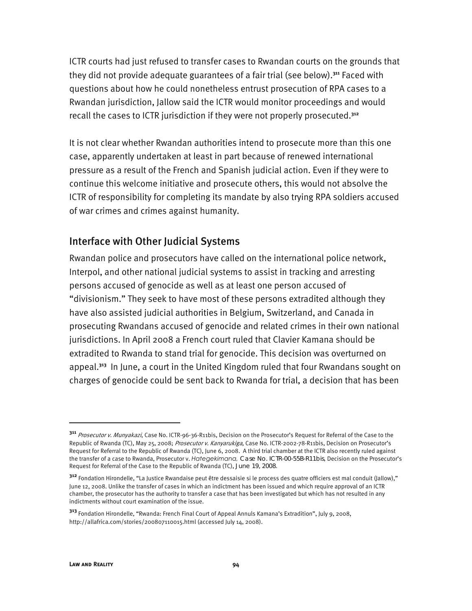ICTR courts had just refused to transfer cases to Rwandan courts on the grounds that they did not provide adequate guarantees of a fair trial (see below).**<sup>311</sup>** Faced with questions about how he could nonetheless entrust prosecution of RPA cases to a Rwandan jurisdiction, Jallow said the ICTR would monitor proceedings and would recall the cases to ICTR jurisdiction if they were not properly prosecuted.**<sup>312</sup>**

It is not clear whether Rwandan authorities intend to prosecute more than this one case, apparently undertaken at least in part because of renewed international pressure as a result of the French and Spanish judicial action. Even if they were to continue this welcome initiative and prosecute others, this would not absolve the ICTR of responsibility for completing its mandate by also trying RPA soldiers accused of war crimes and crimes against humanity.

## Interface with Other Judicial Systems

Rwandan police and prosecutors have called on the international police network, Interpol, and other national judicial systems to assist in tracking and arresting persons accused of genocide as well as at least one person accused of "divisionism." They seek to have most of these persons extradited although they have also assisted judicial authorities in Belgium, Switzerland, and Canada in prosecuting Rwandans accused of genocide and related crimes in their own national jurisdictions. In April 2008 a French court ruled that Clavier Kamana should be extradited to Rwanda to stand trial for genocide. This decision was overturned on appeal.**<sup>313</sup>** In June, a court in the United Kingdom ruled that four Rwandans sought on charges of genocide could be sent back to Rwanda for trial, a decision that has been

**<sup>311</sup>** Prosecutor v. Munyakazi, Case No. ICTR-96-36-R11bis, Decision on the Prosecutor's Request for Referral of the Case to the Republic of Rwanda (TC), May 25, 2008; Prosecutor v. Kanyarukiga, Case No. ICTR-2002-78-R11bis, Decision on Prosecutor's Request for Referral to the Republic of Rwanda (TC), June 6, 2008. A third trial chamber at the ICTR also recently ruled against the transfer of a case to Rwanda, Prosecutor v. *Hategekimana,* Case No. ICTR-00-55B-R11bis, Decision on the Prosecutor's Request for Referral of the Case to the Republic of Rwanda (TC), June 19, 2008.

**<sup>312</sup>** Fondation Hirondelle, "La Justice Rwandaise peut être dessaisie si le process des quatre officiers est mal conduit (Jallow)," June 12, 2008. Unlike the transfer of cases in which an indictment has been issued and which require approval of an ICTR chamber, the prosecutor has the authority to transfer a case that has been investigated but which has not resulted in any indictments without court examination of the issue.

**<sup>313</sup>** Fondation Hirondelle, "Rwanda: French Final Court of Appeal Annuls Kamana's Extradition", July 9, 2008, http://allafrica.com/stories/200807110015.html (accessed July 14, 2008).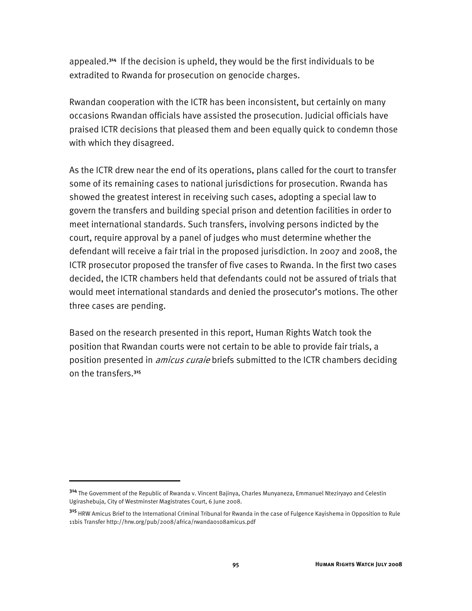appealed.**<sup>314</sup>** If the decision is upheld, they would be the first individuals to be extradited to Rwanda for prosecution on genocide charges.

Rwandan cooperation with the ICTR has been inconsistent, but certainly on many occasions Rwandan officials have assisted the prosecution. Judicial officials have praised ICTR decisions that pleased them and been equally quick to condemn those with which they disagreed.

As the ICTR drew near the end of its operations, plans called for the court to transfer some of its remaining cases to national jurisdictions for prosecution. Rwanda has showed the greatest interest in receiving such cases, adopting a special law to govern the transfers and building special prison and detention facilities in order to meet international standards. Such transfers, involving persons indicted by the court, require approval by a panel of judges who must determine whether the defendant will receive a fair trial in the proposed jurisdiction. In 2007 and 2008, the ICTR prosecutor proposed the transfer of five cases to Rwanda. In the first two cases decided, the ICTR chambers held that defendants could not be assured of trials that would meet international standards and denied the prosecutor's motions. The other three cases are pending.

Based on the research presented in this report, Human Rights Watch took the position that Rwandan courts were not certain to be able to provide fair trials, a position presented in *amicus curaie* briefs submitted to the ICTR chambers deciding on the transfers.**<sup>315</sup>**

**<sup>314</sup>** The Government of the Republic of Rwanda v. Vincent Bajinya, Charles Munyaneza, Emmanuel Nteziryayo and Celestin Ugirashebuja, City of Westminster Magistrates Court, 6 June 2008.

**<sup>315</sup>** HRW Amicus Brief to the International Criminal Tribunal for Rwanda in the case of Fulgence Kayishema in Opposition to Rule 11bis Transfer http://hrw.org/pub/2008/africa/rwanda0108amicus.pdf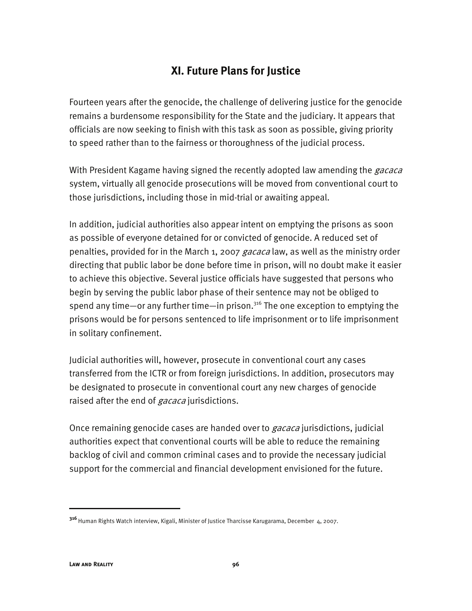# **XI. Future Plans for Justice**

Fourteen years after the genocide, the challenge of delivering justice for the genocide remains a burdensome responsibility for the State and the judiciary. It appears that officials are now seeking to finish with this task as soon as possible, giving priority to speed rather than to the fairness or thoroughness of the judicial process.

With President Kagame having signed the recently adopted law amending the *gacaca* system, virtually all genocide prosecutions will be moved from conventional court to those jurisdictions, including those in mid-trial or awaiting appeal.

In addition, judicial authorities also appear intent on emptying the prisons as soon as possible of everyone detained for or convicted of genocide. A reduced set of penalties, provided for in the March 1, 2007 gacaca law, as well as the ministry order directing that public labor be done before time in prison, will no doubt make it easier to achieve this objective. Several justice officials have suggested that persons who begin by serving the public labor phase of their sentence may not be obliged to spend any time—or any further time—in prison.<sup>316</sup> The one exception to emptying the prisons would be for persons sentenced to life imprisonment or to life imprisonment in solitary confinement.

Judicial authorities will, however, prosecute in conventional court any cases transferred from the ICTR or from foreign jurisdictions. In addition, prosecutors may be designated to prosecute in conventional court any new charges of genocide raised after the end of *gacaca* jurisdictions.

Once remaining genocide cases are handed over to *gacaca* jurisdictions, judicial authorities expect that conventional courts will be able to reduce the remaining backlog of civil and common criminal cases and to provide the necessary judicial support for the commercial and financial development envisioned for the future.

**<sup>316</sup>**Human Rights Watch interview, Kigali, Minister of Justice Tharcisse Karugarama, December 4, 2007.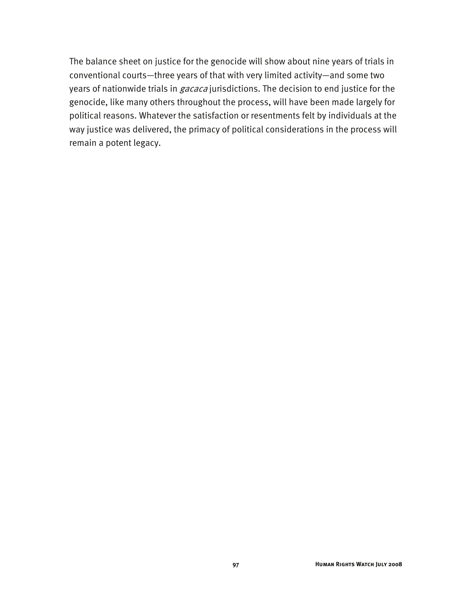The balance sheet on justice for the genocide will show about nine years of trials in conventional courts—three years of that with very limited activity—and some two years of nationwide trials in *gacaca* jurisdictions. The decision to end justice for the genocide, like many others throughout the process, will have been made largely for political reasons. Whatever the satisfaction or resentments felt by individuals at the way justice was delivered, the primacy of political considerations in the process will remain a potent legacy.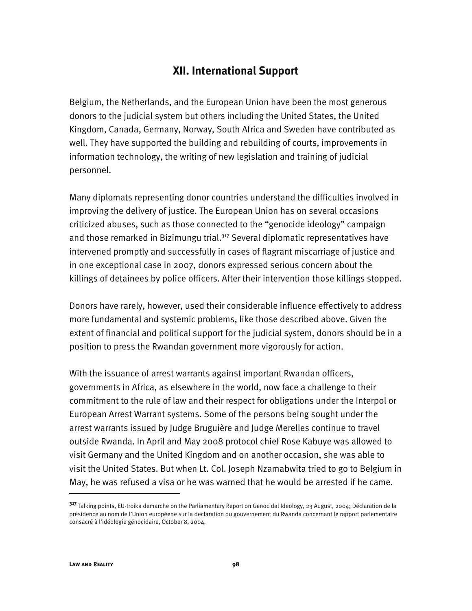## **XII. International Support**

Belgium, the Netherlands, and the European Union have been the most generous donors to the judicial system but others including the United States, the United Kingdom, Canada, Germany, Norway, South Africa and Sweden have contributed as well. They have supported the building and rebuilding of courts, improvements in information technology, the writing of new legislation and training of judicial personnel.

Many diplomats representing donor countries understand the difficulties involved in improving the delivery of justice. The European Union has on several occasions criticized abuses, such as those connected to the "genocide ideology" campaign and those remarked in Bizimungu trial.<sup>317</sup> Several diplomatic representatives have intervened promptly and successfully in cases of flagrant miscarriage of justice and in one exceptional case in 2007, donors expressed serious concern about the killings of detainees by police officers. After their intervention those killings stopped.

Donors have rarely, however, used their considerable influence effectively to address more fundamental and systemic problems, like those described above. Given the extent of financial and political support for the judicial system, donors should be in a position to press the Rwandan government more vigorously for action.

With the issuance of arrest warrants against important Rwandan officers, governments in Africa, as elsewhere in the world, now face a challenge to their commitment to the rule of law and their respect for obligations under the Interpol or European Arrest Warrant systems. Some of the persons being sought under the arrest warrants issued by Judge Bruguière and Judge Merelles continue to travel outside Rwanda. In April and May 2008 protocol chief Rose Kabuye was allowed to visit Germany and the United Kingdom and on another occasion, she was able to visit the United States. But when Lt. Col. Joseph Nzamabwita tried to go to Belgium in May, he was refused a visa or he was warned that he would be arrested if he came.

j

**<sup>317</sup>** Talking points, EU-troika demarche on the Parliamentary Report on Genocidal Ideology, 23 August, 2004; Déclaration de la présidence au nom de l'Union européene sur la declaration du gouvernement du Rwanda concernant le rapport parlementaire consacré à l'idéologie génocidaire, October 8, 2004.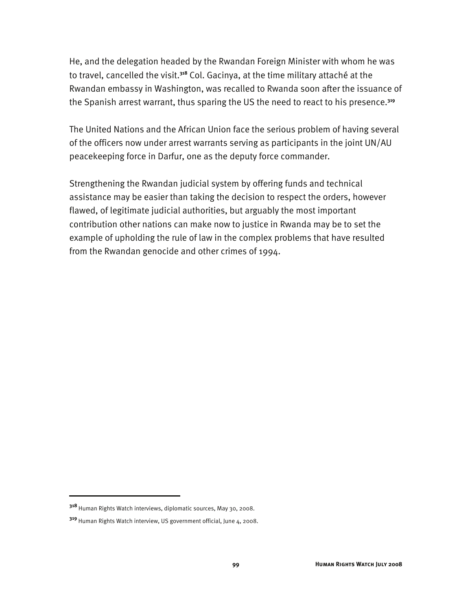He, and the delegation headed by the Rwandan Foreign Minister with whom he was to travel, cancelled the visit.**<sup>318</sup>** Col. Gacinya, at the time military attaché at the Rwandan embassy in Washington, was recalled to Rwanda soon after the issuance of the Spanish arrest warrant, thus sparing the US the need to react to his presence.**<sup>319</sup>**

The United Nations and the African Union face the serious problem of having several of the officers now under arrest warrants serving as participants in the joint UN/AU peacekeeping force in Darfur, one as the deputy force commander.

Strengthening the Rwandan judicial system by offering funds and technical assistance may be easier than taking the decision to respect the orders, however flawed, of legitimate judicial authorities, but arguably the most important contribution other nations can make now to justice in Rwanda may be to set the example of upholding the rule of law in the complex problems that have resulted from the Rwandan genocide and other crimes of 1994.

**<sup>318</sup>** Human Rights Watch interviews, diplomatic sources, May 30, 2008.

**<sup>319</sup>** Human Rights Watch interview, US government official, June 4, 2008.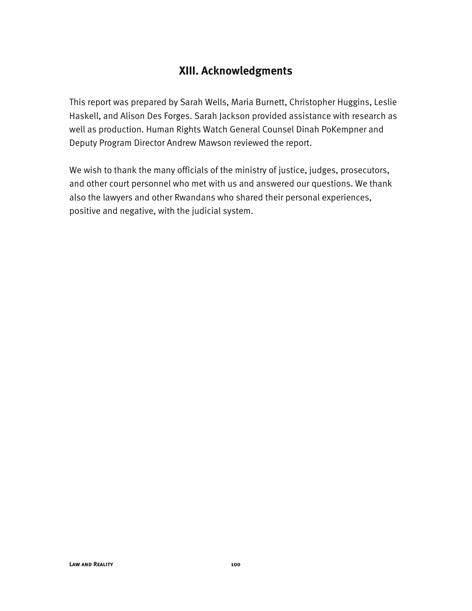# **XIII. Acknowledgments**

This report was prepared by Sarah Wells, Maria Burnett, Christopher Huggins, Leslie Haskell, and Alison Des Forges. Sarah Jackson provided assistance with research as well as production. Human Rights Watch General Counsel Dinah PoKempner and Deputy Program Director Andrew Mawson reviewed the report.

We wish to thank the many officials of the ministry of justice, judges, prosecutors, and other court personnel who met with us and answered our questions. We thank also the lawyers and other Rwandans who shared their personal experiences, positive and negative, with the judicial system.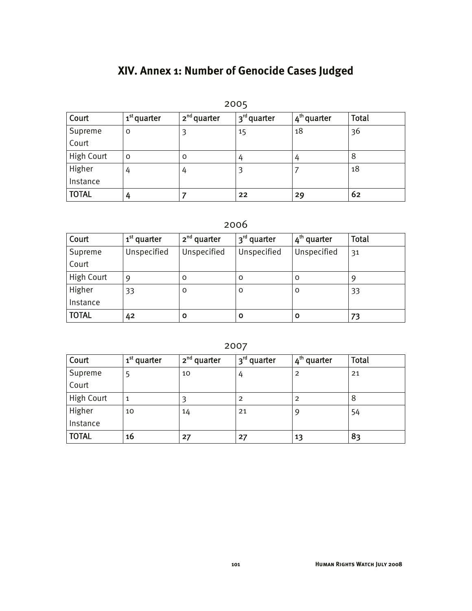# **XIV. Annex 1: Number of Genocide Cases Judged**

| 2005              |                         |               |                                      |                         |              |
|-------------------|-------------------------|---------------|--------------------------------------|-------------------------|--------------|
| Court             | 1 <sup>st</sup> quarter | $2nd$ quarter | <sub>I</sub> 3 <sup>rd</sup> quarter | 4 <sup>th</sup> quarter | <b>Total</b> |
| Supreme           | 0                       | 3             | 15                                   | 18                      | 36           |
| Court             |                         |               |                                      |                         |              |
| <b>High Court</b> | $\Omega$                | O             | 4                                    | 4                       | 8            |
| Higher            | 4                       | 4             | 3                                    |                         | 18           |
| Instance          |                         |               |                                      |                         |              |
| <b>TOTAL</b>      | 4                       |               | 22                                   | 29                      | 62           |

## 2006

| Court        | 1 <sup>st</sup> quarter | $2nd$ quarter | 3 <sup>rd</sup> quarter | 4 <sup>th</sup> quarter | Total |
|--------------|-------------------------|---------------|-------------------------|-------------------------|-------|
| Supreme      | Unspecified             | Unspecified   | Unspecified             | Unspecified             | 31    |
| Court        |                         |               |                         |                         |       |
| High Court   | 9                       | 0             | O                       | 0                       |       |
| Higher       | 33                      | 0             | O                       | O                       | 33    |
| Instance     |                         |               |                         |                         |       |
| <b>TOTAL</b> | 42                      | Ο             | O                       |                         | 73    |

2007

| Court        | 1 <sup>st</sup> quarter | $2nd$ quarter | 3 <sup>rd</sup> quarter | 4 <sup>th</sup> quarter | <b>Total</b> |
|--------------|-------------------------|---------------|-------------------------|-------------------------|--------------|
| Supreme      |                         | 10            | 4                       | $\overline{2}$          | 21           |
| Court        |                         |               |                         |                         |              |
| High Court   | $\mathbf{1}$            |               | 2                       | $\overline{2}$          | 8            |
| Higher       | 10                      | 14            | 21                      | 9                       | 54           |
| Instance     |                         |               |                         |                         |              |
| <b>TOTAL</b> | 16                      | 27            | 27                      | 13                      | 83           |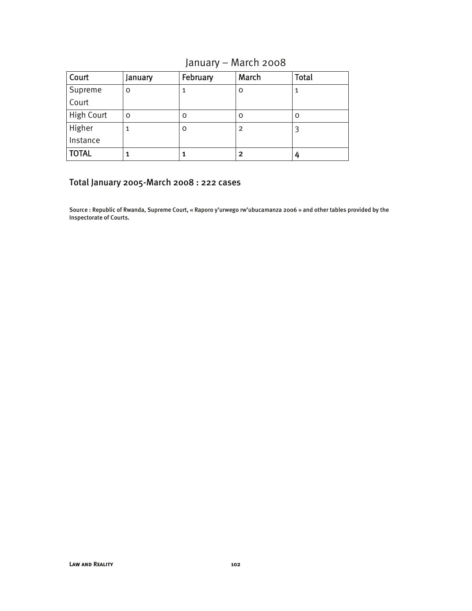# January – March 2008

| Court             | January | February | March          | <b>Total</b> |
|-------------------|---------|----------|----------------|--------------|
| Supreme           | O       |          | O              |              |
| Court             |         |          |                |              |
| <b>High Court</b> | O       | 0        | O              | o            |
| Higher            | 1       | 0        | $\overline{2}$ |              |
| Instance          |         |          |                |              |
| <b>TOTAL</b>      |         |          | 2              |              |

#### Total January 2005-March 2008 : 222 cases

Source : Republic of Rwanda, Supreme Court, « Raporo y'urwego rw'ubucamanza 2006 » and other tables provided by the Inspectorate of Courts.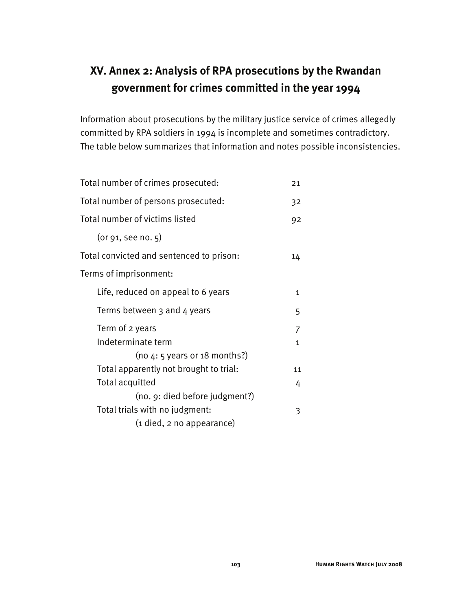# **XV. Annex 2: Analysis of RPA prosecutions by the Rwandan government for crimes committed in the year 1994**

Information about prosecutions by the military justice service of crimes allegedly committed by RPA soldiers in 1994 is incomplete and sometimes contradictory. The table below summarizes that information and notes possible inconsistencies.

| Total number of crimes prosecuted:       | 21           |
|------------------------------------------|--------------|
| Total number of persons prosecuted:      | 32           |
| Total number of victims listed           | 92           |
| (or 91, see no. 5)                       |              |
| Total convicted and sentenced to prison: | 14           |
| Terms of imprisonment:                   |              |
| Life, reduced on appeal to 6 years       | $\mathbf{1}$ |
| Terms between 3 and 4 years              | 5            |
| Term of 2 years                          | 7            |
| Indeterminate term                       | 1            |
| (no $4:5$ years or 18 months?)           |              |
| Total apparently not brought to trial:   | 11           |
| <b>Total acquitted</b>                   | 4            |
| (no. 9: died before judgment?)           |              |
| Total trials with no judgment:           | 3            |
| (1 died, 2 no appearance)                |              |
|                                          |              |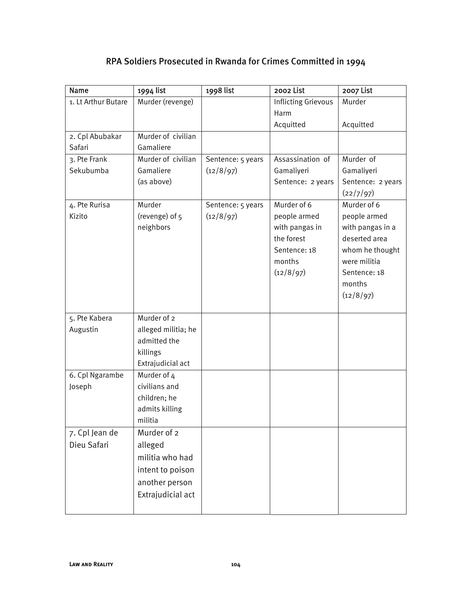| Name                | 1994 list           | 1998 list         | 2002 List                    | 2007 List                         |
|---------------------|---------------------|-------------------|------------------------------|-----------------------------------|
| 1. Lt Arthur Butare | Murder (revenge)    |                   | Inflicting Grievous          | Murder                            |
|                     |                     |                   | Harm                         |                                   |
|                     |                     |                   | Acquitted                    | Acquitted                         |
| 2. Cpl Abubakar     | Murder of civilian  |                   |                              |                                   |
| Safari              | Gamaliere           |                   |                              |                                   |
| 3. Pte Frank        | Murder of civilian  | Sentence: 5 years | Assassination of             | Murder of                         |
| Sekubumba           | Gamaliere           | (12/8/97)         | Gamaliyeri                   | Gamaliyeri                        |
|                     | (as above)          |                   | Sentence: 2 years            | Sentence: 2 years                 |
|                     |                     |                   |                              | (22/7/97)                         |
| 4. Pte Rurisa       | Murder              | Sentence: 5 years | Murder of 6                  | Murder of 6                       |
| Kizito              | (revenge) of 5      | (12/8/97)         | people armed                 | people armed                      |
|                     | neighbors           |                   | with pangas in<br>the forest | with pangas in a<br>deserted area |
|                     |                     |                   | Sentence: 18                 | whom he thought                   |
|                     |                     |                   | months                       | were militia                      |
|                     |                     |                   | (12/8/97)                    | Sentence: 18                      |
|                     |                     |                   |                              | months                            |
|                     |                     |                   |                              | (12/8/97)                         |
|                     |                     |                   |                              |                                   |
| 5. Pte Kabera       | Murder of 2         |                   |                              |                                   |
| Augustin            | alleged militia; he |                   |                              |                                   |
|                     | admitted the        |                   |                              |                                   |
|                     | killings            |                   |                              |                                   |
|                     | Extrajudicial act   |                   |                              |                                   |
| 6. Cpl Ngarambe     | Murder of 4         |                   |                              |                                   |
| Joseph              | civilians and       |                   |                              |                                   |
|                     | children; he        |                   |                              |                                   |
|                     | admits killing      |                   |                              |                                   |
|                     | militia             |                   |                              |                                   |
| 7. Cpl Jean de      | Murder of 2         |                   |                              |                                   |
| Dieu Safari         | alleged             |                   |                              |                                   |
|                     | militia who had     |                   |                              |                                   |
|                     | intent to poison    |                   |                              |                                   |
|                     | another person      |                   |                              |                                   |
|                     | Extrajudicial act   |                   |                              |                                   |
|                     |                     |                   |                              |                                   |

### RPA Soldiers Prosecuted in Rwanda for Crimes Committed in 1994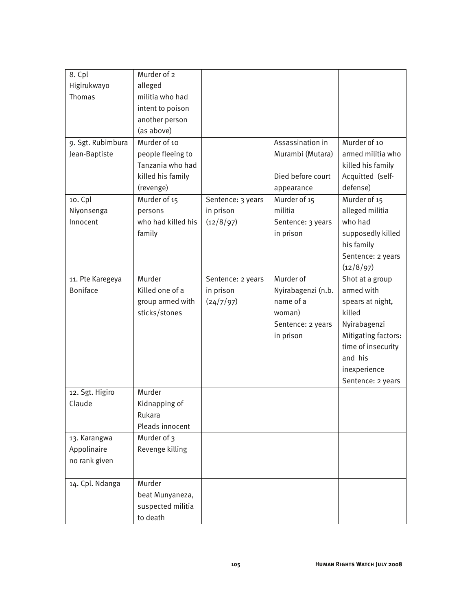| 8. Cpl            | Murder of 2        |                   |                    |                     |
|-------------------|--------------------|-------------------|--------------------|---------------------|
| Higirukwayo       | alleged            |                   |                    |                     |
| <b>Thomas</b>     | militia who had    |                   |                    |                     |
|                   | intent to poison   |                   |                    |                     |
|                   | another person     |                   |                    |                     |
|                   | (as above)         |                   |                    |                     |
| 9. Sgt. Rubimbura | Murder of 10       |                   | Assassination in   | Murder of 10        |
| Jean-Baptiste     | people fleeing to  |                   | Murambi (Mutara)   | armed militia who   |
|                   | Tanzania who had   |                   |                    | killed his family   |
|                   | killed his family  |                   | Died before court  | Acquitted (self-    |
|                   | (revenge)          |                   | appearance         | defense)            |
| 10. Cpl           | Murder of 15       | Sentence: 3 years | Murder of 15       | Murder of 15        |
| Niyonsenga        | persons            | in prison         | militia            | alleged militia     |
| Innocent          | who had killed his | (12/8/97)         | Sentence: 3 years  | who had             |
|                   | family             |                   | in prison          | supposedly killed   |
|                   |                    |                   |                    | his family          |
|                   |                    |                   |                    | Sentence: 2 years   |
|                   |                    |                   |                    | (12/8/97)           |
| 11. Pte Karegeya  | Murder             | Sentence: 2 years | Murder of          | Shot at a group     |
| <b>Boniface</b>   | Killed one of a    | in prison         | Nyirabagenzi (n.b. | armed with          |
|                   | group armed with   | (24/7/97)         | name of a          | spears at night,    |
|                   | sticks/stones      |                   | woman)             | killed              |
|                   |                    |                   | Sentence: 2 years  | Nyirabagenzi        |
|                   |                    |                   | in prison          | Mitigating factors: |
|                   |                    |                   |                    | time of insecurity  |
|                   |                    |                   |                    | and his             |
|                   |                    |                   |                    | inexperience        |
|                   |                    |                   |                    | Sentence: 2 years   |
| 12. Sgt. Higiro   | Murder             |                   |                    |                     |
| Claude            | Kidnapping of      |                   |                    |                     |
|                   | Rukara             |                   |                    |                     |
|                   | Pleads innocent    |                   |                    |                     |
| 13. Karangwa      | Murder of 3        |                   |                    |                     |
| Appolinaire       | Revenge killing    |                   |                    |                     |
| no rank given     |                    |                   |                    |                     |
|                   |                    |                   |                    |                     |
| 14. Cpl. Ndanga   | Murder             |                   |                    |                     |
|                   | beat Munyaneza,    |                   |                    |                     |
|                   | suspected militia  |                   |                    |                     |
|                   | to death           |                   |                    |                     |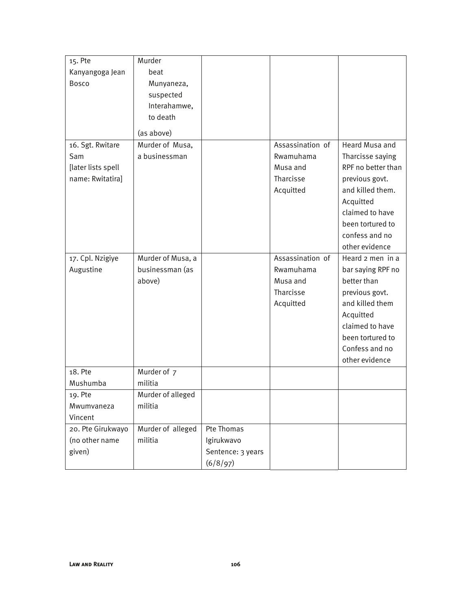| 15. Pte            | Murder            |                   |                  |                    |
|--------------------|-------------------|-------------------|------------------|--------------------|
| Kanyangoga Jean    | beat              |                   |                  |                    |
| <b>Bosco</b>       | Munyaneza,        |                   |                  |                    |
|                    | suspected         |                   |                  |                    |
|                    | Interahamwe,      |                   |                  |                    |
|                    | to death          |                   |                  |                    |
|                    | (as above)        |                   |                  |                    |
| 16. Sgt. Rwitare   | Murder of Musa,   |                   | Assassination of | Heard Musa and     |
| Sam                | a businessman     |                   | Rwamuhama        | Tharcisse saying   |
| [later lists spell |                   |                   | Musa and         | RPF no better than |
| name: Rwitatira]   |                   |                   | Tharcisse        | previous govt.     |
|                    |                   |                   | Acquitted        | and killed them.   |
|                    |                   |                   |                  | Acquitted          |
|                    |                   |                   |                  | claimed to have    |
|                    |                   |                   |                  | been tortured to   |
|                    |                   |                   |                  | confess and no     |
|                    |                   |                   |                  | other evidence     |
| 17. Cpl. Nzigiye   | Murder of Musa, a |                   | Assassination of | Heard 2 men in a   |
| Augustine          | businessman (as   |                   | Rwamuhama        | bar saying RPF no  |
|                    | above)            |                   | Musa and         | better than        |
|                    |                   |                   | Tharcisse        | previous govt.     |
|                    |                   |                   | Acquitted        | and killed them    |
|                    |                   |                   |                  | Acquitted          |
|                    |                   |                   |                  | claimed to have    |
|                    |                   |                   |                  | been tortured to   |
|                    |                   |                   |                  | Confess and no     |
|                    |                   |                   |                  | other evidence     |
| 18. Pte            | Murder of 7       |                   |                  |                    |
| Mushumba           | militia           |                   |                  |                    |
| 19. Pte            | Murder of alleged |                   |                  |                    |
| Mwumvaneza         | militia           |                   |                  |                    |
| Vincent            |                   |                   |                  |                    |
| 20. Pte Girukwayo  | Murder of alleged | Pte Thomas        |                  |                    |
| (no other name     | militia           | Igirukwavo        |                  |                    |
| given)             |                   | Sentence: 3 years |                  |                    |
|                    |                   | (6/8/97)          |                  |                    |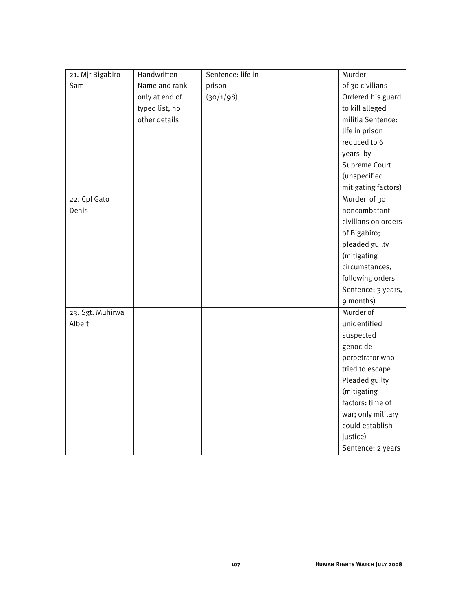| 21. Mjr Bigabiro | Handwritten    | Sentence: life in | Murder              |
|------------------|----------------|-------------------|---------------------|
| Sam              | Name and rank  | prison            | of 30 civilians     |
|                  | only at end of | (30/1/98)         | Ordered his guard   |
|                  | typed list; no |                   | to kill alleged     |
|                  | other details  |                   | militia Sentence:   |
|                  |                |                   | life in prison      |
|                  |                |                   | reduced to 6        |
|                  |                |                   | years by            |
|                  |                |                   | Supreme Court       |
|                  |                |                   | (unspecified        |
|                  |                |                   | mitigating factors) |
| 22. Cpl Gato     |                |                   | Murder of 30        |
| Denis            |                |                   | noncombatant        |
|                  |                |                   | civilians on orders |
|                  |                |                   | of Bigabiro;        |
|                  |                |                   | pleaded guilty      |
|                  |                |                   | (mitigating         |
|                  |                |                   | circumstances,      |
|                  |                |                   | following orders    |
|                  |                |                   | Sentence: 3 years,  |
|                  |                |                   | 9 months)           |
| 23. Sgt. Muhirwa |                |                   | Murder of           |
| Albert           |                |                   | unidentified        |
|                  |                |                   | suspected           |
|                  |                |                   | genocide            |
|                  |                |                   | perpetrator who     |
|                  |                |                   | tried to escape     |
|                  |                |                   | Pleaded guilty      |
|                  |                |                   | (mitigating         |
|                  |                |                   | factors: time of    |
|                  |                |                   | war; only military  |
|                  |                |                   | could establish     |
|                  |                |                   | justice)            |
|                  |                |                   | Sentence: 2 years   |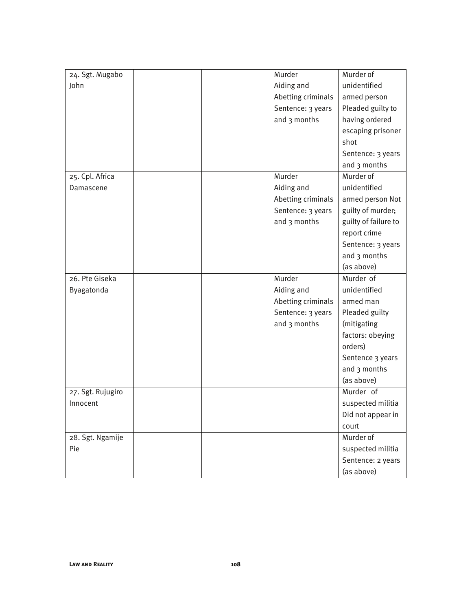| 24. Sgt. Mugabo   | Murder             | Murder of            |
|-------------------|--------------------|----------------------|
| John              | Aiding and         | unidentified         |
|                   | Abetting criminals | armed person         |
|                   | Sentence: 3 years  | Pleaded guilty to    |
|                   | and 3 months       | having ordered       |
|                   |                    | escaping prisoner    |
|                   |                    | shot                 |
|                   |                    | Sentence: 3 years    |
|                   |                    | and 3 months         |
| 25. Cpl. Africa   | Murder             | Murder of            |
| Damascene         | Aiding and         | unidentified         |
|                   | Abetting criminals | armed person Not     |
|                   | Sentence: 3 years  | guilty of murder;    |
|                   | and 3 months       | guilty of failure to |
|                   |                    | report crime         |
|                   |                    | Sentence: 3 years    |
|                   |                    | and 3 months         |
|                   |                    | (as above)           |
| 26. Pte Giseka    | Murder             | Murder of            |
| Byagatonda        | Aiding and         | unidentified         |
|                   | Abetting criminals | armed man            |
|                   | Sentence: 3 years  | Pleaded guilty       |
|                   | and 3 months       | (mitigating          |
|                   |                    | factors: obeying     |
|                   |                    | orders)              |
|                   |                    | Sentence 3 years     |
|                   |                    | and 3 months         |
|                   |                    | (as above)           |
| 27. Sgt. Rujugiro |                    | Murder of            |
| Innocent          |                    | suspected militia    |
|                   |                    | Did not appear in    |
|                   |                    | court                |
| 28. Sgt. Ngamije  |                    | Murder of            |
| Pie               |                    | suspected militia    |
|                   |                    | Sentence: 2 years    |
|                   |                    | (as above)           |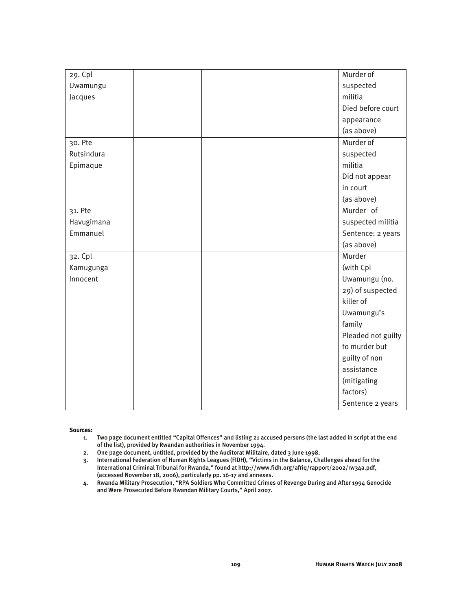| 29. Cpl    |  | Murder of          |
|------------|--|--------------------|
| Uwamungu   |  | suspected          |
| Jacques    |  | militia            |
|            |  | Died before court  |
|            |  | appearance         |
|            |  | (as above)         |
| 30. Pte    |  | Murder of          |
| Rutsindura |  | suspected          |
| Epimaque   |  | militia            |
|            |  | Did not appear     |
|            |  | in court           |
|            |  | (as above)         |
| 31. Pte    |  | Murder of          |
| Havugimana |  | suspected militia  |
| Emmanuel   |  | Sentence: 2 years  |
|            |  | (as above)         |
| 32. Cpl    |  | Murder             |
| Kamugunga  |  | (with Cpl          |
| Innocent   |  | Uwamungu (no.      |
|            |  | 29) of suspected   |
|            |  | killer of          |
|            |  | Uwamungu's         |
|            |  | family             |
|            |  | Pleaded not guilty |
|            |  | to murder but      |
|            |  | guilty of non      |
|            |  | assistance         |
|            |  | (mitigating        |
|            |  | factors)           |
|            |  | Sentence 2 years   |

#### Sources:

- 1. Two page document entitled "Capital Offences" and listing 21 accused persons (the last added in script at the end of the list), provided by Rwandan authorities in November 1994.
- 2. One page document, untitled, provided by the Auditorat Militaire, dated 3 June 1998.
- 3. International Federation of Human Rights Leagues (FIDH), "Victims in the Balance, Challenges ahead for the International Criminal Tribunal for Rwanda," found at http://www.fidh.org/afriq/rapport/2002/rw34a.pdf, (accessed November 18, 2006), particularly pp. 16-17 and annexes.
- 4. Rwanda Military Prosecution, "RPA Soldiers Who Committed Crimes of Revenge During and After 1994 Genocide and Were Prosecuted Before Rwandan Military Courts," April 2007.